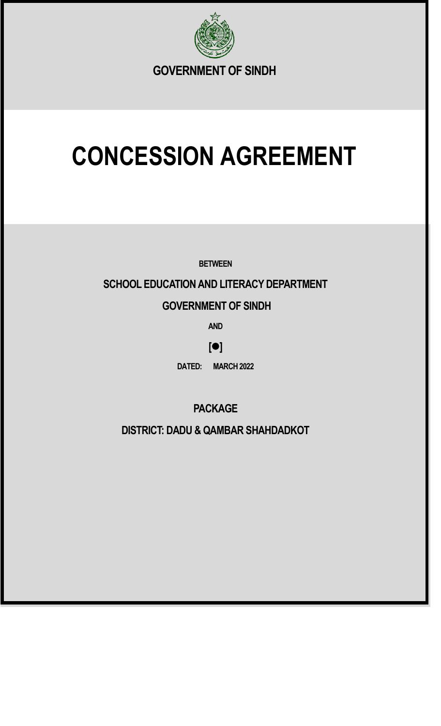

# **CONCESSION AGREEMENT**

**BETWEEN**

### **SCHOOL EDUCATION AND LITERACY DEPARTMENT**

### **GOVERNMENT OF SINDH**

**AND**

### **[**⚫**]**

**DATED: MARCH 2022**

**PACKAGE** 

**DISTRICT: DADU & QAMBAR SHAHDADKOT**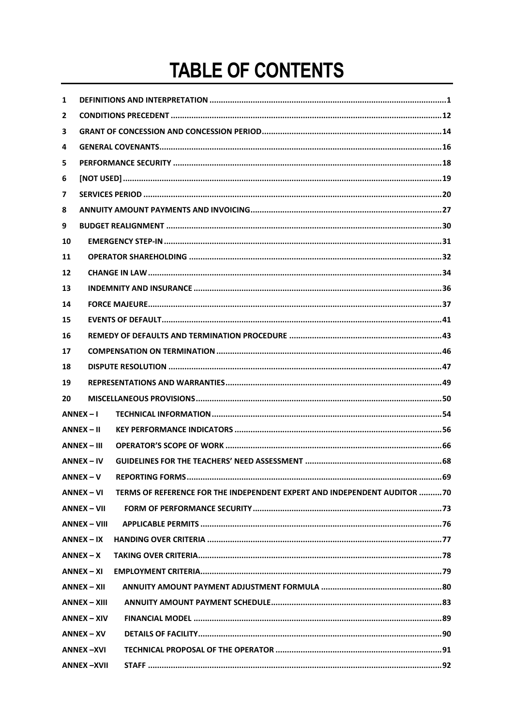## **TABLE OF CONTENTS**

| 1            |                     |                                                                          |  |  |  |  |  |
|--------------|---------------------|--------------------------------------------------------------------------|--|--|--|--|--|
| $\mathbf{2}$ |                     |                                                                          |  |  |  |  |  |
| 3            |                     |                                                                          |  |  |  |  |  |
| 4            |                     |                                                                          |  |  |  |  |  |
| 5            |                     |                                                                          |  |  |  |  |  |
| 6            |                     |                                                                          |  |  |  |  |  |
| 7            |                     |                                                                          |  |  |  |  |  |
| 8            |                     |                                                                          |  |  |  |  |  |
| 9            |                     |                                                                          |  |  |  |  |  |
| 10           |                     |                                                                          |  |  |  |  |  |
| 11           |                     |                                                                          |  |  |  |  |  |
| 12           |                     |                                                                          |  |  |  |  |  |
| 13           |                     |                                                                          |  |  |  |  |  |
| 14           |                     |                                                                          |  |  |  |  |  |
| 15           |                     |                                                                          |  |  |  |  |  |
| 16           |                     |                                                                          |  |  |  |  |  |
| 17           |                     |                                                                          |  |  |  |  |  |
| 18           |                     |                                                                          |  |  |  |  |  |
| 19           |                     |                                                                          |  |  |  |  |  |
| 20           |                     |                                                                          |  |  |  |  |  |
|              | $ANNEX - I$         |                                                                          |  |  |  |  |  |
|              | $ANNEX - II$        |                                                                          |  |  |  |  |  |
|              | <b>ANNEX - III</b>  |                                                                          |  |  |  |  |  |
|              | $ANNEX - IV$        |                                                                          |  |  |  |  |  |
|              | $ANNEX - V$         | 69<br><b>REPORTING FORMS.</b>                                            |  |  |  |  |  |
|              | ANNEX – VI          | TERMS OF REFERENCE FOR THE INDEPENDENT EXPERT AND INDEPENDENT AUDITOR 70 |  |  |  |  |  |
|              | <b>ANNEX – VII</b>  |                                                                          |  |  |  |  |  |
|              | <b>ANNEX – VIII</b> |                                                                          |  |  |  |  |  |
|              | $ANNEX - IX$        |                                                                          |  |  |  |  |  |
|              | $ANNEX - X$         |                                                                          |  |  |  |  |  |
|              | $ANNEX - XI$        |                                                                          |  |  |  |  |  |
|              | <b>ANNEX - XII</b>  |                                                                          |  |  |  |  |  |
|              | ANNEX – XIII        |                                                                          |  |  |  |  |  |
|              | $ANNEX - XIV$       |                                                                          |  |  |  |  |  |
|              | $ANNEX - XV$        |                                                                          |  |  |  |  |  |
|              | ANNEX -XVI          |                                                                          |  |  |  |  |  |
|              | <b>ANNEX-XVII</b>   |                                                                          |  |  |  |  |  |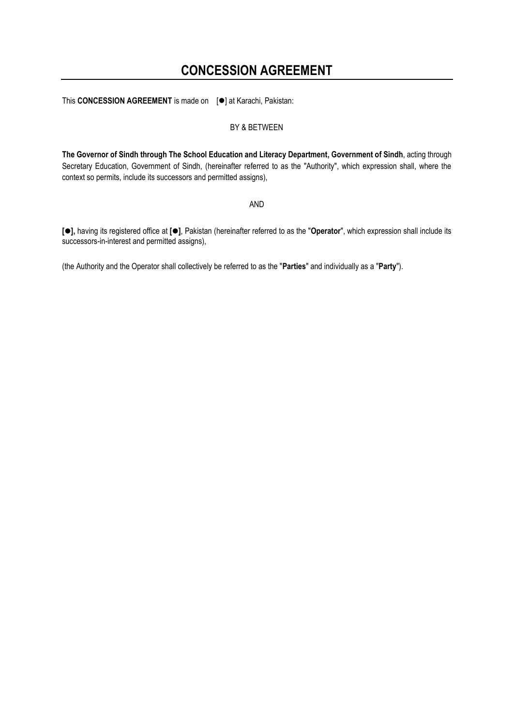### **CONCESSION AGREEMENT**

This **CONCESSION AGREEMENT** is made on [⚫] at Karachi, Pakistan:

#### BY & BETWEEN

**The Governor of Sindh through The School Education and Literacy Department, Government of Sindh**, acting through Secretary Education, Government of Sindh, (hereinafter referred to as the "Authority", which expression shall, where the context so permits, include its successors and permitted assigns),

AND

**[**⚫**],** having its registered office at **[**⚫**]**, Pakistan (hereinafter referred to as the "**Operator**", which expression shall include its successors-in-interest and permitted assigns),

(the Authority and the Operator shall collectively be referred to as the "**Parties**" and individually as a "**Party**").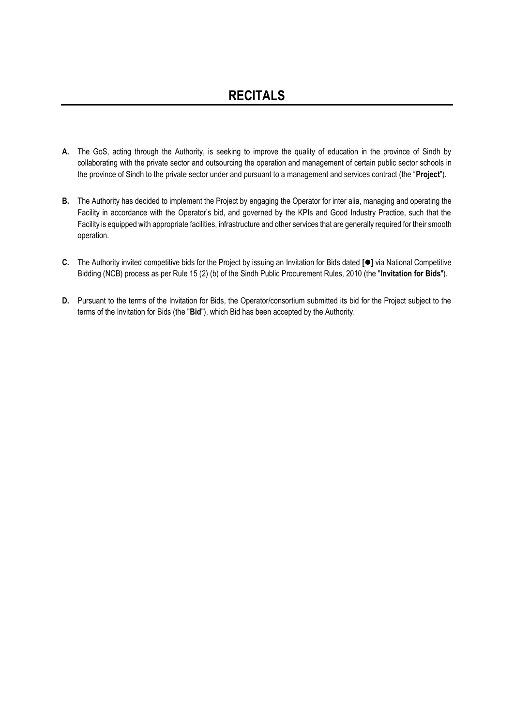- **A.** The GoS, acting through the Authority, is seeking to improve the quality of education in the province of Sindh by collaborating with the private sector and outsourcing the operation and management of certain public sector schools in the province of Sindh to the private sector under and pursuant to a management and services contract (the "**Project**").
- **B.** The Authority has decided to implement the Project by engaging the Operator for inter alia, managing and operating the Facility in accordance with the Operator's bid, and governed by the KPIs and Good Industry Practice, such that the Facility is equipped with appropriate facilities, infrastructure and other services that are generally required for their smooth operation.
- **C.** The Authority invited competitive bids for the Project by issuing an Invitation for Bids dated **[**⚫**]** via National Competitive Bidding (NCB) process as per Rule 15 (2) (b) of the Sindh Public Procurement Rules, 2010 (the "**Invitation for Bids**").
- **D.** Pursuant to the terms of the Invitation for Bids, the Operator/consortium submitted its bid for the Project subject to the terms of the Invitation for Bids (the "**Bid**"), which Bid has been accepted by the Authority.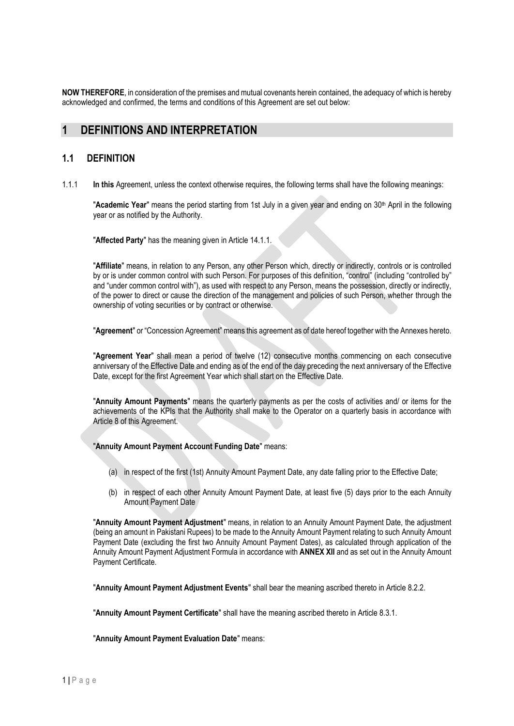**NOW THEREFORE**, in consideration of the premises and mutual covenants herein contained, the adequacy of which is hereby acknowledged and confirmed, the terms and conditions of this Agreement are set out below:

### <span id="page-4-0"></span>**1 DEFINITIONS AND INTERPRETATION**

### **1.1 DEFINITION**

1.1.1 **In this** Agreement, unless the context otherwise requires, the following terms shall have the following meanings:

"Academic Year" means the period starting from 1st July in a given year and ending on 30<sup>th</sup> April in the following year or as notified by the Authority.

"**Affected Party**" has the meaning given in Article 14.1.1.

"**Affiliate**" means, in relation to any Person, any other Person which, directly or indirectly, controls or is controlled by or is under common control with such Person. For purposes of this definition, "control" (including "controlled by" and "under common control with"), as used with respect to any Person, means the possession, directly or indirectly, of the power to direct or cause the direction of the management and policies of such Person, whether through the ownership of voting securities or by contract or otherwise.

"**Agreement**" or "Concession Agreement" means this agreement as of date hereof together with the Annexes hereto.

"**Agreement Year**" shall mean a period of twelve (12) consecutive months commencing on each consecutive anniversary of the Effective Date and ending as of the end of the day preceding the next anniversary of the Effective Date, except for the first Agreement Year which shall start on the Effective Date.

"**Annuity Amount Payments**" means the quarterly payments as per the costs of activities and/ or items for the achievements of the KPIs that the Authority shall make to the Operator on a quarterly basis in accordance with Article 8 of this Agreement.

"**Annuity Amount Payment Account Funding Date**" means:

- (a) in respect of the first (1st) Annuity Amount Payment Date, any date falling prior to the Effective Date;
- (b) in respect of each other Annuity Amount Payment Date, at least five (5) days prior to the each Annuity Amount Payment Date

"**Annuity Amount Payment Adjustment**" means, in relation to an Annuity Amount Payment Date, the adjustment (being an amount in Pakistani Rupees) to be made to the Annuity Amount Payment relating to such Annuity Amount Payment Date (excluding the first two Annuity Amount Payment Dates), as calculated through application of the Annuity Amount Payment Adjustment Formula in accordance with **ANNEX XII** and as set out in the Annuity Amount Payment Certificate.

"**Annuity Amount Payment Adjustment Events**" shall bear the meaning ascribed thereto in Article 8.2.2.

"**Annuity Amount Payment Certificate**" shall have the meaning ascribed thereto in Article 8.3.1.

"**Annuity Amount Payment Evaluation Date**" means: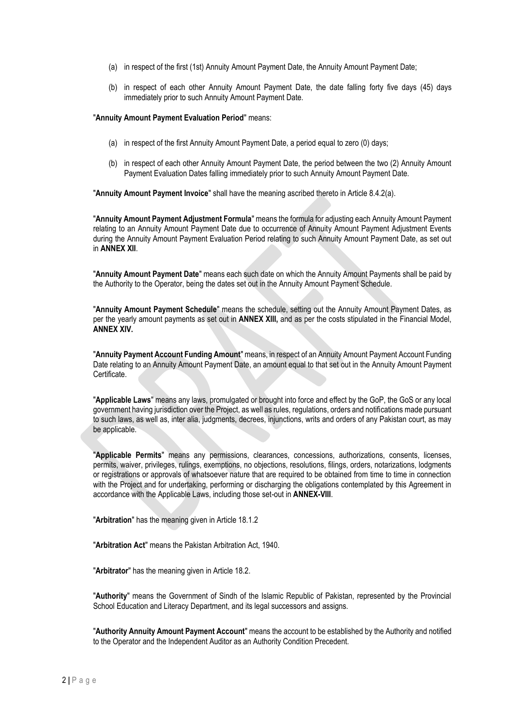- (a) in respect of the first (1st) Annuity Amount Payment Date, the Annuity Amount Payment Date;
- (b) in respect of each other Annuity Amount Payment Date, the date falling forty five days (45) days immediately prior to such Annuity Amount Payment Date.

#### "**Annuity Amount Payment Evaluation Period**" means:

- (a) in respect of the first Annuity Amount Payment Date, a period equal to zero (0) days;
- (b) in respect of each other Annuity Amount Payment Date, the period between the two (2) Annuity Amount Payment Evaluation Dates falling immediately prior to such Annuity Amount Payment Date.

"**Annuity Amount Payment Invoice**" shall have the meaning ascribed thereto in Article 8.4.2(a).

"**Annuity Amount Payment Adjustment Formula**" means the formula for adjusting each Annuity Amount Payment relating to an Annuity Amount Payment Date due to occurrence of Annuity Amount Payment Adjustment Events during the Annuity Amount Payment Evaluation Period relating to such Annuity Amount Payment Date, as set out in **ANNEX XII**.

"**Annuity Amount Payment Date**" means each such date on which the Annuity Amount Payments shall be paid by the Authority to the Operator, being the dates set out in the Annuity Amount Payment Schedule.

"**Annuity Amount Payment Schedule**" means the schedule, setting out the Annuity Amount Payment Dates, as per the yearly amount payments as set out in **ANNEX XIII,** and as per the costs stipulated in the Financial Model, **ANNEX XIV.**

"**Annuity Payment Account Funding Amount**" means, in respect of an Annuity Amount Payment Account Funding Date relating to an Annuity Amount Payment Date, an amount equal to that set out in the Annuity Amount Payment Certificate.

"**Applicable Laws**" means any laws, promulgated or brought into force and effect by the GoP, the GoS or any local government having jurisdiction over the Project, as well as rules, regulations, orders and notifications made pursuant to such laws, as well as, inter alia, judgments, decrees, injunctions, writs and orders of any Pakistan court, as may be applicable.

"**Applicable Permits**" means any permissions, clearances, concessions, authorizations, consents, licenses, permits, waiver, privileges, rulings, exemptions, no objections, resolutions, filings, orders, notarizations, lodgments or registrations or approvals of whatsoever nature that are required to be obtained from time to time in connection with the Project and for undertaking, performing or discharging the obligations contemplated by this Agreement in accordance with the Applicable Laws, including those set-out in **ANNEX-VIII**.

"**Arbitration**" has the meaning given in Article 18.1.2

"**Arbitration Act**" means the Pakistan Arbitration Act, 1940.

"**Arbitrator**" has the meaning given in Article 18.2.

"**Authority**" means the Government of Sindh of the Islamic Republic of Pakistan, represented by the Provincial School Education and Literacy Department, and its legal successors and assigns.

"**Authority Annuity Amount Payment Account**" means the account to be established by the Authority and notified to the Operator and the Independent Auditor as an Authority Condition Precedent.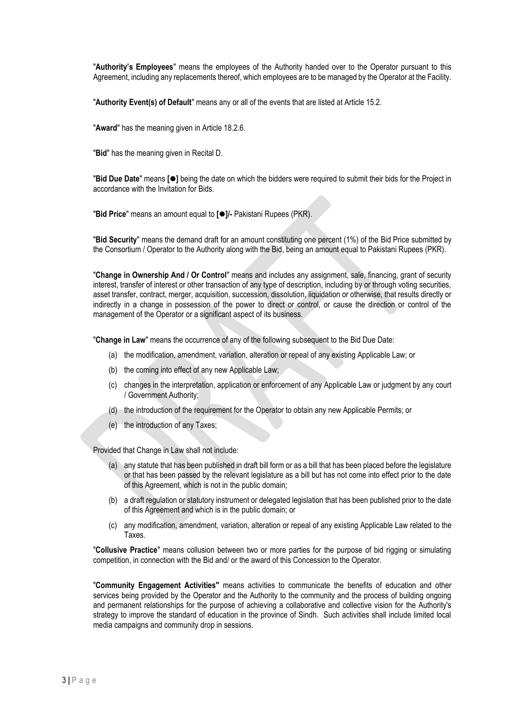"**Authority's Employees**" means the employees of the Authority handed over to the Operator pursuant to this Agreement, including any replacements thereof, which employees are to be managed by the Operator at the Facility.

"**Authority Event(s) of Default**" means any or all of the events that are listed at Article 15.2.

"**Award**" has the meaning given in Article 18.2.6.

"**Bid**" has the meaning given in Recital D.

"**Bid Due Date**" means **[**⚫**]** being the date on which the bidders were required to submit their bids for the Project in accordance with the Invitation for Bids.

"**Bid Price**" means an amount equal to **[**⚫**]/-** Pakistani Rupees (PKR).

"**Bid Security**" means the demand draft for an amount constituting one percent (1%) of the Bid Price submitted by the Consortium / Operator to the Authority along with the Bid, being an amount equal to Pakistani Rupees (PKR).

"**Change in Ownership And / Or Control**" means and includes any assignment, sale, financing, grant of security interest, transfer of interest or other transaction of any type of description, including by or through voting securities, asset transfer, contract, merger, acquisition, succession, dissolution, liquidation or otherwise, that results directly or indirectly in a change in possession of the power to direct or control, or cause the direction or control of the management of the Operator or a significant aspect of its business.

"**Change in Law**" means the occurrence of any of the following subsequent to the Bid Due Date:

- (a) the modification, amendment, variation, alteration or repeal of any existing Applicable Law; or
- (b) the coming into effect of any new Applicable Law;
- (c) changes in the interpretation, application or enforcement of any Applicable Law or judgment by any court / Government Authority;
- (d) the introduction of the requirement for the Operator to obtain any new Applicable Permits; or
- (e) the introduction of any Taxes;

Provided that Change in Law shall not include:

- (a) any statute that has been published in draft bill form or as a bill that has been placed before the legislature or that has been passed by the relevant legislature as a bill but has not come into effect prior to the date of this Agreement, which is not in the public domain;
- (b) a draft regulation or statutory instrument or delegated legislation that has been published prior to the date of this Agreement and which is in the public domain; or
- (c) any modification, amendment, variation, alteration or repeal of any existing Applicable Law related to the Taxes.

"**Collusive Practice**" means collusion between two or more parties for the purpose of bid rigging or simulating competition, in connection with the Bid and/ or the award of this Concession to the Operator.

"**Community Engagement Activities"** means activities to communicate the benefits of education and other services being provided by the Operator and the Authority to the community and the process of building ongoing and permanent relationships for the purpose of achieving a collaborative and collective vision for the Authority's strategy to improve the standard of education in the province of Sindh. Such activities shall include limited local media campaigns and community drop in sessions.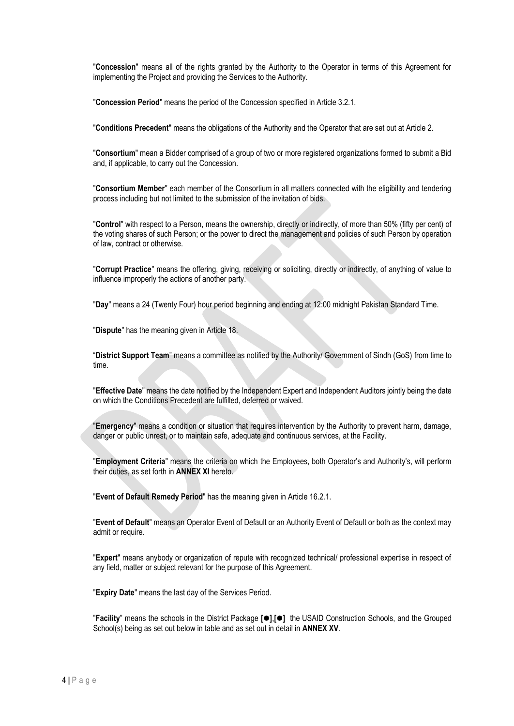"**Concession**" means all of the rights granted by the Authority to the Operator in terms of this Agreement for implementing the Project and providing the Services to the Authority.

"**Concession Period**" means the period of the Concession specified in Article 3.2.1.

"**Conditions Precedent**" means the obligations of the Authority and the Operator that are set out at Article 2.

"**Consortium**" mean a Bidder comprised of a group of two or more registered organizations formed to submit a Bid and, if applicable, to carry out the Concession.

"**Consortium Member**" each member of the Consortium in all matters connected with the eligibility and tendering process including but not limited to the submission of the invitation of bids.

"**Control**" with respect to a Person, means the ownership, directly or indirectly, of more than 50% (fifty per cent) of the voting shares of such Person; or the power to direct the management and policies of such Person by operation of law, contract or otherwise.

"**Corrupt Practice**" means the offering, giving, receiving or soliciting, directly or indirectly, of anything of value to influence improperly the actions of another party.

"**Day**" means a 24 (Twenty Four) hour period beginning and ending at 12:00 midnight Pakistan Standard Time.

"**Dispute**" has the meaning given in Article 18.

"**District Support Team**" means a committee as notified by the Authority/ Government of Sindh (GoS) from time to time.

"**Effective Date**" means the date notified by the Independent Expert and Independent Auditors jointly being the date on which the Conditions Precedent are fulfilled, deferred or waived.

"**Emergency**" means a condition or situation that requires intervention by the Authority to prevent harm, damage, danger or public unrest, or to maintain safe, adequate and continuous services, at the Facility.

"**Employment Criteria**" means the criteria on which the Employees, both Operator's and Authority's, will perform their duties, as set forth in **ANNEX XI** hereto.

"**Event of Default Remedy Period**" has the meaning given in Article 16.2.1.

"**Event of Default**" means an Operator Event of Default or an Authority Event of Default or both as the context may admit or require.

"**Expert**" means anybody or organization of repute with recognized technical/ professional expertise in respect of any field, matter or subject relevant for the purpose of this Agreement.

"**Expiry Date**" means the last day of the Services Period.

"**Facility**" means the schools in the District Package **[**⚫**]**,**[**⚫**]** the USAID Construction Schools, and the Grouped School(s) being as set out below in table and as set out in detail in **ANNEX XV**.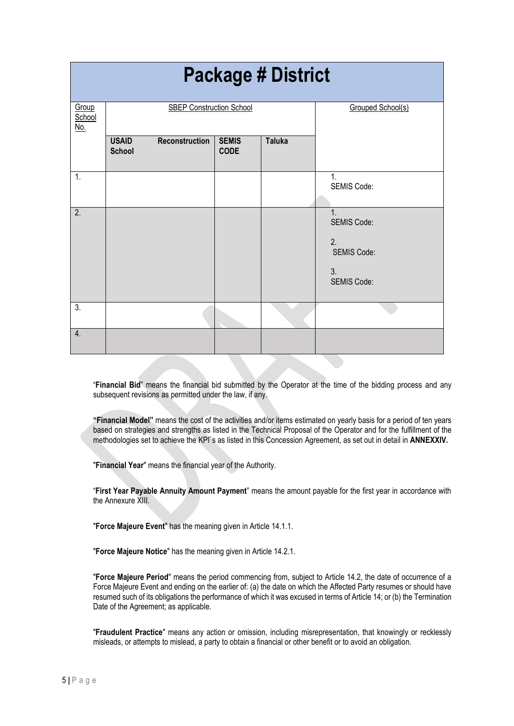| <b>Package # District</b>     |                                 |                |                             |                   |                                                                                                |  |  |  |
|-------------------------------|---------------------------------|----------------|-----------------------------|-------------------|------------------------------------------------------------------------------------------------|--|--|--|
| Group<br>School<br><u>No.</u> | <b>SBEP Construction School</b> |                |                             | Grouped School(s) |                                                                                                |  |  |  |
|                               | <b>USAID</b><br><b>School</b>   | Reconstruction | <b>SEMIS</b><br><b>CODE</b> | <b>Taluka</b>     |                                                                                                |  |  |  |
| 1.                            |                                 |                |                             |                   | 1.<br>SEMIS Code:                                                                              |  |  |  |
| $\overline{2}$ .              |                                 |                |                             |                   | $\overline{1}$ .<br><b>SEMIS Code:</b><br>2.<br><b>SEMIS Code:</b><br>3.<br><b>SEMIS Code:</b> |  |  |  |
| 3.                            |                                 |                |                             |                   |                                                                                                |  |  |  |
| 4.                            |                                 |                |                             |                   |                                                                                                |  |  |  |

"**Financial Bid**" means the financial bid submitted by the Operator at the time of the bidding process and any subsequent revisions as permitted under the law, if any.

**"Financial Model"** means the cost of the activities and/or items estimated on yearly basis for a period of ten years based on strategies and strengths as listed in the Technical Proposal of the Operator and for the fulfillment of the methodologies set to achieve the KPI`s as listed in this Concession Agreement, as set out in detail in **ANNEXXIV.**

"**Financial Year**" means the financial year of the Authority.

"**First Year Payable Annuity Amount Payment**" means the amount payable for the first year in accordance with the Annexure XIII.

"**Force Majeure Event**" has the meaning given in Article 14.1.1.

"**Force Majeure Notice**" has the meaning given in Article 14.2.1.

"**Force Majeure Period**" means the period commencing from, subject to Article 14.2, the date of occurrence of a Force Majeure Event and ending on the earlier of: (a) the date on which the Affected Party resumes or should have resumed such of its obligations the performance of which it was excused in terms of Article 14; or (b) the Termination Date of the Agreement; as applicable.

"**Fraudulent Practice**" means any action or omission, including misrepresentation, that knowingly or recklessly misleads, or attempts to mislead, a party to obtain a financial or other benefit or to avoid an obligation.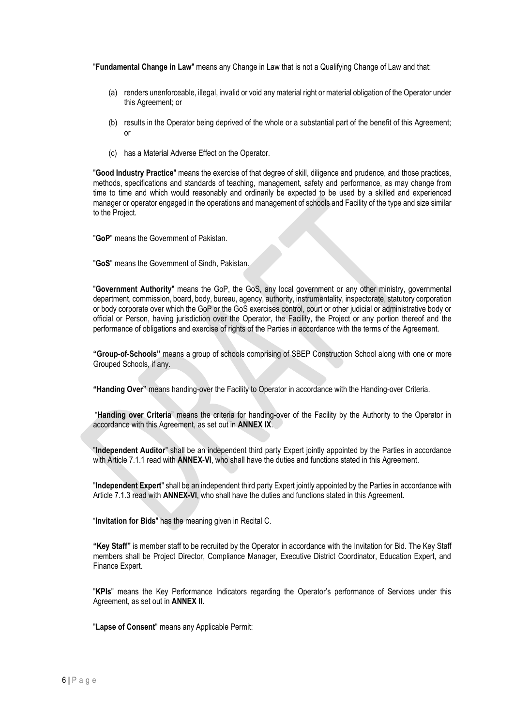"**Fundamental Change in Law**" means any Change in Law that is not a Qualifying Change of Law and that:

- (a) renders unenforceable, illegal, invalid or void any material right or material obligation of the Operator under this Agreement; or
- (b) results in the Operator being deprived of the whole or a substantial part of the benefit of this Agreement; or
- (c) has a Material Adverse Effect on the Operator.

"**Good Industry Practice**" means the exercise of that degree of skill, diligence and prudence, and those practices, methods, specifications and standards of teaching, management, safety and performance, as may change from time to time and which would reasonably and ordinarily be expected to be used by a skilled and experienced manager or operator engaged in the operations and management of schools and Facility of the type and size similar to the Project.

"**GoP**" means the Government of Pakistan.

"**GoS**" means the Government of Sindh, Pakistan.

"**Government Authority**" means the GoP, the GoS, any local government or any other ministry, governmental department, commission, board, body, bureau, agency, authority, instrumentality, inspectorate, statutory corporation or body corporate over which the GoP or the GoS exercises control, court or other judicial or administrative body or official or Person, having jurisdiction over the Operator, the Facility, the Project or any portion thereof and the performance of obligations and exercise of rights of the Parties in accordance with the terms of the Agreement.

**"Group-of-Schools"** means a group of schools comprising of SBEP Construction School along with one or more Grouped Schools, if any.

**"Handing Over"** means handing-over the Facility to Operator in accordance with the Handing-over Criteria.

"**Handing over Criteria**" means the criteria for handing-over of the Facility by the Authority to the Operator in accordance with this Agreement, as set out in **ANNEX IX**.

"**Independent Auditor**" shall be an independent third party Expert jointly appointed by the Parties in accordance with Article 7.1.1 read with **ANNEX-VI**, who shall have the duties and functions stated in this Agreement.

"**Independent Expert**" shall be an independent third party Expert jointly appointed by the Parties in accordance with Article 7.1.3 read with **ANNEX-VI**, who shall have the duties and functions stated in this Agreement.

"**Invitation for Bids**" has the meaning given in Recital C.

**"Key Staff"** is member staff to be recruited by the Operator in accordance with the Invitation for Bid. The Key Staff members shall be Project Director, Compliance Manager, Executive District Coordinator, Education Expert, and Finance Expert.

"**KPIs**" means the Key Performance Indicators regarding the Operator's performance of Services under this Agreement, as set out in **ANNEX II**.

"**Lapse of Consent**" means any Applicable Permit: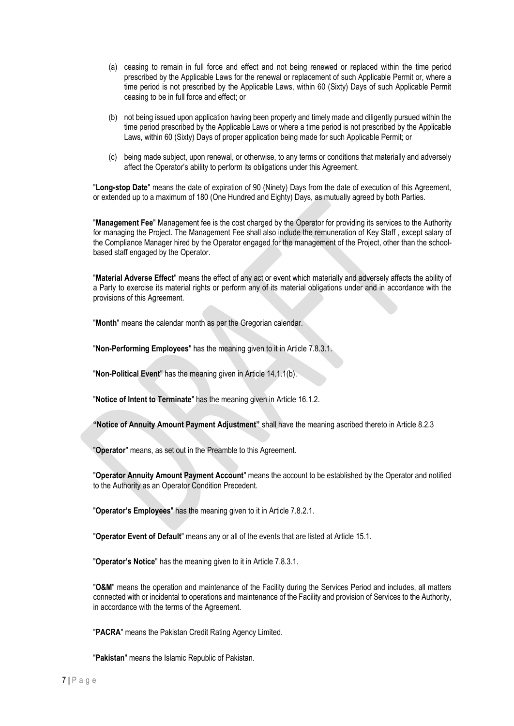- (a) ceasing to remain in full force and effect and not being renewed or replaced within the time period prescribed by the Applicable Laws for the renewal or replacement of such Applicable Permit or, where a time period is not prescribed by the Applicable Laws, within 60 (Sixty) Days of such Applicable Permit ceasing to be in full force and effect; or
- (b) not being issued upon application having been properly and timely made and diligently pursued within the time period prescribed by the Applicable Laws or where a time period is not prescribed by the Applicable Laws, within 60 (Sixty) Days of proper application being made for such Applicable Permit; or
- (c) being made subject, upon renewal, or otherwise, to any terms or conditions that materially and adversely affect the Operator's ability to perform its obligations under this Agreement.

"**Long-stop Date**" means the date of expiration of 90 (Ninety) Days from the date of execution of this Agreement, or extended up to a maximum of 180 (One Hundred and Eighty) Days, as mutually agreed by both Parties.

"**Management Fee**" Management fee is the cost charged by the Operator for providing its services to the Authority for managing the Project. The Management Fee shall also include the remuneration of Key Staff , except salary of the Compliance Manager hired by the Operator engaged for the management of the Project, other than the schoolbased staff engaged by the Operator.

"**Material Adverse Effect**" means the effect of any act or event which materially and adversely affects the ability of a Party to exercise its material rights or perform any of its material obligations under and in accordance with the provisions of this Agreement.

"**Month**" means the calendar month as per the Gregorian calendar.

"**Non-Performing Employees**" has the meaning given to it in Article 7.8.3.1.

"**Non-Political Event**" has the meaning given in Article 14.1.1(b).

"**Notice of Intent to Terminate**" has the meaning given in Article 16.1.2.

**"Notice of Annuity Amount Payment Adjustment"** shall have the meaning ascribed thereto in Article 8.2.3

"**Operator**" means, as set out in the Preamble to this Agreement.

"**Operator Annuity Amount Payment Account**" means the account to be established by the Operator and notified to the Authority as an Operator Condition Precedent.

"**Operator's Employees**" has the meaning given to it in Article 7.8.2.1.

"**Operator Event of Default**" means any or all of the events that are listed at Article 15.1.

"**Operator's Notice**" has the meaning given to it in Article 7.8.3.1.

"**O&M**" means the operation and maintenance of the Facility during the Services Period and includes, all matters connected with or incidental to operations and maintenance of the Facility and provision of Services to the Authority, in accordance with the terms of the Agreement.

"**PACRA**" means the Pakistan Credit Rating Agency Limited.

"**Pakistan**" means the Islamic Republic of Pakistan.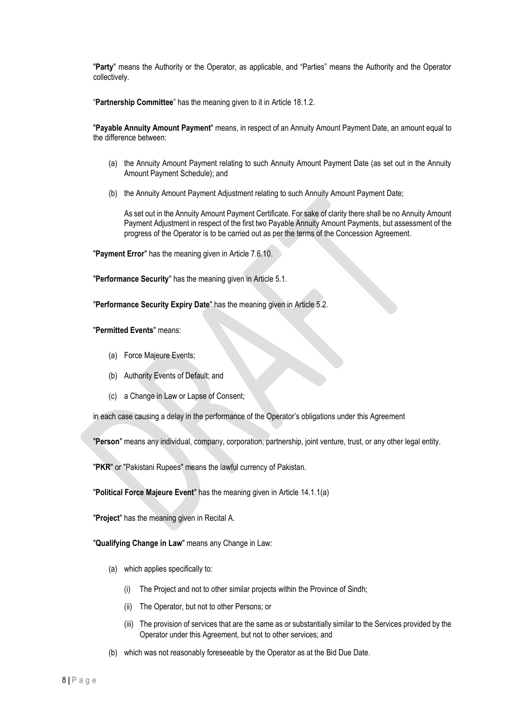"**Party**" means the Authority or the Operator, as applicable, and "Parties" means the Authority and the Operator collectively.

"**Partnership Committee**" has the meaning given to it in Article 18.1.2.

"**Payable Annuity Amount Payment**" means, in respect of an Annuity Amount Payment Date, an amount equal to the difference between:

- (a) the Annuity Amount Payment relating to such Annuity Amount Payment Date (as set out in the Annuity Amount Payment Schedule); and
- (b) the Annuity Amount Payment Adjustment relating to such Annuity Amount Payment Date;

As set out in the Annuity Amount Payment Certificate. For sake of clarity there shall be no Annuity Amount Payment Adjustment in respect of the first two Payable Annuity Amount Payments, but assessment of the progress of the Operator is to be carried out as per the terms of the Concession Agreement.

"**Payment Error**" has the meaning given in Article 7.6.10.

"**Performance Security**" has the meaning given in Article 5.1.

"**Performance Security Expiry Date**" has the meaning given in Article 5.2.

"**Permitted Events**" means:

- (a) Force Majeure Events;
- (b) Authority Events of Default; and
- (c) a Change in Law or Lapse of Consent;

in each case causing a delay in the performance of the Operator's obligations under this Agreement

"**Person**" means any individual, company, corporation, partnership, joint venture, trust, or any other legal entity.

"**PKR**" or "Pakistani Rupees" means the lawful currency of Pakistan.

"**Political Force Majeure Event**" has the meaning given in Article 14.1.1(a)

"**Project**" has the meaning given in Recital A.

"**Qualifying Change in Law**" means any Change in Law:

- (a) which applies specifically to:
	- (i) The Project and not to other similar projects within the Province of Sindh;
	- (ii) The Operator, but not to other Persons; or
	- (iii) The provision of services that are the same as or substantially similar to the Services provided by the Operator under this Agreement, but not to other services; and
- (b) which was not reasonably foreseeable by the Operator as at the Bid Due Date.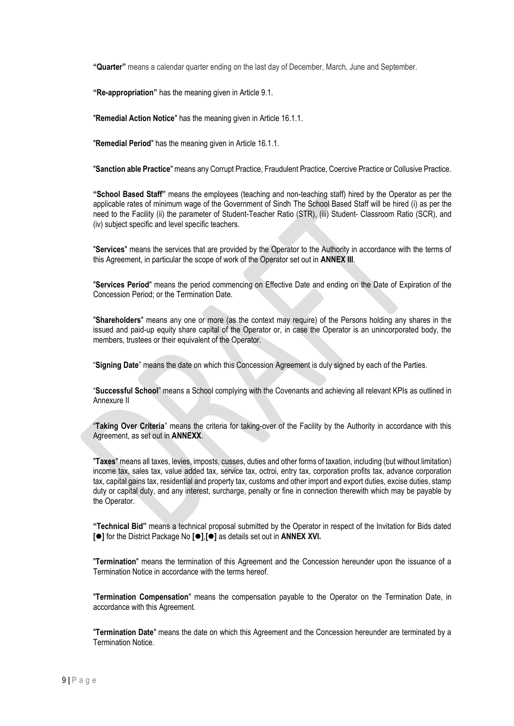**"Quarter"** means a calendar quarter ending on the last day of December, March, June and September.

**"Re-appropriation"** has the meaning given in Article 9.1.

"**Remedial Action Notice**" has the meaning given in Article 16.1.1.

"**Remedial Period**" has the meaning given in Article 16.1.1.

"**Sanction able Practice**" means any Corrupt Practice, Fraudulent Practice, Coercive Practice or Collusive Practice.

**"School Based Staff"** means the employees (teaching and non-teaching staff) hired by the Operator as per the applicable rates of minimum wage of the Government of Sindh The School Based Staff will be hired (i) as per the need to the Facility (ii) the parameter of Student-Teacher Ratio (STR), (iii) Student- Classroom Ratio (SCR), and (iv) subject specific and level specific teachers.

"**Services**" means the services that are provided by the Operator to the Authority in accordance with the terms of this Agreement, in particular the scope of work of the Operator set out in **ANNEX III**.

"**Services Period**" means the period commencing on Effective Date and ending on the Date of Expiration of the Concession Period; or the Termination Date.

"**Shareholders**" means any one or more (as the context may require) of the Persons holding any shares in the issued and paid-up equity share capital of the Operator or, in case the Operator is an unincorporated body, the members, trustees or their equivalent of the Operator.

"**Signing Date**" means the date on which this Concession Agreement is duly signed by each of the Parties.

"**Successful School**" means a School complying with the Covenants and achieving all relevant KPIs as outlined in Annexure II

"**Taking Over Criteria**" means the criteria for taking-over of the Facility by the Authority in accordance with this Agreement, as set out in **ANNEXX**.

"**Taxes**" means all taxes, levies, imposts, cusses, duties and other forms of taxation, including (but without limitation) income tax, sales tax, value added tax, service tax, octroi, entry tax, corporation profits tax, advance corporation tax, capital gains tax, residential and property tax, customs and other import and export duties, excise duties, stamp duty or capital duty, and any interest, surcharge, penalty or fine in connection therewith which may be payable by the Operator.

**"Technical Bid"** means a technical proposal submitted by the Operator in respect of the Invitation for Bids dated **[**⚫**]** for the District Package No **[**⚫**]**,**[**⚫**]** as details set out in **ANNEX XVI.**

"**Termination**" means the termination of this Agreement and the Concession hereunder upon the issuance of a Termination Notice in accordance with the terms hereof.

"**Termination Compensation**" means the compensation payable to the Operator on the Termination Date, in accordance with this Agreement.

"**Termination Date**" means the date on which this Agreement and the Concession hereunder are terminated by a Termination Notice.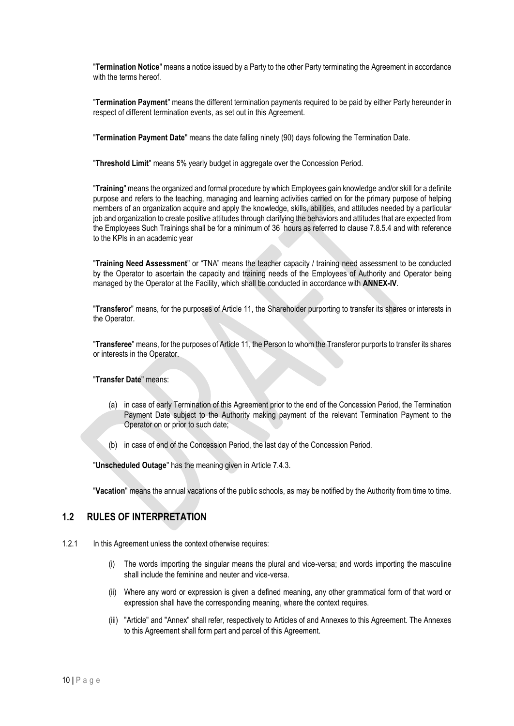"**Termination Notice**" means a notice issued by a Party to the other Party terminating the Agreement in accordance with the terms hereof.

"**Termination Payment**" means the different termination payments required to be paid by either Party hereunder in respect of different termination events, as set out in this Agreement.

"**Termination Payment Date**" means the date falling ninety (90) days following the Termination Date.

"**Threshold Limit**" means 5% yearly budget in aggregate over the Concession Period.

"**Training**" means the organized and formal procedure by which Employees gain knowledge and/or skill for a definite purpose and refers to the teaching, managing and learning activities carried on for the primary purpose of helping members of an organization acquire and apply the knowledge, skills, abilities, and attitudes needed by a particular job and organization to create positive attitudes through clarifying the behaviors and attitudes that are expected from the Employees Such Trainings shall be for a minimum of 36 hours as referred to clause 7.8.5.4 and with reference to the KPIs in an academic year

"**Training Need Assessment**" or "TNA" means the teacher capacity / training need assessment to be conducted by the Operator to ascertain the capacity and training needs of the Employees of Authority and Operator being managed by the Operator at the Facility, which shall be conducted in accordance with **ANNEX-IV**.

"**Transferor**" means, for the purposes of Article 11, the Shareholder purporting to transfer its shares or interests in the Operator.

"**Transferee**" means, for the purposes of Article 11, the Person to whom the Transferor purports to transfer its shares or interests in the Operator.

#### "**Transfer Date**" means:

- (a) in case of early Termination of this Agreement prior to the end of the Concession Period, the Termination Payment Date subject to the Authority making payment of the relevant Termination Payment to the Operator on or prior to such date;
- (b) in case of end of the Concession Period, the last day of the Concession Period.

"**Unscheduled Outage**" has the meaning given in Article 7.4.3.

"**Vacation**" means the annual vacations of the public schools, as may be notified by the Authority from time to time.

### **1.2 RULES OF INTERPRETATION**

- 1.2.1 In this Agreement unless the context otherwise requires:
	- (i) The words importing the singular means the plural and vice-versa; and words importing the masculine shall include the feminine and neuter and vice-versa.
	- (ii) Where any word or expression is given a defined meaning, any other grammatical form of that word or expression shall have the corresponding meaning, where the context requires.
	- (iii) "Article" and "Annex" shall refer, respectively to Articles of and Annexes to this Agreement. The Annexes to this Agreement shall form part and parcel of this Agreement.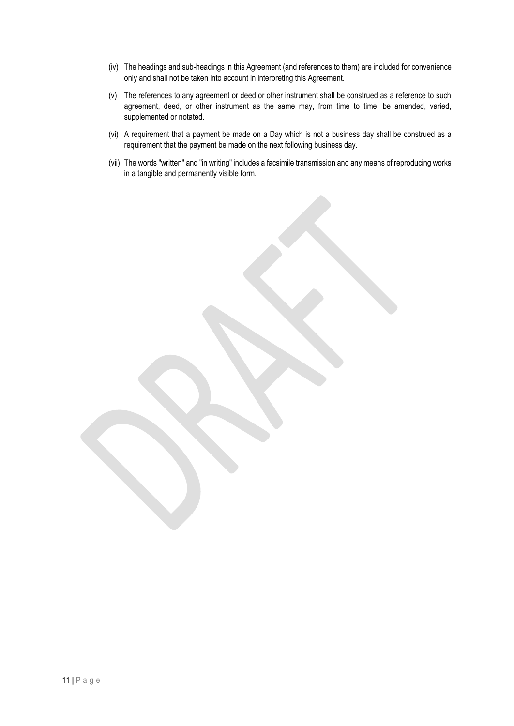- (iv) The headings and sub-headings in this Agreement (and references to them) are included for convenience only and shall not be taken into account in interpreting this Agreement.
- (v) The references to any agreement or deed or other instrument shall be construed as a reference to such agreement, deed, or other instrument as the same may, from time to time, be amended, varied, supplemented or notated.
- (vi) A requirement that a payment be made on a Day which is not a business day shall be construed as a requirement that the payment be made on the next following business day.
- (vii) The words "written" and "in writing" includes a facsimile transmission and any means of reproducing works in a tangible and permanently visible form.

11 **|** P a g e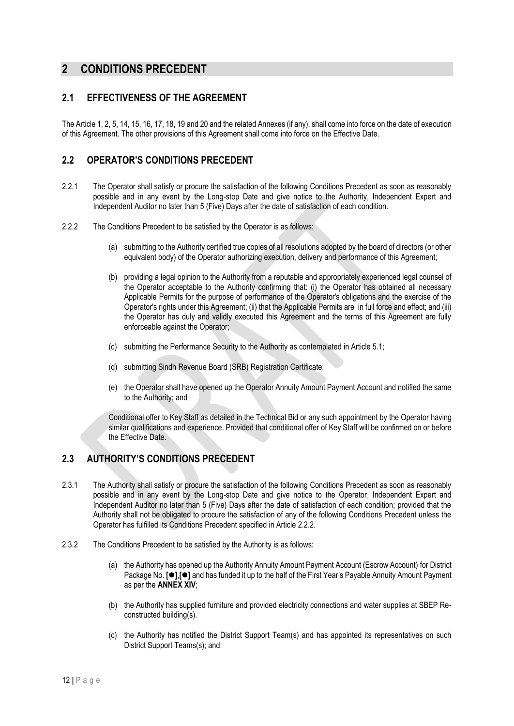### <span id="page-15-0"></span>**2 CONDITIONS PRECEDENT**

### **2.1 EFFECTIVENESS OF THE AGREEMENT**

The Article 1, 2, 5, 14, 15, 16, 17, 18, 19 and 20 and the related Annexes (if any), shall come into force on the date of execution of this Agreement. The other provisions of this Agreement shall come into force on the Effective Date.

### **2.2 OPERATOR'S CONDITIONS PRECEDENT**

- 2.2.1 The Operator shall satisfy or procure the satisfaction of the following Conditions Precedent as soon as reasonably possible and in any event by the Long-stop Date and give notice to the Authority, Independent Expert and Independent Auditor no later than 5 (Five) Days after the date of satisfaction of each condition.
- 2.2.2 The Conditions Precedent to be satisfied by the Operator is as follows:
	- (a) submitting to the Authority certified true copies of all resolutions adopted by the board of directors (or other equivalent body) of the Operator authorizing execution, delivery and performance of this Agreement;
	- (b) providing a legal opinion to the Authority from a reputable and appropriately experienced legal counsel of the Operator acceptable to the Authority confirming that: (i) the Operator has obtained all necessary Applicable Permits for the purpose of performance of the Operator's obligations and the exercise of the Operator's rights under this Agreement; (ii) that the Applicable Permits are in full force and effect; and (iii) the Operator has duly and validly executed this Agreement and the terms of this Agreement are fully enforceable against the Operator;
	- (c) submitting the Performance Security to the Authority as contemplated in Article 5.1;
	- (d) submitting Sindh Revenue Board (SRB) Registration Certificate;
	- (e) the Operator shall have opened up the Operator Annuity Amount Payment Account and notified the same to the Authority; and

Conditional offer to Key Staff as detailed in the Technical Bid or any such appointment by the Operator having similar qualifications and experience. Provided that conditional offer of Key Staff will be confirmed on or before the Effective Date.

### **2.3 AUTHORITY'S CONDITIONS PRECEDENT**

- 2.3.1 The Authority shall satisfy or procure the satisfaction of the following Conditions Precedent as soon as reasonably possible and in any event by the Long-stop Date and give notice to the Operator, Independent Expert and Independent Auditor no later than 5 (Five) Days after the date of satisfaction of each condition; provided that the Authority shall not be obligated to procure the satisfaction of any of the following Conditions Precedent unless the Operator has fulfilled its Conditions Precedent specified in Article 2.2.2.
- 2.3.2 The Conditions Precedent to be satisfied by the Authority is as follows:
	- (a) the Authority has opened up the Authority Annuity Amount Payment Account (Escrow Account) for District Package No. **[**⚫**]**,**[**⚫**]** and has funded it up to the half of the First Year's Payable Annuity Amount Payment as per the **ANNEX XIV**;
	- (b) the Authority has supplied furniture and provided electricity connections and water supplies at SBEP Reconstructed building(s).
	- (c) the Authority has notified the District Support Team(s) and has appointed its representatives on such District Support Teams(s); and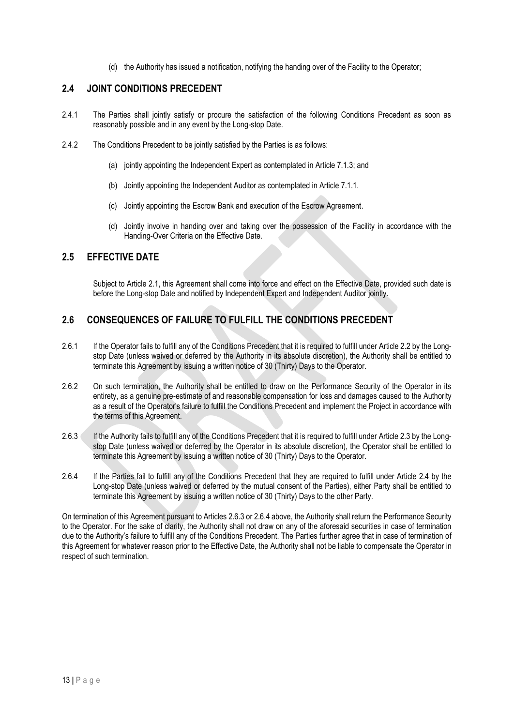(d) the Authority has issued a notification, notifying the handing over of the Facility to the Operator;

### **2.4 JOINT CONDITIONS PRECEDENT**

- 2.4.1 The Parties shall jointly satisfy or procure the satisfaction of the following Conditions Precedent as soon as reasonably possible and in any event by the Long-stop Date.
- 2.4.2 The Conditions Precedent to be jointly satisfied by the Parties is as follows:
	- (a) jointly appointing the Independent Expert as contemplated in Article 7.1.3; and
	- (b) Jointly appointing the Independent Auditor as contemplated in Article 7.1.1.
	- (c) Jointly appointing the Escrow Bank and execution of the Escrow Agreement.
	- (d) Jointly involve in handing over and taking over the possession of the Facility in accordance with the Handing-Over Criteria on the Effective Date.

### **2.5 EFFECTIVE DATE**

Subject to Article 2.1, this Agreement shall come into force and effect on the Effective Date, provided such date is before the Long-stop Date and notified by Independent Expert and Independent Auditor jointly.

### **2.6 CONSEQUENCES OF FAILURE TO FULFILL THE CONDITIONS PRECEDENT**

- 2.6.1 If the Operator fails to fulfill any of the Conditions Precedent that it is required to fulfill under Article 2.2 by the Longstop Date (unless waived or deferred by the Authority in its absolute discretion), the Authority shall be entitled to terminate this Agreement by issuing a written notice of 30 (Thirty) Days to the Operator.
- 2.6.2 On such termination, the Authority shall be entitled to draw on the Performance Security of the Operator in its entirety, as a genuine pre-estimate of and reasonable compensation for loss and damages caused to the Authority as a result of the Operator's failure to fulfill the Conditions Precedent and implement the Project in accordance with the terms of this Agreement.
- 2.6.3 If the Authority fails to fulfill any of the Conditions Precedent that it is required to fulfill under Article 2.3 by the Longstop Date (unless waived or deferred by the Operator in its absolute discretion), the Operator shall be entitled to terminate this Agreement by issuing a written notice of 30 (Thirty) Days to the Operator.
- 2.6.4 If the Parties fail to fulfill any of the Conditions Precedent that they are required to fulfill under Article 2.4 by the Long-stop Date (unless waived or deferred by the mutual consent of the Parties), either Party shall be entitled to terminate this Agreement by issuing a written notice of 30 (Thirty) Days to the other Party.

On termination of this Agreement pursuant to Articles 2.6.3 or 2.6.4 above, the Authority shall return the Performance Security to the Operator. For the sake of clarity, the Authority shall not draw on any of the aforesaid securities in case of termination due to the Authority's failure to fulfill any of the Conditions Precedent. The Parties further agree that in case of termination of this Agreement for whatever reason prior to the Effective Date, the Authority shall not be liable to compensate the Operator in respect of such termination.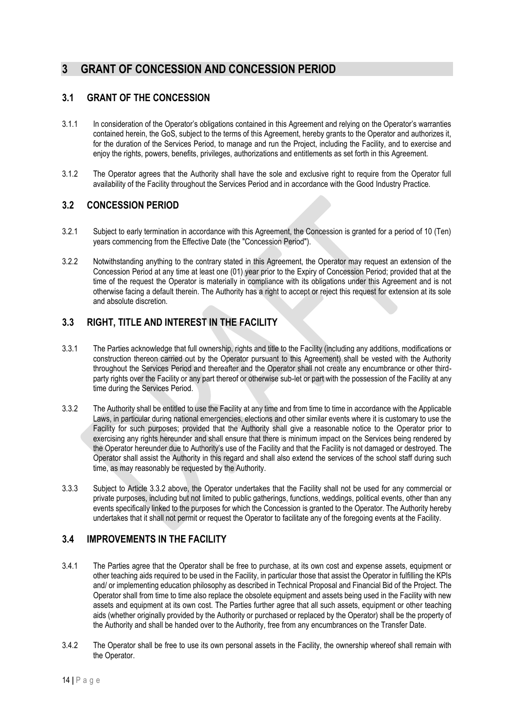### <span id="page-17-0"></span>**3 GRANT OF CONCESSION AND CONCESSION PERIOD**

### **3.1 GRANT OF THE CONCESSION**

- 3.1.1 In consideration of the Operator's obligations contained in this Agreement and relying on the Operator's warranties contained herein, the GoS, subject to the terms of this Agreement, hereby grants to the Operator and authorizes it, for the duration of the Services Period, to manage and run the Project, including the Facility, and to exercise and enjoy the rights, powers, benefits, privileges, authorizations and entitlements as set forth in this Agreement.
- 3.1.2 The Operator agrees that the Authority shall have the sole and exclusive right to require from the Operator full availability of the Facility throughout the Services Period and in accordance with the Good Industry Practice.

### **3.2 CONCESSION PERIOD**

- 3.2.1 Subject to early termination in accordance with this Agreement, the Concession is granted for a period of 10 (Ten) years commencing from the Effective Date (the "Concession Period").
- 3.2.2 Notwithstanding anything to the contrary stated in this Agreement, the Operator may request an extension of the Concession Period at any time at least one (01) year prior to the Expiry of Concession Period; provided that at the time of the request the Operator is materially in compliance with its obligations under this Agreement and is not otherwise facing a default therein. The Authority has a right to accept or reject this request for extension at its sole and absolute discretion.

### **3.3 RIGHT, TITLE AND INTEREST IN THE FACILITY**

- 3.3.1 The Parties acknowledge that full ownership, rights and title to the Facility (including any additions, modifications or construction thereon carried out by the Operator pursuant to this Agreement) shall be vested with the Authority throughout the Services Period and thereafter and the Operator shall not create any encumbrance or other thirdparty rights over the Facility or any part thereof or otherwise sub-let or part with the possession of the Facility at any time during the Services Period.
- 3.3.2 The Authority shall be entitled to use the Facility at any time and from time to time in accordance with the Applicable Laws, in particular during national emergencies, elections and other similar events where it is customary to use the Facility for such purposes; provided that the Authority shall give a reasonable notice to the Operator prior to exercising any rights hereunder and shall ensure that there is minimum impact on the Services being rendered by the Operator hereunder due to Authority's use of the Facility and that the Facility is not damaged or destroyed. The Operator shall assist the Authority in this regard and shall also extend the services of the school staff during such time, as may reasonably be requested by the Authority.
- 3.3.3 Subject to Article 3.3.2 above, the Operator undertakes that the Facility shall not be used for any commercial or private purposes, including but not limited to public gatherings, functions, weddings, political events, other than any events specifically linked to the purposes for which the Concession is granted to the Operator. The Authority hereby undertakes that it shall not permit or request the Operator to facilitate any of the foregoing events at the Facility.

### **3.4 IMPROVEMENTS IN THE FACILITY**

- 3.4.1 The Parties agree that the Operator shall be free to purchase, at its own cost and expense assets, equipment or other teaching aids required to be used in the Facility, in particular those that assist the Operator in fulfilling the KPIs and/ or implementing education philosophy as described in Technical Proposal and Financial Bid of the Project. The Operator shall from time to time also replace the obsolete equipment and assets being used in the Facility with new assets and equipment at its own cost. The Parties further agree that all such assets, equipment or other teaching aids (whether originally provided by the Authority or purchased or replaced by the Operator) shall be the property of the Authority and shall be handed over to the Authority, free from any encumbrances on the Transfer Date.
- 3.4.2 The Operator shall be free to use its own personal assets in the Facility, the ownership whereof shall remain with the Operator.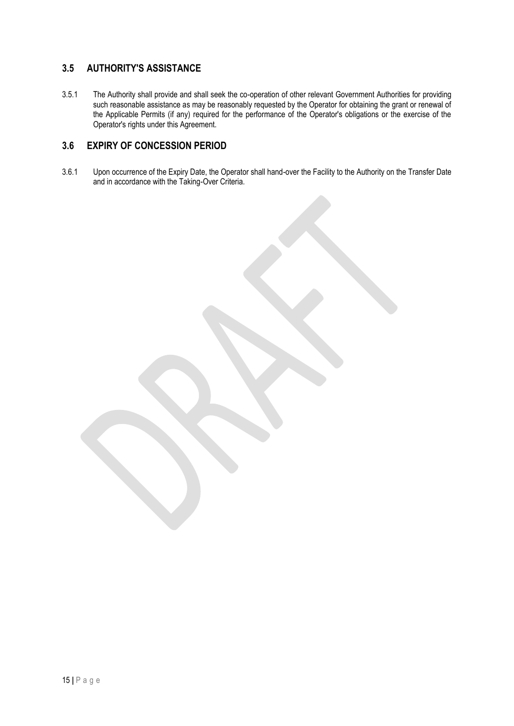### **3.5 AUTHORITY'S ASSISTANCE**

3.5.1 The Authority shall provide and shall seek the co-operation of other relevant Government Authorities for providing such reasonable assistance as may be reasonably requested by the Operator for obtaining the grant or renewal of the Applicable Permits (if any) required for the performance of the Operator's obligations or the exercise of the Operator's rights under this Agreement.

### **3.6 EXPIRY OF CONCESSION PERIOD**

3.6.1 Upon occurrence of the Expiry Date, the Operator shall hand-over the Facility to the Authority on the Transfer Date and in accordance with the Taking-Over Criteria.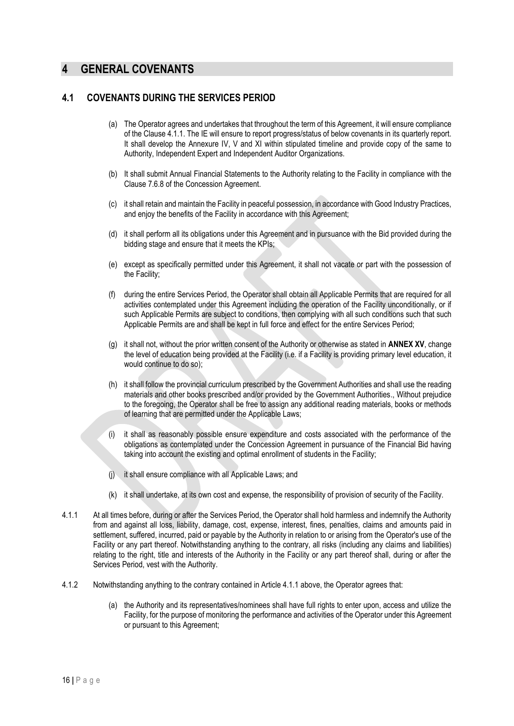### <span id="page-19-0"></span>**4 GENERAL COVENANTS**

#### **4.1 COVENANTS DURING THE SERVICES PERIOD**

- (a) The Operator agrees and undertakes that throughout the term of this Agreement, it will ensure compliance of the Clause 4.1.1. The IE will ensure to report progress/status of below covenants in its quarterly report. It shall develop the Annexure IV, V and XI within stipulated timeline and provide copy of the same to Authority, Independent Expert and Independent Auditor Organizations.
- (b) It shall submit Annual Financial Statements to the Authority relating to the Facility in compliance with the Clause 7.6.8 of the Concession Agreement.
- (c) it shall retain and maintain the Facility in peaceful possession, in accordance with Good Industry Practices, and enjoy the benefits of the Facility in accordance with this Agreement;
- (d) it shall perform all its obligations under this Agreement and in pursuance with the Bid provided during the bidding stage and ensure that it meets the KPIs;
- (e) except as specifically permitted under this Agreement, it shall not vacate or part with the possession of the Facility;
- (f) during the entire Services Period, the Operator shall obtain all Applicable Permits that are required for all activities contemplated under this Agreement including the operation of the Facility unconditionally, or if such Applicable Permits are subject to conditions, then complying with all such conditions such that such Applicable Permits are and shall be kept in full force and effect for the entire Services Period;
- (g) it shall not, without the prior written consent of the Authority or otherwise as stated in **ANNEX XV**, change the level of education being provided at the Facility (i.e. if a Facility is providing primary level education, it would continue to do so);
- (h) it shall follow the provincial curriculum prescribed by the Government Authorities and shall use the reading materials and other books prescribed and/or provided by the Government Authorities., Without prejudice to the foregoing, the Operator shall be free to assign any additional reading materials, books or methods of learning that are permitted under the Applicable Laws;
- (i) it shall as reasonably possible ensure expenditure and costs associated with the performance of the obligations as contemplated under the Concession Agreement in pursuance of the Financial Bid having taking into account the existing and optimal enrollment of students in the Facility;
- (j) it shall ensure compliance with all Applicable Laws; and
- (k) it shall undertake, at its own cost and expense, the responsibility of provision of security of the Facility.
- 4.1.1 At all times before, during or after the Services Period, the Operator shall hold harmless and indemnify the Authority from and against all loss, liability, damage, cost, expense, interest, fines, penalties, claims and amounts paid in settlement, suffered, incurred, paid or payable by the Authority in relation to or arising from the Operator's use of the Facility or any part thereof. Notwithstanding anything to the contrary, all risks (including any claims and liabilities) relating to the right, title and interests of the Authority in the Facility or any part thereof shall, during or after the Services Period, vest with the Authority.
- 4.1.2 Notwithstanding anything to the contrary contained in Article 4.1.1 above, the Operator agrees that:
	- (a) the Authority and its representatives/nominees shall have full rights to enter upon, access and utilize the Facility, for the purpose of monitoring the performance and activities of the Operator under this Agreement or pursuant to this Agreement;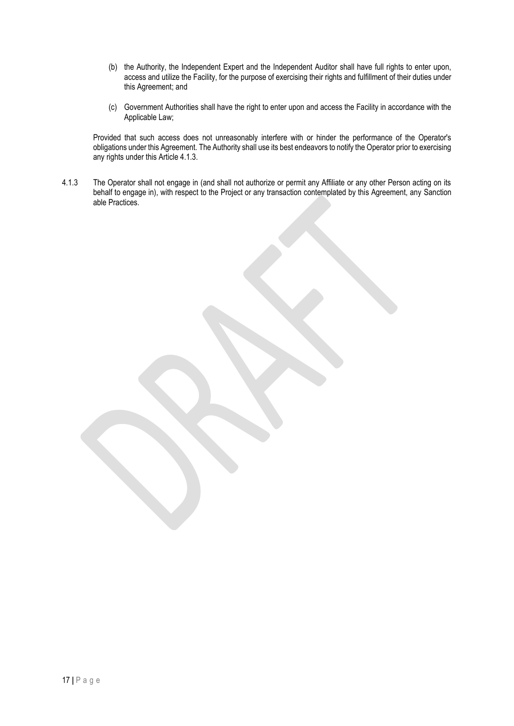- (b) the Authority, the Independent Expert and the Independent Auditor shall have full rights to enter upon, access and utilize the Facility, for the purpose of exercising their rights and fulfillment of their duties under this Agreement; and
- (c) Government Authorities shall have the right to enter upon and access the Facility in accordance with the Applicable Law;

Provided that such access does not unreasonably interfere with or hinder the performance of the Operator's obligations under this Agreement. The Authority shall use its best endeavors to notify the Operator prior to exercising any rights under this Article 4.1.3.

4.1.3 The Operator shall not engage in (and shall not authorize or permit any Affiliate or any other Person acting on its behalf to engage in), with respect to the Project or any transaction contemplated by this Agreement, any Sanction able Practices.

17 **|** P a g e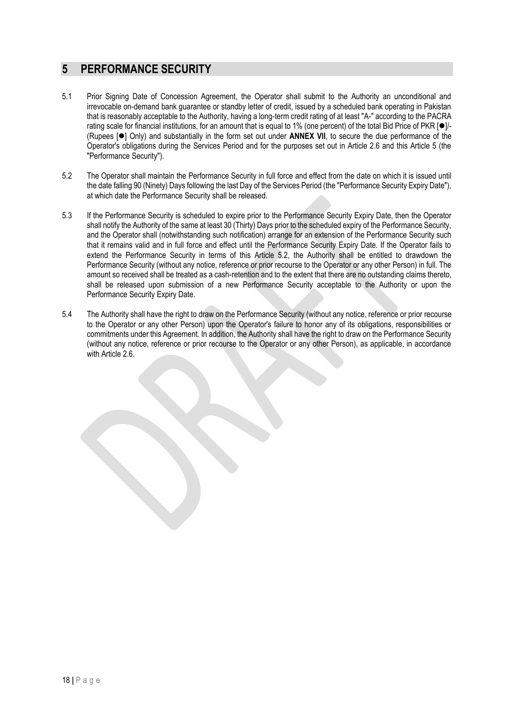### <span id="page-21-0"></span>**5 PERFORMANCE SECURITY**

- 5.1 Prior Signing Date of Concession Agreement, the Operator shall submit to the Authority an unconditional and irrevocable on-demand bank guarantee or standby letter of credit, issued by a scheduled bank operating in Pakistan that is reasonably acceptable to the Authority, having a long-term credit rating of at least "A-" according to the PACRA rating scale for financial institutions, for an amount that is equal to 1% (one percent) of the total Bid Price of PKR [●]/-(Rupees [⚫] Only) and substantially in the form set out under **ANNEX VII**, to secure the due performance of the Operator's obligations during the Services Period and for the purposes set out in Article 2.6 and this Article 5 (the "Performance Security").
- 5.2 The Operator shall maintain the Performance Security in full force and effect from the date on which it is issued until the date falling 90 (Ninety) Days following the last Day of the Services Period (the "Performance Security Expiry Date"), at which date the Performance Security shall be released.
- 5.3 If the Performance Security is scheduled to expire prior to the Performance Security Expiry Date, then the Operator shall notify the Authority of the same at least 30 (Thirty) Days prior to the scheduled expiry of the Performance Security, and the Operator shall (notwithstanding such notification) arrange for an extension of the Performance Security such that it remains valid and in full force and effect until the Performance Security Expiry Date. If the Operator fails to extend the Performance Security in terms of this Article 5.2, the Authority shall be entitled to drawdown the Performance Security (without any notice, reference or prior recourse to the Operator or any other Person) in full. The amount so received shall be treated as a cash-retention and to the extent that there are no outstanding claims thereto, shall be released upon submission of a new Performance Security acceptable to the Authority or upon the Performance Security Expiry Date.
- 5.4 The Authority shall have the right to draw on the Performance Security (without any notice, reference or prior recourse to the Operator or any other Person) upon the Operator's failure to honor any of its obligations, responsibilities or commitments under this Agreement. In addition, the Authority shall have the right to draw on the Performance Security (without any notice, reference or prior recourse to the Operator or any other Person), as applicable, in accordance with Article 2.6.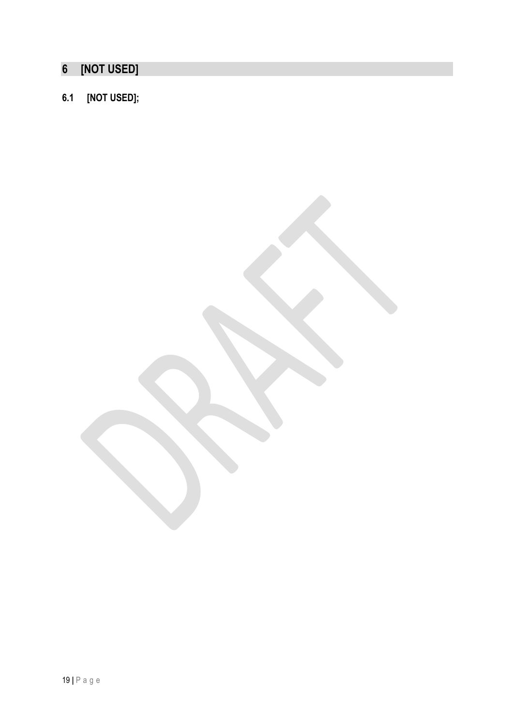### <span id="page-22-0"></span>**[NOT USED]**

### **6.1 [NOT USED];**

**|** P a g e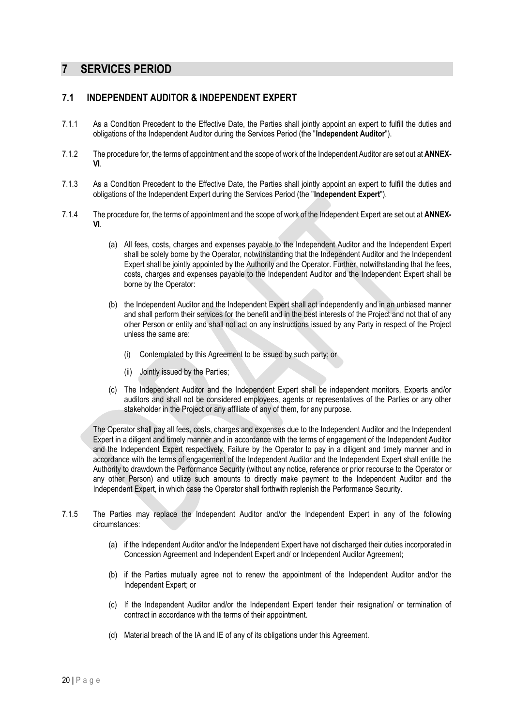### <span id="page-23-0"></span>**7 SERVICES PERIOD**

### **7.1 INDEPENDENT AUDITOR & INDEPENDENT EXPERT**

- 7.1.1 As a Condition Precedent to the Effective Date, the Parties shall jointly appoint an expert to fulfill the duties and obligations of the Independent Auditor during the Services Period (the "**Independent Auditor**").
- 7.1.2 The procedure for, the terms of appointment and the scope of work of the Independent Auditor are set out at **ANNEX-VI**.
- 7.1.3 As a Condition Precedent to the Effective Date, the Parties shall jointly appoint an expert to fulfill the duties and obligations of the Independent Expert during the Services Period (the "**Independent Expert**").
- 7.1.4 The procedure for, the terms of appointment and the scope of work of the Independent Expert are set out at **ANNEX-VI**.
	- (a) All fees, costs, charges and expenses payable to the Independent Auditor and the Independent Expert shall be solely borne by the Operator, notwithstanding that the Independent Auditor and the Independent Expert shall be jointly appointed by the Authority and the Operator. Further, notwithstanding that the fees, costs, charges and expenses payable to the Independent Auditor and the Independent Expert shall be borne by the Operator:
	- (b) the Independent Auditor and the Independent Expert shall act independently and in an unbiased manner and shall perform their services for the benefit and in the best interests of the Project and not that of any other Person or entity and shall not act on any instructions issued by any Party in respect of the Project unless the same are:
		- (i) Contemplated by this Agreement to be issued by such party; or
		- (ii) Jointly issued by the Parties;
	- (c) The Independent Auditor and the Independent Expert shall be independent monitors, Experts and/or auditors and shall not be considered employees, agents or representatives of the Parties or any other stakeholder in the Project or any affiliate of any of them, for any purpose.

The Operator shall pay all fees, costs, charges and expenses due to the Independent Auditor and the Independent Expert in a diligent and timely manner and in accordance with the terms of engagement of the Independent Auditor and the Independent Expert respectively. Failure by the Operator to pay in a diligent and timely manner and in accordance with the terms of engagement of the Independent Auditor and the Independent Expert shall entitle the Authority to drawdown the Performance Security (without any notice, reference or prior recourse to the Operator or any other Person) and utilize such amounts to directly make payment to the Independent Auditor and the Independent Expert, in which case the Operator shall forthwith replenish the Performance Security.

- 7.1.5 The Parties may replace the Independent Auditor and/or the Independent Expert in any of the following circumstances:
	- (a) if the Independent Auditor and/or the Independent Expert have not discharged their duties incorporated in Concession Agreement and Independent Expert and/ or Independent Auditor Agreement;
	- (b) if the Parties mutually agree not to renew the appointment of the Independent Auditor and/or the Independent Expert; or
	- (c) If the Independent Auditor and/or the Independent Expert tender their resignation/ or termination of contract in accordance with the terms of their appointment.
	- (d) Material breach of the IA and IE of any of its obligations under this Agreement.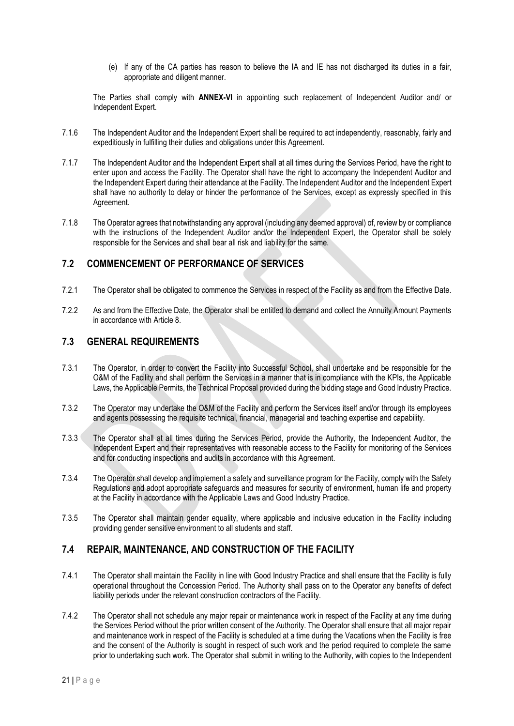(e) If any of the CA parties has reason to believe the IA and IE has not discharged its duties in a fair, appropriate and diligent manner.

The Parties shall comply with **ANNEX-VI** in appointing such replacement of Independent Auditor and/ or Independent Expert.

- 7.1.6 The Independent Auditor and the Independent Expert shall be required to act independently, reasonably, fairly and expeditiously in fulfilling their duties and obligations under this Agreement.
- 7.1.7 The Independent Auditor and the Independent Expert shall at all times during the Services Period, have the right to enter upon and access the Facility. The Operator shall have the right to accompany the Independent Auditor and the Independent Expert during their attendance at the Facility. The Independent Auditor and the Independent Expert shall have no authority to delay or hinder the performance of the Services, except as expressly specified in this Agreement.
- 7.1.8 The Operator agrees that notwithstanding any approval (including any deemed approval) of, review by or compliance with the instructions of the Independent Auditor and/or the Independent Expert, the Operator shall be solely responsible for the Services and shall bear all risk and liability for the same.

### **7.2 COMMENCEMENT OF PERFORMANCE OF SERVICES**

- 7.2.1 The Operator shall be obligated to commence the Services in respect of the Facility as and from the Effective Date.
- 7.2.2 As and from the Effective Date, the Operator shall be entitled to demand and collect the Annuity Amount Payments in accordance with Article 8.

### **7.3 GENERAL REQUIREMENTS**

- 7.3.1 The Operator, in order to convert the Facility into Successful School, shall undertake and be responsible for the O&M of the Facility and shall perform the Services in a manner that is in compliance with the KPIs, the Applicable Laws, the Applicable Permits, the Technical Proposal provided during the bidding stage and Good Industry Practice.
- 7.3.2 The Operator may undertake the O&M of the Facility and perform the Services itself and/or through its employees and agents possessing the requisite technical, financial, managerial and teaching expertise and capability.
- 7.3.3 The Operator shall at all times during the Services Period, provide the Authority, the Independent Auditor, the Independent Expert and their representatives with reasonable access to the Facility for monitoring of the Services and for conducting inspections and audits in accordance with this Agreement.
- 7.3.4 The Operator shall develop and implement a safety and surveillance program for the Facility, comply with the Safety Regulations and adopt appropriate safeguards and measures for security of environment, human life and property at the Facility in accordance with the Applicable Laws and Good Industry Practice.
- 7.3.5 The Operator shall maintain gender equality, where applicable and inclusive education in the Facility including providing gender sensitive environment to all students and staff.

### **7.4 REPAIR, MAINTENANCE, AND CONSTRUCTION OF THE FACILITY**

- 7.4.1 The Operator shall maintain the Facility in line with Good Industry Practice and shall ensure that the Facility is fully operational throughout the Concession Period. The Authority shall pass on to the Operator any benefits of defect liability periods under the relevant construction contractors of the Facility.
- 7.4.2 The Operator shall not schedule any major repair or maintenance work in respect of the Facility at any time during the Services Period without the prior written consent of the Authority. The Operator shall ensure that all major repair and maintenance work in respect of the Facility is scheduled at a time during the Vacations when the Facility is free and the consent of the Authority is sought in respect of such work and the period required to complete the same prior to undertaking such work. The Operator shall submit in writing to the Authority, with copies to the Independent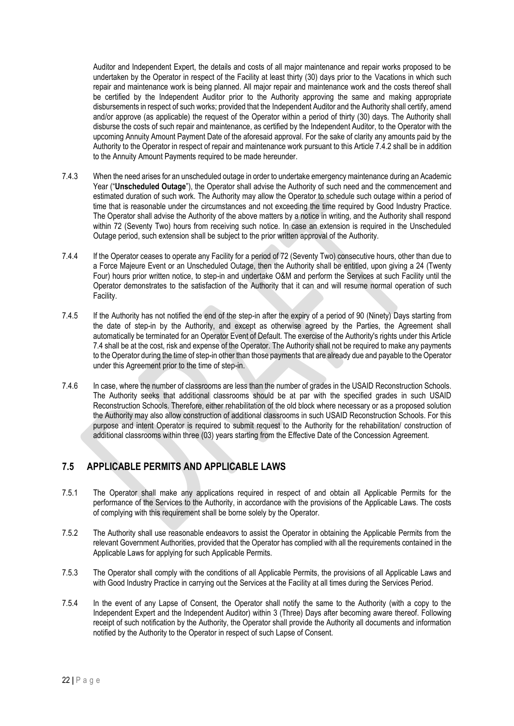Auditor and Independent Expert, the details and costs of all major maintenance and repair works proposed to be undertaken by the Operator in respect of the Facility at least thirty (30) days prior to the Vacations in which such repair and maintenance work is being planned. All major repair and maintenance work and the costs thereof shall be certified by the Independent Auditor prior to the Authority approving the same and making appropriate disbursements in respect of such works; provided that the Independent Auditor and the Authority shall certify, amend and/or approve (as applicable) the request of the Operator within a period of thirty (30) days. The Authority shall disburse the costs of such repair and maintenance, as certified by the Independent Auditor, to the Operator with the upcoming Annuity Amount Payment Date of the aforesaid approval. For the sake of clarity any amounts paid by the Authority to the Operator in respect of repair and maintenance work pursuant to this Article 7.4.2 shall be in addition to the Annuity Amount Payments required to be made hereunder.

- 7.4.3 When the need arises for an unscheduled outage in order to undertake emergency maintenance during an Academic Year ("**Unscheduled Outage**"), the Operator shall advise the Authority of such need and the commencement and estimated duration of such work. The Authority may allow the Operator to schedule such outage within a period of time that is reasonable under the circumstances and not exceeding the time required by Good Industry Practice. The Operator shall advise the Authority of the above matters by a notice in writing, and the Authority shall respond within 72 (Seventy Two) hours from receiving such notice. In case an extension is required in the Unscheduled Outage period, such extension shall be subject to the prior written approval of the Authority.
- 7.4.4 If the Operator ceases to operate any Facility for a period of 72 (Seventy Two) consecutive hours, other than due to a Force Majeure Event or an Unscheduled Outage, then the Authority shall be entitled, upon giving a 24 (Twenty Four) hours prior written notice, to step-in and undertake O&M and perform the Services at such Facility until the Operator demonstrates to the satisfaction of the Authority that it can and will resume normal operation of such Facility.
- 7.4.5 If the Authority has not notified the end of the step-in after the expiry of a period of 90 (Ninety) Days starting from the date of step-in by the Authority, and except as otherwise agreed by the Parties, the Agreement shall automatically be terminated for an Operator Event of Default. The exercise of the Authority's rights under this Article 7.4 shall be at the cost, risk and expense of the Operator. The Authority shall not be required to make any payments to the Operator during the time of step-in other than those payments that are already due and payable to the Operator under this Agreement prior to the time of step-in.
- 7.4.6 In case, where the number of classrooms are less than the number of grades in the USAID Reconstruction Schools. The Authority seeks that additional classrooms should be at par with the specified grades in such USAID Reconstruction Schools. Therefore, either rehabilitation of the old block where necessary or as a proposed solution the Authority may also allow construction of additional classrooms in such USAID Reconstruction Schools. For this purpose and intent Operator is required to submit request to the Authority for the rehabilitation/ construction of additional classrooms within three (03) years starting from the Effective Date of the Concession Agreement.

### **7.5 APPLICABLE PERMITS AND APPLICABLE LAWS**

- 7.5.1 The Operator shall make any applications required in respect of and obtain all Applicable Permits for the performance of the Services to the Authority, in accordance with the provisions of the Applicable Laws. The costs of complying with this requirement shall be borne solely by the Operator.
- 7.5.2 The Authority shall use reasonable endeavors to assist the Operator in obtaining the Applicable Permits from the relevant Government Authorities, provided that the Operator has complied with all the requirements contained in the Applicable Laws for applying for such Applicable Permits.
- 7.5.3 The Operator shall comply with the conditions of all Applicable Permits, the provisions of all Applicable Laws and with Good Industry Practice in carrying out the Services at the Facility at all times during the Services Period.
- 7.5.4 In the event of any Lapse of Consent, the Operator shall notify the same to the Authority (with a copy to the Independent Expert and the Independent Auditor) within 3 (Three) Days after becoming aware thereof. Following receipt of such notification by the Authority, the Operator shall provide the Authority all documents and information notified by the Authority to the Operator in respect of such Lapse of Consent.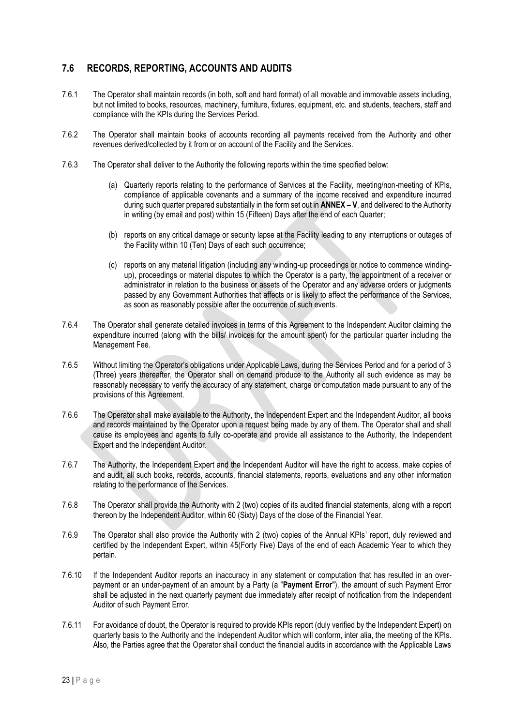### **7.6 RECORDS, REPORTING, ACCOUNTS AND AUDITS**

- 7.6.1 The Operator shall maintain records (in both, soft and hard format) of all movable and immovable assets including, but not limited to books, resources, machinery, furniture, fixtures, equipment, etc. and students, teachers, staff and compliance with the KPIs during the Services Period.
- 7.6.2 The Operator shall maintain books of accounts recording all payments received from the Authority and other revenues derived/collected by it from or on account of the Facility and the Services.
- 7.6.3 The Operator shall deliver to the Authority the following reports within the time specified below:
	- (a) Quarterly reports relating to the performance of Services at the Facility, meeting/non-meeting of KPIs, compliance of applicable covenants and a summary of the income received and expenditure incurred during such quarter prepared substantially in the form set out in **ANNEX – V**, and delivered to the Authority in writing (by email and post) within 15 (Fifteen) Days after the end of each Quarter;
	- (b) reports on any critical damage or security lapse at the Facility leading to any interruptions or outages of the Facility within 10 (Ten) Days of each such occurrence;
	- (c) reports on any material litigation (including any winding-up proceedings or notice to commence windingup), proceedings or material disputes to which the Operator is a party, the appointment of a receiver or administrator in relation to the business or assets of the Operator and any adverse orders or judgments passed by any Government Authorities that affects or is likely to affect the performance of the Services, as soon as reasonably possible after the occurrence of such events.
- 7.6.4 The Operator shall generate detailed invoices in terms of this Agreement to the Independent Auditor claiming the expenditure incurred (along with the bills/ invoices for the amount spent) for the particular quarter including the Management Fee.
- 7.6.5 Without limiting the Operator's obligations under Applicable Laws, during the Services Period and for a period of 3 (Three) years thereafter, the Operator shall on demand produce to the Authority all such evidence as may be reasonably necessary to verify the accuracy of any statement, charge or computation made pursuant to any of the provisions of this Agreement.
- 7.6.6 The Operator shall make available to the Authority, the Independent Expert and the Independent Auditor, all books and records maintained by the Operator upon a request being made by any of them. The Operator shall and shall cause its employees and agents to fully co-operate and provide all assistance to the Authority, the Independent Expert and the Independent Auditor.
- 7.6.7 The Authority, the Independent Expert and the Independent Auditor will have the right to access, make copies of and audit, all such books, records, accounts, financial statements, reports, evaluations and any other information relating to the performance of the Services.
- 7.6.8 The Operator shall provide the Authority with 2 (two) copies of its audited financial statements, along with a report thereon by the Independent Auditor, within 60 (Sixty) Days of the close of the Financial Year.
- 7.6.9 The Operator shall also provide the Authority with 2 (two) copies of the Annual KPIs' report, duly reviewed and certified by the Independent Expert, within 45(Forty Five) Days of the end of each Academic Year to which they pertain.
- 7.6.10 If the Independent Auditor reports an inaccuracy in any statement or computation that has resulted in an overpayment or an under-payment of an amount by a Party (a "**Payment Error**"), the amount of such Payment Error shall be adjusted in the next quarterly payment due immediately after receipt of notification from the Independent Auditor of such Payment Error.
- 7.6.11 For avoidance of doubt, the Operator is required to provide KPIs report (duly verified by the Independent Expert) on quarterly basis to the Authority and the Independent Auditor which will conform, inter alia, the meeting of the KPIs. Also, the Parties agree that the Operator shall conduct the financial audits in accordance with the Applicable Laws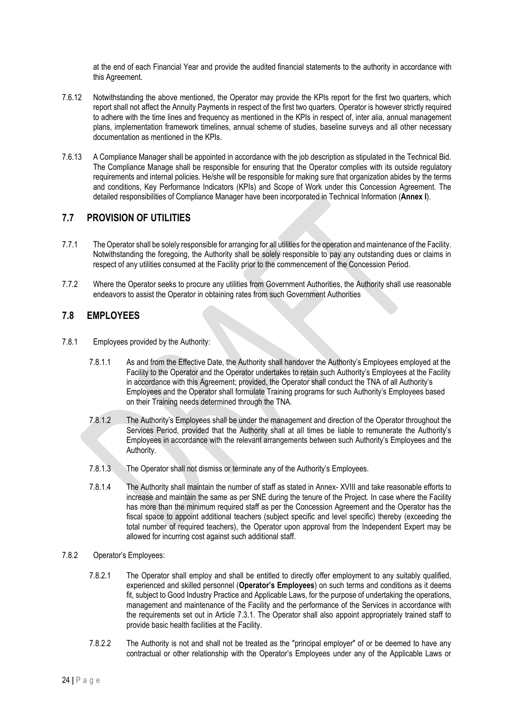at the end of each Financial Year and provide the audited financial statements to the authority in accordance with this Agreement.

- 7.6.12 Notwithstanding the above mentioned, the Operator may provide the KPIs report for the first two quarters, which report shall not affect the Annuity Payments in respect of the first two quarters. Operator is however strictly required to adhere with the time lines and frequency as mentioned in the KPIs in respect of, inter alia, annual management plans, implementation framework timelines, annual scheme of studies, baseline surveys and all other necessary documentation as mentioned in the KPIs.
- 7.6.13 A Compliance Manager shall be appointed in accordance with the job description as stipulated in the Technical Bid. The Compliance Manage shall be responsible for ensuring that the Operator complies with its outside regulatory requirements and internal policies. He/she will be responsible for making sure that organization abides by the terms and conditions, Key Performance Indicators (KPIs) and Scope of Work under this Concession Agreement. The detailed responsibilities of Compliance Manager have been incorporated in Technical Information (**Annex I**).

### **7.7 PROVISION OF UTILITIES**

- 7.7.1 The Operator shall be solely responsible for arranging for all utilities for the operation and maintenance of the Facility. Notwithstanding the foregoing, the Authority shall be solely responsible to pay any outstanding dues or claims in respect of any utilities consumed at the Facility prior to the commencement of the Concession Period.
- 7.7.2 Where the Operator seeks to procure any utilities from Government Authorities, the Authority shall use reasonable endeavors to assist the Operator in obtaining rates from such Government Authorities

### **7.8 EMPLOYEES**

- 7.8.1 Employees provided by the Authority:
	- 7.8.1.1 As and from the Effective Date, the Authority shall handover the Authority's Employees employed at the Facility to the Operator and the Operator undertakes to retain such Authority's Employees at the Facility in accordance with this Agreement; provided, the Operator shall conduct the TNA of all Authority's Employees and the Operator shall formulate Training programs for such Authority's Employees based on their Training needs determined through the TNA.
	- 7.8.1.2 The Authority's Employees shall be under the management and direction of the Operator throughout the Services Period, provided that the Authority shall at all times be liable to remunerate the Authority's Employees in accordance with the relevant arrangements between such Authority's Employees and the Authority.
	- 7.8.1.3 The Operator shall not dismiss or terminate any of the Authority's Employees.
	- 7.8.1.4 The Authority shall maintain the number of staff as stated in Annex- XVIII and take reasonable efforts to increase and maintain the same as per SNE during the tenure of the Project. In case where the Facility has more than the minimum required staff as per the Concession Agreement and the Operator has the fiscal space to appoint additional teachers (subject specific and level specific) thereby (exceeding the total number of required teachers), the Operator upon approval from the Independent Expert may be allowed for incurring cost against such additional staff.
- 7.8.2 Operator's Employees:
	- 7.8.2.1 The Operator shall employ and shall be entitled to directly offer employment to any suitably qualified, experienced and skilled personnel (**Operator's Employees**) on such terms and conditions as it deems fit, subject to Good Industry Practice and Applicable Laws, for the purpose of undertaking the operations, management and maintenance of the Facility and the performance of the Services in accordance with the requirements set out in Article 7.3.1. The Operator shall also appoint appropriately trained staff to provide basic health facilities at the Facility.
	- 7.8.2.2 The Authority is not and shall not be treated as the "principal employer" of or be deemed to have any contractual or other relationship with the Operator's Employees under any of the Applicable Laws or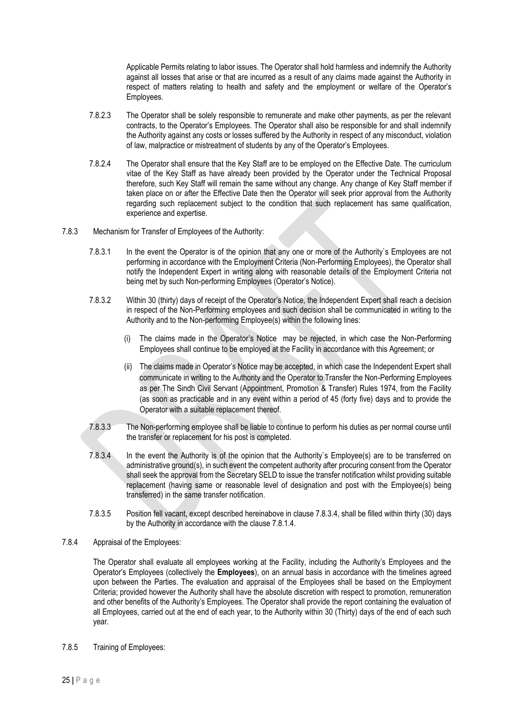Applicable Permits relating to labor issues. The Operator shall hold harmless and indemnify the Authority against all losses that arise or that are incurred as a result of any claims made against the Authority in respect of matters relating to health and safety and the employment or welfare of the Operator's Employees.

- 7.8.2.3 The Operator shall be solely responsible to remunerate and make other payments, as per the relevant contracts, to the Operator's Employees. The Operator shall also be responsible for and shall indemnify the Authority against any costs or losses suffered by the Authority in respect of any misconduct, violation of law, malpractice or mistreatment of students by any of the Operator's Employees.
- 7.8.2.4 The Operator shall ensure that the Key Staff are to be employed on the Effective Date. The curriculum vitae of the Key Staff as have already been provided by the Operator under the Technical Proposal therefore, such Key Staff will remain the same without any change. Any change of Key Staff member if taken place on or after the Effective Date then the Operator will seek prior approval from the Authority regarding such replacement subject to the condition that such replacement has same qualification, experience and expertise.
- 7.8.3 Mechanism for Transfer of Employees of the Authority:
	- 7.8.3.1 In the event the Operator is of the opinion that any one or more of the Authority`s Employees are not performing in accordance with the Employment Criteria (Non-Performing Employees), the Operator shall notify the Independent Expert in writing along with reasonable details of the Employment Criteria not being met by such Non-performing Employees (Operator's Notice).
	- 7.8.3.2 Within 30 (thirty) days of receipt of the Operator's Notice, the Independent Expert shall reach a decision in respect of the Non-Performing employees and such decision shall be communicated in writing to the Authority and to the Non-performing Employee(s) within the following lines:
		- (i) The claims made in the Operator's Notice may be rejected, in which case the Non-Performing Employees shall continue to be employed at the Facility in accordance with this Agreement; or
		- (ii) The claims made in Operator's Notice may be accepted, in which case the Independent Expert shall communicate in writing to the Authority and the Operator to Transfer the Non-Performing Employees as per The Sindh Civil Servant (Appointment, Promotion & Transfer) Rules 1974, from the Facility (as soon as practicable and in any event within a period of 45 (forty five) days and to provide the Operator with a suitable replacement thereof.
	- 7.8.3.3 The Non-performing employee shall be liable to continue to perform his duties as per normal course until the transfer or replacement for his post is completed.
	- 7.8.3.4 In the event the Authority is of the opinion that the Authority`s Employee(s) are to be transferred on administrative ground(s), in such event the competent authority after procuring consent from the Operator shall seek the approval from the Secretary SELD to issue the transfer notification whilst providing suitable replacement (having same or reasonable level of designation and post with the Employee(s) being transferred) in the same transfer notification.
	- 7.8.3.5 Position fell vacant, except described hereinabove in clause 7.8.3.4, shall be filled within thirty (30) days by the Authority in accordance with the clause 7.8.1.4.
- 7.8.4 Appraisal of the Employees:

The Operator shall evaluate all employees working at the Facility, including the Authority's Employees and the Operator's Employees (collectively the **Employees**), on an annual basis in accordance with the timelines agreed upon between the Parties. The evaluation and appraisal of the Employees shall be based on the Employment Criteria; provided however the Authority shall have the absolute discretion with respect to promotion, remuneration and other benefits of the Authority's Employees. The Operator shall provide the report containing the evaluation of all Employees, carried out at the end of each year, to the Authority within 30 (Thirty) days of the end of each such year.

7.8.5 Training of Employees: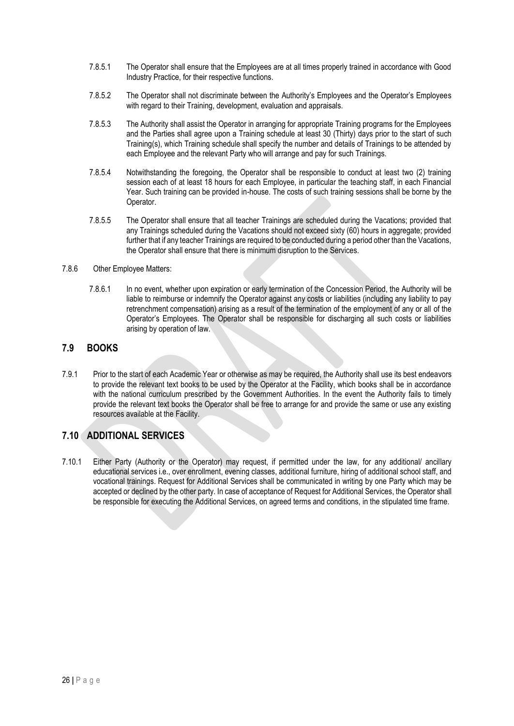- 7.8.5.1 The Operator shall ensure that the Employees are at all times properly trained in accordance with Good Industry Practice, for their respective functions.
- 7.8.5.2 The Operator shall not discriminate between the Authority's Employees and the Operator's Employees with regard to their Training, development, evaluation and appraisals.
- 7.8.5.3 The Authority shall assist the Operator in arranging for appropriate Training programs for the Employees and the Parties shall agree upon a Training schedule at least 30 (Thirty) days prior to the start of such Training(s), which Training schedule shall specify the number and details of Trainings to be attended by each Employee and the relevant Party who will arrange and pay for such Trainings.
- 7.8.5.4 Notwithstanding the foregoing, the Operator shall be responsible to conduct at least two (2) training session each of at least 18 hours for each Employee, in particular the teaching staff, in each Financial Year. Such training can be provided in-house. The costs of such training sessions shall be borne by the Operator.
- 7.8.5.5 The Operator shall ensure that all teacher Trainings are scheduled during the Vacations; provided that any Trainings scheduled during the Vacations should not exceed sixty (60) hours in aggregate; provided further that if any teacher Trainings are required to be conducted during a period other than the Vacations, the Operator shall ensure that there is minimum disruption to the Services.

#### 7.8.6 Other Employee Matters:

7.8.6.1 In no event, whether upon expiration or early termination of the Concession Period, the Authority will be liable to reimburse or indemnify the Operator against any costs or liabilities (including any liability to pay retrenchment compensation) arising as a result of the termination of the employment of any or all of the Operator's Employees. The Operator shall be responsible for discharging all such costs or liabilities arising by operation of law.

### **7.9 BOOKS**

7.9.1 Prior to the start of each Academic Year or otherwise as may be required, the Authority shall use its best endeavors to provide the relevant text books to be used by the Operator at the Facility, which books shall be in accordance with the national curriculum prescribed by the Government Authorities. In the event the Authority fails to timely provide the relevant text books the Operator shall be free to arrange for and provide the same or use any existing resources available at the Facility.

### **7.10 ADDITIONAL SERVICES**

7.10.1 Either Party (Authority or the Operator) may request, if permitted under the law, for any additional/ ancillary educational services i.e., over enrollment, evening classes, additional furniture, hiring of additional school staff, and vocational trainings. Request for Additional Services shall be communicated in writing by one Party which may be accepted or declined by the other party. In case of acceptance of Request for Additional Services, the Operator shall be responsible for executing the Additional Services, on agreed terms and conditions, in the stipulated time frame.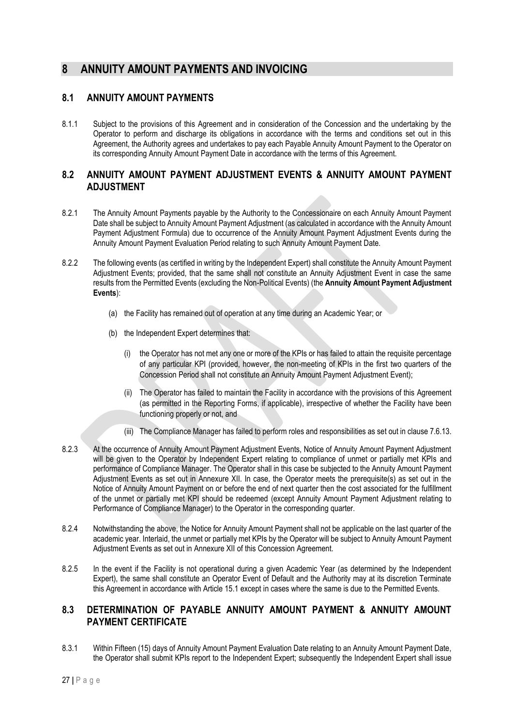### <span id="page-30-0"></span>**8 ANNUITY AMOUNT PAYMENTS AND INVOICING**

### **8.1 ANNUITY AMOUNT PAYMENTS**

8.1.1 Subject to the provisions of this Agreement and in consideration of the Concession and the undertaking by the Operator to perform and discharge its obligations in accordance with the terms and conditions set out in this Agreement, the Authority agrees and undertakes to pay each Payable Annuity Amount Payment to the Operator on its corresponding Annuity Amount Payment Date in accordance with the terms of this Agreement.

### **8.2 ANNUITY AMOUNT PAYMENT ADJUSTMENT EVENTS & ANNUITY AMOUNT PAYMENT ADJUSTMENT**

- 8.2.1 The Annuity Amount Payments payable by the Authority to the Concessionaire on each Annuity Amount Payment Date shall be subject to Annuity Amount Payment Adjustment (as calculated in accordance with the Annuity Amount Payment Adjustment Formula) due to occurrence of the Annuity Amount Payment Adjustment Events during the Annuity Amount Payment Evaluation Period relating to such Annuity Amount Payment Date.
- 8.2.2 The following events (as certified in writing by the Independent Expert) shall constitute the Annuity Amount Payment Adjustment Events; provided, that the same shall not constitute an Annuity Adjustment Event in case the same results from the Permitted Events (excluding the Non-Political Events) (the **Annuity Amount Payment Adjustment Events**):
	- (a) the Facility has remained out of operation at any time during an Academic Year; or
	- (b) the Independent Expert determines that:
		- (i) the Operator has not met any one or more of the KPIs or has failed to attain the requisite percentage of any particular KPI (provided, however, the non-meeting of KPIs in the first two quarters of the Concession Period shall not constitute an Annuity Amount Payment Adjustment Event);
		- (ii) The Operator has failed to maintain the Facility in accordance with the provisions of this Agreement (as permitted in the Reporting Forms, if applicable), irrespective of whether the Facility have been functioning properly or not, and
		- (iii) The Compliance Manager has failed to perform roles and responsibilities as set out in clause 7.6.13.
- 8.2.3 At the occurrence of Annuity Amount Payment Adjustment Events, Notice of Annuity Amount Payment Adjustment will be given to the Operator by Independent Expert relating to compliance of unmet or partially met KPIs and performance of Compliance Manager. The Operator shall in this case be subjected to the Annuity Amount Payment Adjustment Events as set out in Annexure XII. In case, the Operator meets the prerequisite(s) as set out in the Notice of Annuity Amount Payment on or before the end of next quarter then the cost associated for the fulfillment of the unmet or partially met KPI should be redeemed (except Annuity Amount Payment Adjustment relating to Performance of Compliance Manager) to the Operator in the corresponding quarter.
- 8.2.4 Notwithstanding the above, the Notice for Annuity Amount Payment shall not be applicable on the last quarter of the academic year. Interlaid, the unmet or partially met KPIs by the Operator will be subject to Annuity Amount Payment Adjustment Events as set out in Annexure XII of this Concession Agreement.
- 8.2.5 In the event if the Facility is not operational during a given Academic Year (as determined by the Independent Expert), the same shall constitute an Operator Event of Default and the Authority may at its discretion Terminate this Agreement in accordance with Article 15.1 except in cases where the same is due to the Permitted Events.

### **8.3 DETERMINATION OF PAYABLE ANNUITY AMOUNT PAYMENT & ANNUITY AMOUNT PAYMENT CERTIFICATE**

8.3.1 Within Fifteen (15) days of Annuity Amount Payment Evaluation Date relating to an Annuity Amount Payment Date, the Operator shall submit KPIs report to the Independent Expert; subsequently the Independent Expert shall issue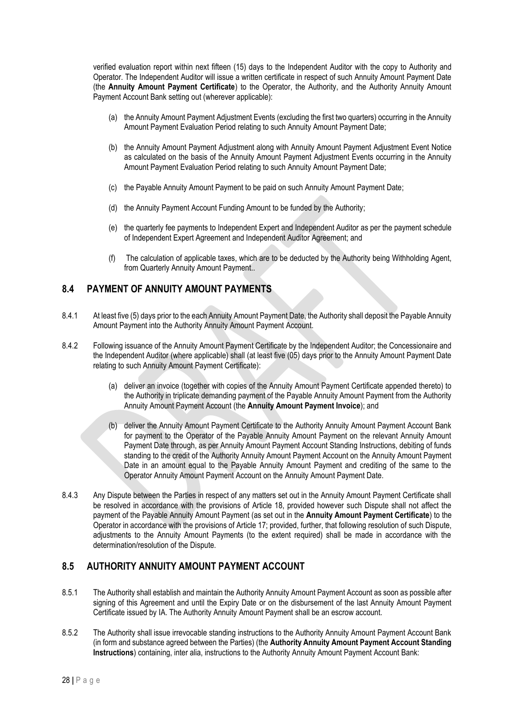verified evaluation report within next fifteen (15) days to the Independent Auditor with the copy to Authority and Operator. The Independent Auditor will issue a written certificate in respect of such Annuity Amount Payment Date (the **Annuity Amount Payment Certificate**) to the Operator, the Authority, and the Authority Annuity Amount Payment Account Bank setting out (wherever applicable):

- (a) the Annuity Amount Payment Adjustment Events (excluding the first two quarters) occurring in the Annuity Amount Payment Evaluation Period relating to such Annuity Amount Payment Date;
- (b) the Annuity Amount Payment Adjustment along with Annuity Amount Payment Adjustment Event Notice as calculated on the basis of the Annuity Amount Payment Adjustment Events occurring in the Annuity Amount Payment Evaluation Period relating to such Annuity Amount Payment Date;
- (c) the Payable Annuity Amount Payment to be paid on such Annuity Amount Payment Date;
- (d) the Annuity Payment Account Funding Amount to be funded by the Authority;
- (e) the quarterly fee payments to Independent Expert and Independent Auditor as per the payment schedule of Independent Expert Agreement and Independent Auditor Agreement; and
- (f) The calculation of applicable taxes, which are to be deducted by the Authority being Withholding Agent, from Quarterly Annuity Amount Payment..

### **8.4 PAYMENT OF ANNUITY AMOUNT PAYMENTS**

- 8.4.1 At least five (5) days prior to the each Annuity Amount Payment Date, the Authority shall deposit the Payable Annuity Amount Payment into the Authority Annuity Amount Payment Account.
- 8.4.2 Following issuance of the Annuity Amount Payment Certificate by the Independent Auditor; the Concessionaire and the Independent Auditor (where applicable) shall (at least five (05) days prior to the Annuity Amount Payment Date relating to such Annuity Amount Payment Certificate):
	- (a) deliver an invoice (together with copies of the Annuity Amount Payment Certificate appended thereto) to the Authority in triplicate demanding payment of the Payable Annuity Amount Payment from the Authority Annuity Amount Payment Account (the **Annuity Amount Payment Invoice**); and
	- (b) deliver the Annuity Amount Payment Certificate to the Authority Annuity Amount Payment Account Bank for payment to the Operator of the Payable Annuity Amount Payment on the relevant Annuity Amount Payment Date through, as per Annuity Amount Payment Account Standing Instructions, debiting of funds standing to the credit of the Authority Annuity Amount Payment Account on the Annuity Amount Payment Date in an amount equal to the Payable Annuity Amount Payment and crediting of the same to the Operator Annuity Amount Payment Account on the Annuity Amount Payment Date.
- 8.4.3 Any Dispute between the Parties in respect of any matters set out in the Annuity Amount Payment Certificate shall be resolved in accordance with the provisions of Article 18, provided however such Dispute shall not affect the payment of the Payable Annuity Amount Payment (as set out in the **Annuity Amount Payment Certificate**) to the Operator in accordance with the provisions of Article 17; provided, further, that following resolution of such Dispute, adjustments to the Annuity Amount Payments (to the extent required) shall be made in accordance with the determination/resolution of the Dispute.

### **8.5 AUTHORITY ANNUITY AMOUNT PAYMENT ACCOUNT**

- 8.5.1 The Authority shall establish and maintain the Authority Annuity Amount Payment Account as soon as possible after signing of this Agreement and until the Expiry Date or on the disbursement of the last Annuity Amount Payment Certificate issued by IA. The Authority Annuity Amount Payment shall be an escrow account.
- 8.5.2 The Authority shall issue irrevocable standing instructions to the Authority Annuity Amount Payment Account Bank (in form and substance agreed between the Parties) (the **Authority Annuity Amount Payment Account Standing Instructions**) containing, inter alia, instructions to the Authority Annuity Amount Payment Account Bank: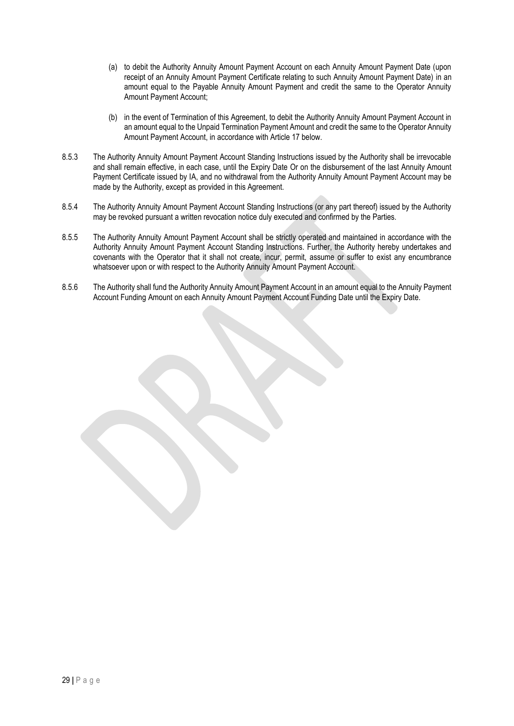- (a) to debit the Authority Annuity Amount Payment Account on each Annuity Amount Payment Date (upon receipt of an Annuity Amount Payment Certificate relating to such Annuity Amount Payment Date) in an amount equal to the Payable Annuity Amount Payment and credit the same to the Operator Annuity Amount Payment Account;
- (b) in the event of Termination of this Agreement, to debit the Authority Annuity Amount Payment Account in an amount equal to the Unpaid Termination Payment Amount and credit the same to the Operator Annuity Amount Payment Account, in accordance with Article 17 below.
- 8.5.3 The Authority Annuity Amount Payment Account Standing Instructions issued by the Authority shall be irrevocable and shall remain effective, in each case, until the Expiry Date Or on the disbursement of the last Annuity Amount Payment Certificate issued by IA, and no withdrawal from the Authority Annuity Amount Payment Account may be made by the Authority, except as provided in this Agreement.
- 8.5.4 The Authority Annuity Amount Payment Account Standing Instructions (or any part thereof) issued by the Authority may be revoked pursuant a written revocation notice duly executed and confirmed by the Parties.
- 8.5.5 The Authority Annuity Amount Payment Account shall be strictly operated and maintained in accordance with the Authority Annuity Amount Payment Account Standing Instructions. Further, the Authority hereby undertakes and covenants with the Operator that it shall not create, incur, permit, assume or suffer to exist any encumbrance whatsoever upon or with respect to the Authority Annuity Amount Payment Account.
- 8.5.6 The Authority shall fund the Authority Annuity Amount Payment Account in an amount equal to the Annuity Payment Account Funding Amount on each Annuity Amount Payment Account Funding Date until the Expiry Date.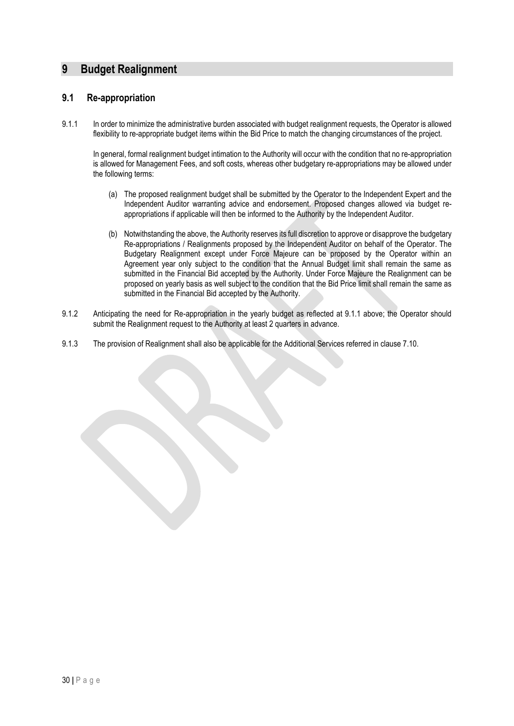### <span id="page-33-0"></span>**9 Budget Realignment**

#### **9.1 Re-appropriation**

9.1.1 In order to minimize the administrative burden associated with budget realignment requests, the Operator is allowed flexibility to re-appropriate budget items within the Bid Price to match the changing circumstances of the project.

In general, formal realignment budget intimation to the Authority will occur with the condition that no re-appropriation is allowed for Management Fees, and soft costs, whereas other budgetary re-appropriations may be allowed under the following terms:

- (a) The proposed realignment budget shall be submitted by the Operator to the Independent Expert and the Independent Auditor warranting advice and endorsement. Proposed changes allowed via budget reappropriations if applicable will then be informed to the Authority by the Independent Auditor.
- (b) Notwithstanding the above, the Authority reserves its full discretion to approve or disapprove the budgetary Re-appropriations / Realignments proposed by the Independent Auditor on behalf of the Operator. The Budgetary Realignment except under Force Majeure can be proposed by the Operator within an Agreement year only subject to the condition that the Annual Budget limit shall remain the same as submitted in the Financial Bid accepted by the Authority. Under Force Majeure the Realignment can be proposed on yearly basis as well subject to the condition that the Bid Price limit shall remain the same as submitted in the Financial Bid accepted by the Authority.
- 9.1.2 Anticipating the need for Re-appropriation in the yearly budget as reflected at 9.1.1 above; the Operator should submit the Realignment request to the Authority at least 2 quarters in advance.
- 9.1.3 The provision of Realignment shall also be applicable for the Additional Services referred in clause 7.10.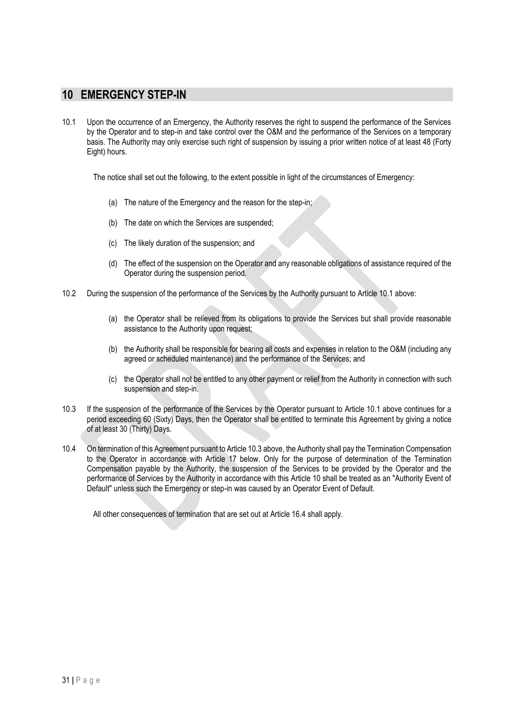### <span id="page-34-0"></span>**10 EMERGENCY STEP-IN**

10.1 Upon the occurrence of an Emergency, the Authority reserves the right to suspend the performance of the Services by the Operator and to step-in and take control over the O&M and the performance of the Services on a temporary basis. The Authority may only exercise such right of suspension by issuing a prior written notice of at least 48 (Forty Eight) hours.

The notice shall set out the following, to the extent possible in light of the circumstances of Emergency:

- (a) The nature of the Emergency and the reason for the step-in;
- (b) The date on which the Services are suspended;
- (c) The likely duration of the suspension; and
- (d) The effect of the suspension on the Operator and any reasonable obligations of assistance required of the Operator during the suspension period.
- 10.2 During the suspension of the performance of the Services by the Authority pursuant to Article 10.1 above:
	- (a) the Operator shall be relieved from its obligations to provide the Services but shall provide reasonable assistance to the Authority upon request;
	- (b) the Authority shall be responsible for bearing all costs and expenses in relation to the O&M (including any agreed or scheduled maintenance) and the performance of the Services; and
	- (c) the Operator shall not be entitled to any other payment or relief from the Authority in connection with such suspension and step-in.
- 10.3 If the suspension of the performance of the Services by the Operator pursuant to Article 10.1 above continues for a period exceeding 60 (Sixty) Days, then the Operator shall be entitled to terminate this Agreement by giving a notice of at least 30 (Thirty) Days.
- 10.4 On termination of this Agreement pursuant to Article 10.3 above, the Authority shall pay the Termination Compensation to the Operator in accordance with Article 17 below. Only for the purpose of determination of the Termination Compensation payable by the Authority, the suspension of the Services to be provided by the Operator and the performance of Services by the Authority in accordance with this Article 10 shall be treated as an "Authority Event of Default" unless such the Emergency or step-in was caused by an Operator Event of Default.

All other consequences of termination that are set out at Article 16.4 shall apply.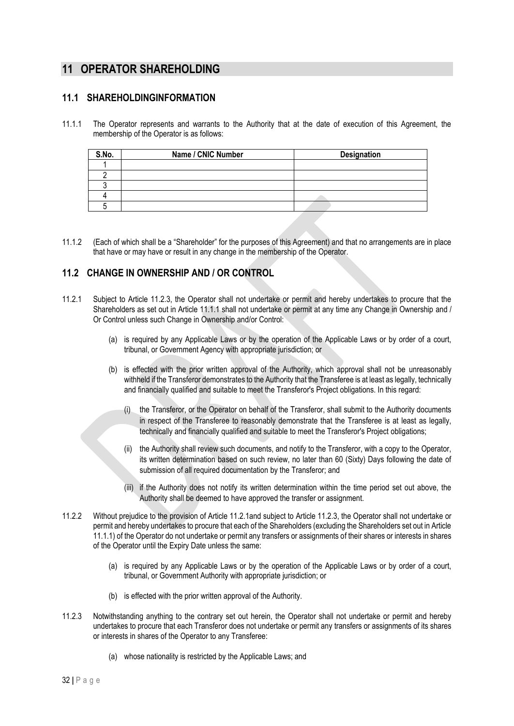### <span id="page-35-0"></span>**11 OPERATOR SHAREHOLDING**

### **11.1 SHAREHOLDINGINFORMATION**

11.1.1 The Operator represents and warrants to the Authority that at the date of execution of this Agreement, the membership of the Operator is as follows:

| S.No. | Name / CNIC Number | Designation |
|-------|--------------------|-------------|
|       |                    |             |
|       |                    |             |
|       |                    |             |
|       |                    |             |
|       |                    |             |

11.1.2 (Each of which shall be a "Shareholder" for the purposes of this Agreement) and that no arrangements are in place that have or may have or result in any change in the membership of the Operator.

### **11.2 CHANGE IN OWNERSHIP AND / OR CONTROL**

- 11.2.1 Subject to Article 11.2.3, the Operator shall not undertake or permit and hereby undertakes to procure that the Shareholders as set out in Article 11.1.1 shall not undertake or permit at any time any Change in Ownership and / Or Control unless such Change in Ownership and/or Control:
	- (a) is required by any Applicable Laws or by the operation of the Applicable Laws or by order of a court, tribunal, or Government Agency with appropriate jurisdiction; or
	- (b) is effected with the prior written approval of the Authority, which approval shall not be unreasonably withheld if the Transferor demonstrates to the Authority that the Transferee is at least as legally, technically and financially qualified and suitable to meet the Transferor's Project obligations. In this regard:
		- (i) the Transferor, or the Operator on behalf of the Transferor, shall submit to the Authority documents in respect of the Transferee to reasonably demonstrate that the Transferee is at least as legally, technically and financially qualified and suitable to meet the Transferor's Project obligations;
		- the Authority shall review such documents, and notify to the Transferor, with a copy to the Operator, its written determination based on such review, no later than 60 (Sixty) Days following the date of submission of all required documentation by the Transferor; and
		- (iii) if the Authority does not notify its written determination within the time period set out above, the Authority shall be deemed to have approved the transfer or assignment.
- 11.2.2 Without prejudice to the provision of Article 11.2.1and subject to Article 11.2.3, the Operator shall not undertake or permit and hereby undertakes to procure that each of the Shareholders (excluding the Shareholders set out in Article 11.1.1) of the Operator do not undertake or permit any transfers or assignments of their shares or interests in shares of the Operator until the Expiry Date unless the same:
	- (a) is required by any Applicable Laws or by the operation of the Applicable Laws or by order of a court, tribunal, or Government Authority with appropriate jurisdiction; or
	- (b) is effected with the prior written approval of the Authority.
- 11.2.3 Notwithstanding anything to the contrary set out herein, the Operator shall not undertake or permit and hereby undertakes to procure that each Transferor does not undertake or permit any transfers or assignments of its shares or interests in shares of the Operator to any Transferee:
	- (a) whose nationality is restricted by the Applicable Laws; and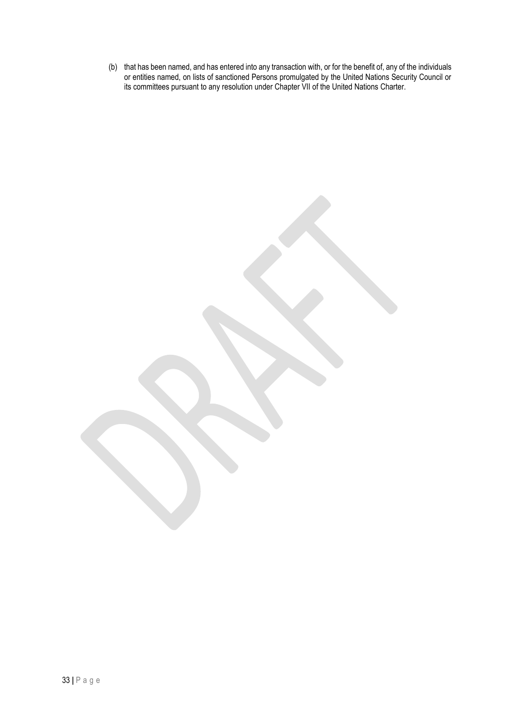(b) that has been named, and has entered into any transaction with, or for the benefit of, any of the individuals or entities named, on lists of sanctioned Persons promulgated by the United Nations Security Council or its committees pursuant to any resolution under Chapter VII of the United Nations Charter.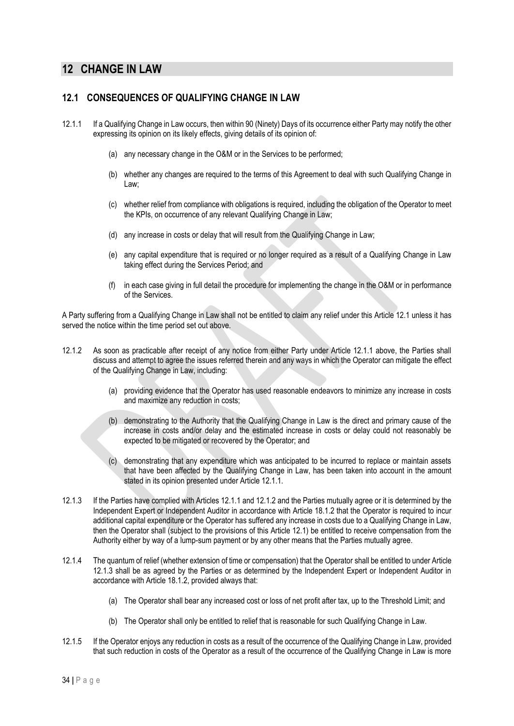# **12 CHANGE IN LAW**

### **12.1 CONSEQUENCES OF QUALIFYING CHANGE IN LAW**

- 12.1.1 If a Qualifying Change in Law occurs, then within 90 (Ninety) Days of its occurrence either Party may notify the other expressing its opinion on its likely effects, giving details of its opinion of:
	- (a) any necessary change in the O&M or in the Services to be performed;
	- (b) whether any changes are required to the terms of this Agreement to deal with such Qualifying Change in Law;
	- (c) whether relief from compliance with obligations is required, including the obligation of the Operator to meet the KPIs, on occurrence of any relevant Qualifying Change in Law;
	- (d) any increase in costs or delay that will result from the Qualifying Change in Law;
	- (e) any capital expenditure that is required or no longer required as a result of a Qualifying Change in Law taking effect during the Services Period; and
	- (f) in each case giving in full detail the procedure for implementing the change in the O&M or in performance of the Services.

A Party suffering from a Qualifying Change in Law shall not be entitled to claim any relief under this Article 12.1 unless it has served the notice within the time period set out above.

- 12.1.2 As soon as practicable after receipt of any notice from either Party under Article 12.1.1 above, the Parties shall discuss and attempt to agree the issues referred therein and any ways in which the Operator can mitigate the effect of the Qualifying Change in Law, including:
	- (a) providing evidence that the Operator has used reasonable endeavors to minimize any increase in costs and maximize any reduction in costs;
	- (b) demonstrating to the Authority that the Qualifying Change in Law is the direct and primary cause of the increase in costs and/or delay and the estimated increase in costs or delay could not reasonably be expected to be mitigated or recovered by the Operator; and
	- (c) demonstrating that any expenditure which was anticipated to be incurred to replace or maintain assets that have been affected by the Qualifying Change in Law, has been taken into account in the amount stated in its opinion presented under Article 12.1.1.
- 12.1.3 If the Parties have complied with Articles 12.1.1 and 12.1.2 and the Parties mutually agree or it is determined by the Independent Expert or Independent Auditor in accordance with Article 18.1.2 that the Operator is required to incur additional capital expenditure or the Operator has suffered any increase in costs due to a Qualifying Change in Law, then the Operator shall (subject to the provisions of this Article 12.1) be entitled to receive compensation from the Authority either by way of a lump-sum payment or by any other means that the Parties mutually agree.
- 12.1.4 The quantum of relief (whether extension of time or compensation) that the Operator shall be entitled to under Article 12.1.3 shall be as agreed by the Parties or as determined by the Independent Expert or Independent Auditor in accordance with Article 18.1.2, provided always that:
	- (a) The Operator shall bear any increased cost or loss of net profit after tax, up to the Threshold Limit; and
	- (b) The Operator shall only be entitled to relief that is reasonable for such Qualifying Change in Law.
- 12.1.5 If the Operator enjoys any reduction in costs as a result of the occurrence of the Qualifying Change in Law, provided that such reduction in costs of the Operator as a result of the occurrence of the Qualifying Change in Law is more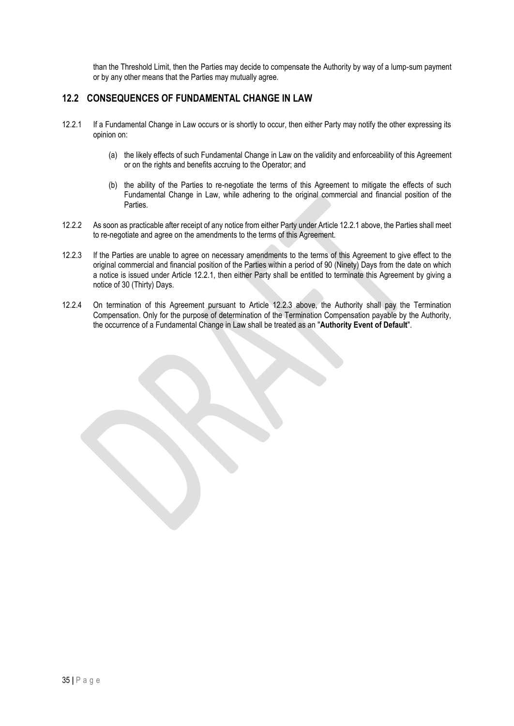than the Threshold Limit, then the Parties may decide to compensate the Authority by way of a lump-sum payment or by any other means that the Parties may mutually agree.

# **12.2 CONSEQUENCES OF FUNDAMENTAL CHANGE IN LAW**

- 12.2.1 If a Fundamental Change in Law occurs or is shortly to occur, then either Party may notify the other expressing its opinion on:
	- (a) the likely effects of such Fundamental Change in Law on the validity and enforceability of this Agreement or on the rights and benefits accruing to the Operator; and
	- (b) the ability of the Parties to re-negotiate the terms of this Agreement to mitigate the effects of such Fundamental Change in Law, while adhering to the original commercial and financial position of the Parties.
- 12.2.2 As soon as practicable after receipt of any notice from either Party under Article 12.2.1 above, the Parties shall meet to re-negotiate and agree on the amendments to the terms of this Agreement.
- 12.2.3 If the Parties are unable to agree on necessary amendments to the terms of this Agreement to give effect to the original commercial and financial position of the Parties within a period of 90 (Ninety) Days from the date on which a notice is issued under Article 12.2.1, then either Party shall be entitled to terminate this Agreement by giving a notice of 30 (Thirty) Days.
- 12.2.4 On termination of this Agreement pursuant to Article 12.2.3 above, the Authority shall pay the Termination Compensation. Only for the purpose of determination of the Termination Compensation payable by the Authority, the occurrence of a Fundamental Change in Law shall be treated as an "**Authority Event of Default**".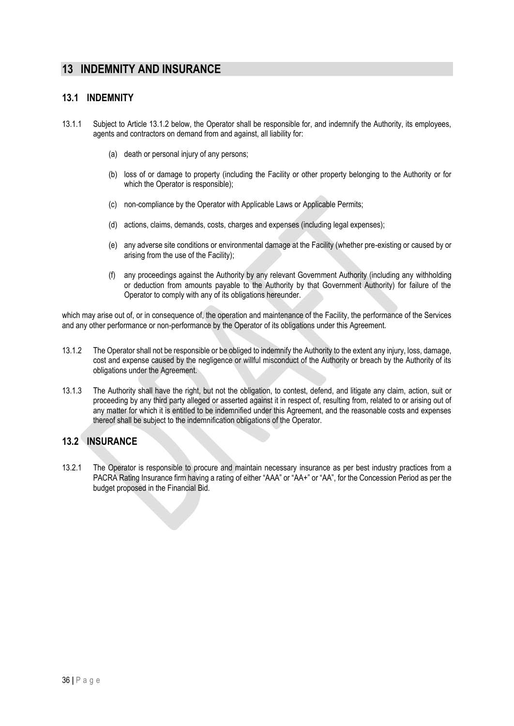# **13 INDEMNITY AND INSURANCE**

### **13.1 INDEMNITY**

- 13.1.1 Subject to Article 13.1.2 below, the Operator shall be responsible for, and indemnify the Authority, its employees, agents and contractors on demand from and against, all liability for:
	- (a) death or personal injury of any persons;
	- (b) loss of or damage to property (including the Facility or other property belonging to the Authority or for which the Operator is responsible);
	- (c) non-compliance by the Operator with Applicable Laws or Applicable Permits;
	- (d) actions, claims, demands, costs, charges and expenses (including legal expenses);
	- (e) any adverse site conditions or environmental damage at the Facility (whether pre-existing or caused by or arising from the use of the Facility);
	- (f) any proceedings against the Authority by any relevant Government Authority (including any withholding or deduction from amounts payable to the Authority by that Government Authority) for failure of the Operator to comply with any of its obligations hereunder.

which may arise out of, or in consequence of, the operation and maintenance of the Facility, the performance of the Services and any other performance or non-performance by the Operator of its obligations under this Agreement.

- 13.1.2 The Operator shall not be responsible or be obliged to indemnify the Authority to the extent any injury, loss, damage, cost and expense caused by the negligence or willful misconduct of the Authority or breach by the Authority of its obligations under the Agreement.
- 13.1.3 The Authority shall have the right, but not the obligation, to contest, defend, and litigate any claim, action, suit or proceeding by any third party alleged or asserted against it in respect of, resulting from, related to or arising out of any matter for which it is entitled to be indemnified under this Agreement, and the reasonable costs and expenses thereof shall be subject to the indemnification obligations of the Operator.

### **13.2 INSURANCE**

13.2.1 The Operator is responsible to procure and maintain necessary insurance as per best industry practices from a PACRA Rating Insurance firm having a rating of either "AAA" or "AA+" or "AA", for the Concession Period as per the budget proposed in the Financial Bid.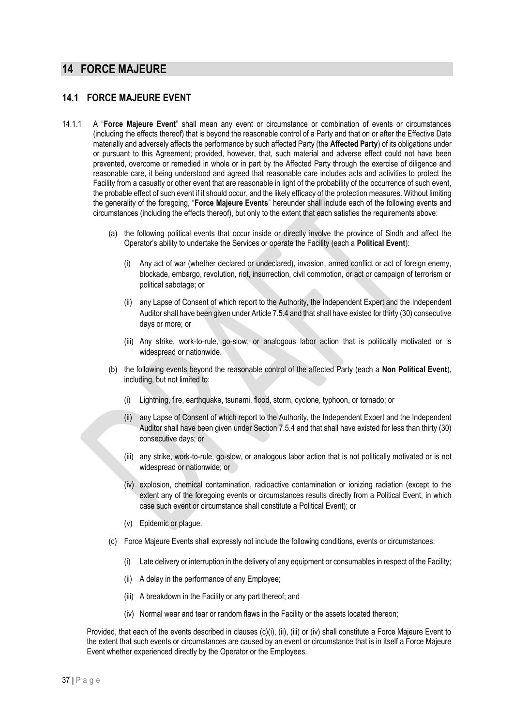# **14 FORCE MAJEURE**

### **14.1 FORCE MAJEURE EVENT**

- 14.1.1 A "**Force Majeure Event**" shall mean any event or circumstance or combination of events or circumstances (including the effects thereof) that is beyond the reasonable control of a Party and that on or after the Effective Date materially and adversely affects the performance by such affected Party (the **Affected Party**) of its obligations under or pursuant to this Agreement; provided, however, that, such material and adverse effect could not have been prevented, overcome or remedied in whole or in part by the Affected Party through the exercise of diligence and reasonable care, it being understood and agreed that reasonable care includes acts and activities to protect the Facility from a casualty or other event that are reasonable in light of the probability of the occurrence of such event, the probable effect of such event if it should occur, and the likely efficacy of the protection measures. Without limiting the generality of the foregoing, "**Force Majeure Events**" hereunder shall include each of the following events and circumstances (including the effects thereof), but only to the extent that each satisfies the requirements above:
	- (a) the following political events that occur inside or directly involve the province of Sindh and affect the Operator's ability to undertake the Services or operate the Facility (each a **Political Event**):
		- (i) Any act of war (whether declared or undeclared), invasion, armed conflict or act of foreign enemy, blockade, embargo, revolution, riot, insurrection, civil commotion, or act or campaign of terrorism or political sabotage; or
		- (ii) any Lapse of Consent of which report to the Authority, the Independent Expert and the Independent Auditor shall have been given under Article 7.5.4 and that shall have existed for thirty (30) consecutive days or more; or
		- (iii) Any strike, work-to-rule, go-slow, or analogous labor action that is politically motivated or is widespread or nationwide.
	- (b) the following events beyond the reasonable control of the affected Party (each a **Non Political Event**), including, but not limited to:
		- (i) Lightning, fire, earthquake, tsunami, flood, storm, cyclone, typhoon, or tornado; or
		- (ii) any Lapse of Consent of which report to the Authority, the Independent Expert and the Independent Auditor shall have been given under Section 7.5.4 and that shall have existed for less than thirty (30) consecutive days; or
		- (iii) any strike, work-to-rule, go-slow, or analogous labor action that is not politically motivated or is not widespread or nationwide; or
		- (iv) explosion, chemical contamination, radioactive contamination or ionizing radiation (except to the extent any of the foregoing events or circumstances results directly from a Political Event, in which case such event or circumstance shall constitute a Political Event); or
		- (v) Epidemic or plague.
	- (c) Force Majeure Events shall expressly not include the following conditions, events or circumstances:
		- (i) Late delivery or interruption in the delivery of any equipment or consumables in respect of the Facility;
		- (ii) A delay in the performance of any Employee;
		- (iii) A breakdown in the Facility or any part thereof; and
		- (iv) Normal wear and tear or random flaws in the Facility or the assets located thereon;

Provided, that each of the events described in clauses (c)(i), (ii), (iii) or (iv) shall constitute a Force Majeure Event to the extent that such events or circumstances are caused by an event or circumstance that is in itself a Force Majeure Event whether experienced directly by the Operator or the Employees.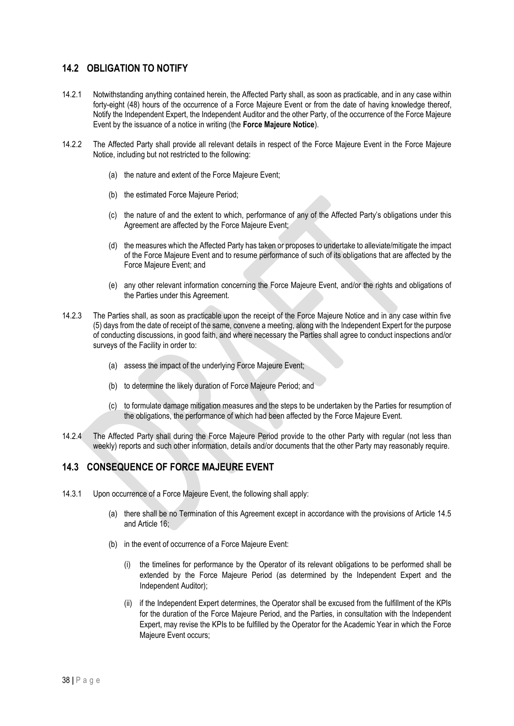# **14.2 OBLIGATION TO NOTIFY**

- 14.2.1 Notwithstanding anything contained herein, the Affected Party shall, as soon as practicable, and in any case within forty-eight (48) hours of the occurrence of a Force Majeure Event or from the date of having knowledge thereof, Notify the Independent Expert, the Independent Auditor and the other Party, of the occurrence of the Force Majeure Event by the issuance of a notice in writing (the **Force Majeure Notice**).
- 14.2.2 The Affected Party shall provide all relevant details in respect of the Force Majeure Event in the Force Majeure Notice, including but not restricted to the following:
	- (a) the nature and extent of the Force Majeure Event;
	- (b) the estimated Force Majeure Period;
	- (c) the nature of and the extent to which, performance of any of the Affected Party's obligations under this Agreement are affected by the Force Majeure Event;
	- (d) the measures which the Affected Party has taken or proposes to undertake to alleviate/mitigate the impact of the Force Majeure Event and to resume performance of such of its obligations that are affected by the Force Majeure Event; and
	- (e) any other relevant information concerning the Force Majeure Event, and/or the rights and obligations of the Parties under this Agreement.
- 14.2.3 The Parties shall, as soon as practicable upon the receipt of the Force Majeure Notice and in any case within five (5) days from the date of receipt of the same, convene a meeting, along with the Independent Expert for the purpose of conducting discussions, in good faith, and where necessary the Parties shall agree to conduct inspections and/or surveys of the Facility in order to:
	- (a) assess the impact of the underlying Force Majeure Event;
	- (b) to determine the likely duration of Force Majeure Period; and
	- (c) to formulate damage mitigation measures and the steps to be undertaken by the Parties for resumption of the obligations, the performance of which had been affected by the Force Majeure Event.
- 14.2.4 The Affected Party shall during the Force Majeure Period provide to the other Party with regular (not less than weekly) reports and such other information, details and/or documents that the other Party may reasonably require.

# **14.3 CONSEQUENCE OF FORCE MAJEURE EVENT**

- 14.3.1 Upon occurrence of a Force Majeure Event, the following shall apply:
	- (a) there shall be no Termination of this Agreement except in accordance with the provisions of Article 14.5 and Article 16;
	- (b) in the event of occurrence of a Force Majeure Event:
		- (i) the timelines for performance by the Operator of its relevant obligations to be performed shall be extended by the Force Majeure Period (as determined by the Independent Expert and the Independent Auditor);
		- (ii) if the Independent Expert determines, the Operator shall be excused from the fulfillment of the KPIs for the duration of the Force Majeure Period, and the Parties, in consultation with the Independent Expert, may revise the KPIs to be fulfilled by the Operator for the Academic Year in which the Force Majeure Event occurs;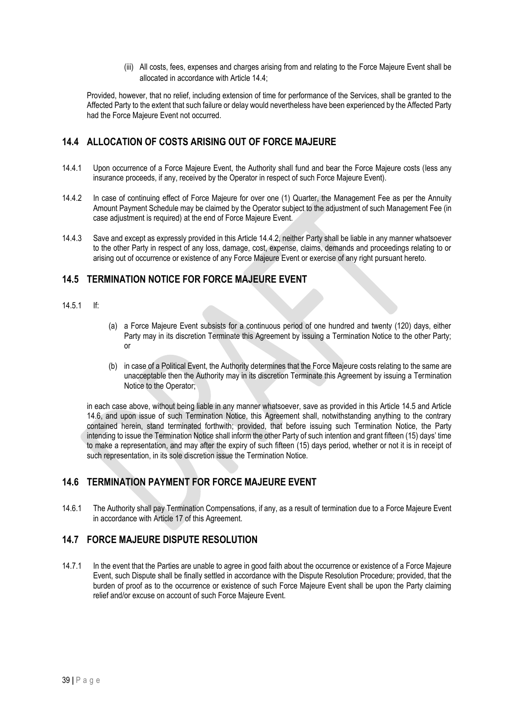(iii) All costs, fees, expenses and charges arising from and relating to the Force Majeure Event shall be allocated in accordance with Article 14.4;

Provided, however, that no relief, including extension of time for performance of the Services, shall be granted to the Affected Party to the extent that such failure or delay would nevertheless have been experienced by the Affected Party had the Force Majeure Event not occurred.

# **14.4 ALLOCATION OF COSTS ARISING OUT OF FORCE MAJEURE**

- 14.4.1 Upon occurrence of a Force Majeure Event, the Authority shall fund and bear the Force Majeure costs (less any insurance proceeds, if any, received by the Operator in respect of such Force Majeure Event).
- 14.4.2 In case of continuing effect of Force Majeure for over one (1) Quarter, the Management Fee as per the Annuity Amount Payment Schedule may be claimed by the Operator subject to the adjustment of such Management Fee (in case adjustment is required) at the end of Force Majeure Event.
- 14.4.3 Save and except as expressly provided in this Article 14.4.2, neither Party shall be liable in any manner whatsoever to the other Party in respect of any loss, damage, cost, expense, claims, demands and proceedings relating to or arising out of occurrence or existence of any Force Majeure Event or exercise of any right pursuant hereto.

# **14.5 TERMINATION NOTICE FOR FORCE MAJEURE EVENT**

- 14.5.1 If:
- (a) a Force Majeure Event subsists for a continuous period of one hundred and twenty (120) days, either Party may in its discretion Terminate this Agreement by issuing a Termination Notice to the other Party; or
- (b) in case of a Political Event, the Authority determines that the Force Majeure costs relating to the same are unacceptable then the Authority may in its discretion Terminate this Agreement by issuing a Termination Notice to the Operator;

in each case above, without being liable in any manner whatsoever, save as provided in this Article 14.5 and Article 14.6, and upon issue of such Termination Notice, this Agreement shall, notwithstanding anything to the contrary contained herein, stand terminated forthwith; provided, that before issuing such Termination Notice, the Party intending to issue the Termination Notice shall inform the other Party of such intention and grant fifteen (15) days' time to make a representation, and may after the expiry of such fifteen (15) days period, whether or not it is in receipt of such representation, in its sole discretion issue the Termination Notice.

# **14.6 TERMINATION PAYMENT FOR FORCE MAJEURE EVENT**

14.6.1 The Authority shall pay Termination Compensations, if any, as a result of termination due to a Force Majeure Event in accordance with Article 17 of this Agreement.

# **14.7 FORCE MAJEURE DISPUTE RESOLUTION**

14.7.1 In the event that the Parties are unable to agree in good faith about the occurrence or existence of a Force Majeure Event, such Dispute shall be finally settled in accordance with the Dispute Resolution Procedure; provided, that the burden of proof as to the occurrence or existence of such Force Majeure Event shall be upon the Party claiming relief and/or excuse on account of such Force Majeure Event.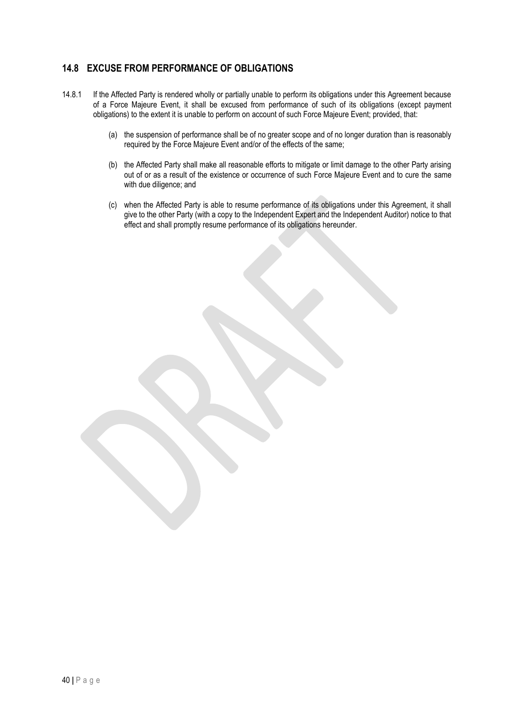# **14.8 EXCUSE FROM PERFORMANCE OF OBLIGATIONS**

- 14.8.1 If the Affected Party is rendered wholly or partially unable to perform its obligations under this Agreement because of a Force Majeure Event, it shall be excused from performance of such of its obligations (except payment obligations) to the extent it is unable to perform on account of such Force Majeure Event; provided, that:
	- (a) the suspension of performance shall be of no greater scope and of no longer duration than is reasonably required by the Force Majeure Event and/or of the effects of the same;
	- (b) the Affected Party shall make all reasonable efforts to mitigate or limit damage to the other Party arising out of or as a result of the existence or occurrence of such Force Majeure Event and to cure the same with due diligence; and
	- (c) when the Affected Party is able to resume performance of its obligations under this Agreement, it shall give to the other Party (with a copy to the Independent Expert and the Independent Auditor) notice to that effect and shall promptly resume performance of its obligations hereunder.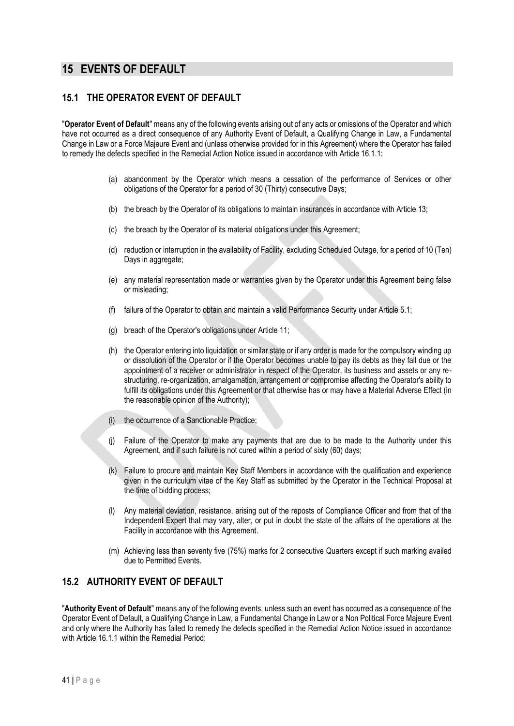# **15 EVENTS OF DEFAULT**

# **15.1 THE OPERATOR EVENT OF DEFAULT**

"**Operator Event of Default**" means any of the following events arising out of any acts or omissions of the Operator and which have not occurred as a direct consequence of any Authority Event of Default, a Qualifying Change in Law, a Fundamental Change in Law or a Force Majeure Event and (unless otherwise provided for in this Agreement) where the Operator has failed to remedy the defects specified in the Remedial Action Notice issued in accordance with Article 16.1.1:

- (a) abandonment by the Operator which means a cessation of the performance of Services or other obligations of the Operator for a period of 30 (Thirty) consecutive Days;
- (b) the breach by the Operator of its obligations to maintain insurances in accordance with Article 13;
- (c) the breach by the Operator of its material obligations under this Agreement;
- (d) reduction or interruption in the availability of Facility, excluding Scheduled Outage, for a period of 10 (Ten) Days in aggregate;
- (e) any material representation made or warranties given by the Operator under this Agreement being false or misleading;
- (f) failure of the Operator to obtain and maintain a valid Performance Security under Article 5.1;
- (g) breach of the Operator's obligations under Article 11;
- (h) the Operator entering into liquidation or similar state or if any order is made for the compulsory winding up or dissolution of the Operator or if the Operator becomes unable to pay its debts as they fall due or the appointment of a receiver or administrator in respect of the Operator, its business and assets or any restructuring, re-organization, amalgamation, arrangement or compromise affecting the Operator's ability to fulfill its obligations under this Agreement or that otherwise has or may have a Material Adverse Effect (in the reasonable opinion of the Authority);
- (i) the occurrence of a Sanctionable Practice;
- (j) Failure of the Operator to make any payments that are due to be made to the Authority under this Agreement, and if such failure is not cured within a period of sixty (60) days;
- (k) Failure to procure and maintain Key Staff Members in accordance with the qualification and experience given in the curriculum vitae of the Key Staff as submitted by the Operator in the Technical Proposal at the time of bidding process;
- (l) Any material deviation, resistance, arising out of the reposts of Compliance Officer and from that of the Independent Expert that may vary, alter, or put in doubt the state of the affairs of the operations at the Facility in accordance with this Agreement.
- (m) Achieving less than seventy five (75%) marks for 2 consecutive Quarters except if such marking availed due to Permitted Events.

# **15.2 AUTHORITY EVENT OF DEFAULT**

"**Authority Event of Default**" means any of the following events, unless such an event has occurred as a consequence of the Operator Event of Default, a Qualifying Change in Law, a Fundamental Change in Law or a Non Political Force Majeure Event and only where the Authority has failed to remedy the defects specified in the Remedial Action Notice issued in accordance with Article 16.1.1 within the Remedial Period: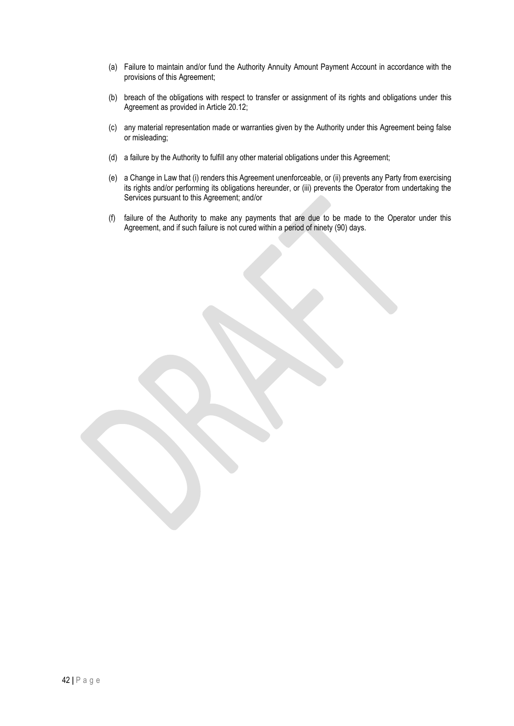- (a) Failure to maintain and/or fund the Authority Annuity Amount Payment Account in accordance with the provisions of this Agreement;
- (b) breach of the obligations with respect to transfer or assignment of its rights and obligations under this Agreement as provided in Article 20.12;
- (c) any material representation made or warranties given by the Authority under this Agreement being false or misleading;
- (d) a failure by the Authority to fulfill any other material obligations under this Agreement;
- (e) a Change in Law that (i) renders this Agreement unenforceable, or (ii) prevents any Party from exercising its rights and/or performing its obligations hereunder, or (iii) prevents the Operator from undertaking the Services pursuant to this Agreement; and/or
- (f) failure of the Authority to make any payments that are due to be made to the Operator under this Agreement, and if such failure is not cured within a period of ninety (90) days.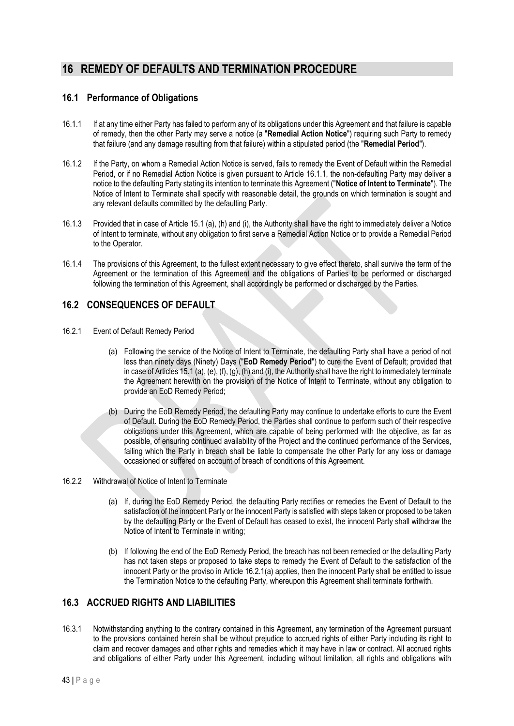# **16 REMEDY OF DEFAULTS AND TERMINATION PROCEDURE**

# **16.1 Performance of Obligations**

- 16.1.1 If at any time either Party has failed to perform any of its obligations under this Agreement and that failure is capable of remedy, then the other Party may serve a notice (a "**Remedial Action Notice**") requiring such Party to remedy that failure (and any damage resulting from that failure) within a stipulated period (the "**Remedial Period**").
- 16.1.2 If the Party, on whom a Remedial Action Notice is served, fails to remedy the Event of Default within the Remedial Period, or if no Remedial Action Notice is given pursuant to Article 16.1.1, the non-defaulting Party may deliver a notice to the defaulting Party stating its intention to terminate this Agreement ("**Notice of Intent to Terminate**"). The Notice of Intent to Terminate shall specify with reasonable detail, the grounds on which termination is sought and any relevant defaults committed by the defaulting Party.
- 16.1.3 Provided that in case of Article 15.1 (a), (h) and (i), the Authority shall have the right to immediately deliver a Notice of Intent to terminate, without any obligation to first serve a Remedial Action Notice or to provide a Remedial Period to the Operator.
- 16.1.4 The provisions of this Agreement, to the fullest extent necessary to give effect thereto, shall survive the term of the Agreement or the termination of this Agreement and the obligations of Parties to be performed or discharged following the termination of this Agreement, shall accordingly be performed or discharged by the Parties.

# **16.2 CONSEQUENCES OF DEFAULT**

- 16.2.1 Event of Default Remedy Period
	- (a) Following the service of the Notice of Intent to Terminate, the defaulting Party shall have a period of not less than ninety days (Ninety) Days ("**EoD Remedy Period**") to cure the Event of Default; provided that in case of Articles 15.1 (a), (e), (f), (g), (h) and (i), the Authority shall have the right to immediately terminate the Agreement herewith on the provision of the Notice of Intent to Terminate, without any obligation to provide an EoD Remedy Period;
	- (b) During the EoD Remedy Period, the defaulting Party may continue to undertake efforts to cure the Event of Default. During the EoD Remedy Period, the Parties shall continue to perform such of their respective obligations under this Agreement, which are capable of being performed with the objective, as far as possible, of ensuring continued availability of the Project and the continued performance of the Services, failing which the Party in breach shall be liable to compensate the other Party for any loss or damage occasioned or suffered on account of breach of conditions of this Agreement.
- 16.2.2 Withdrawal of Notice of Intent to Terminate
	- (a) If, during the EoD Remedy Period, the defaulting Party rectifies or remedies the Event of Default to the satisfaction of the innocent Party or the innocent Party is satisfied with steps taken or proposed to be taken by the defaulting Party or the Event of Default has ceased to exist, the innocent Party shall withdraw the Notice of Intent to Terminate in writing;
	- (b) If following the end of the EoD Remedy Period, the breach has not been remedied or the defaulting Party has not taken steps or proposed to take steps to remedy the Event of Default to the satisfaction of the innocent Party or the proviso in Article 16.2.1(a) applies, then the innocent Party shall be entitled to issue the Termination Notice to the defaulting Party, whereupon this Agreement shall terminate forthwith.

# **16.3 ACCRUED RIGHTS AND LIABILITIES**

16.3.1 Notwithstanding anything to the contrary contained in this Agreement, any termination of the Agreement pursuant to the provisions contained herein shall be without prejudice to accrued rights of either Party including its right to claim and recover damages and other rights and remedies which it may have in law or contract. All accrued rights and obligations of either Party under this Agreement, including without limitation, all rights and obligations with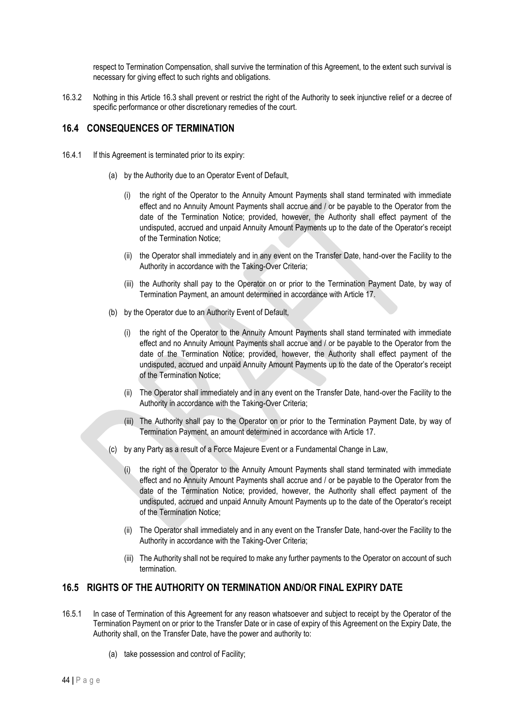respect to Termination Compensation, shall survive the termination of this Agreement, to the extent such survival is necessary for giving effect to such rights and obligations.

16.3.2 Nothing in this Article 16.3 shall prevent or restrict the right of the Authority to seek injunctive relief or a decree of specific performance or other discretionary remedies of the court.

### **16.4 CONSEQUENCES OF TERMINATION**

- 16.4.1 If this Agreement is terminated prior to its expiry:
	- (a) by the Authority due to an Operator Event of Default,
		- (i) the right of the Operator to the Annuity Amount Payments shall stand terminated with immediate effect and no Annuity Amount Payments shall accrue and / or be payable to the Operator from the date of the Termination Notice; provided, however, the Authority shall effect payment of the undisputed, accrued and unpaid Annuity Amount Payments up to the date of the Operator's receipt of the Termination Notice;
		- (ii) the Operator shall immediately and in any event on the Transfer Date, hand-over the Facility to the Authority in accordance with the Taking-Over Criteria;
		- (iii) the Authority shall pay to the Operator on or prior to the Termination Payment Date, by way of Termination Payment, an amount determined in accordance with Article 17.
	- (b) by the Operator due to an Authority Event of Default,
		- (i) the right of the Operator to the Annuity Amount Payments shall stand terminated with immediate effect and no Annuity Amount Payments shall accrue and / or be payable to the Operator from the date of the Termination Notice; provided, however, the Authority shall effect payment of the undisputed, accrued and unpaid Annuity Amount Payments up to the date of the Operator's receipt of the Termination Notice;
		- (ii) The Operator shall immediately and in any event on the Transfer Date, hand-over the Facility to the Authority in accordance with the Taking-Over Criteria;
		- (iii) The Authority shall pay to the Operator on or prior to the Termination Payment Date, by way of Termination Payment, an amount determined in accordance with Article 17.
	- (c) by any Party as a result of a Force Majeure Event or a Fundamental Change in Law,
		- (i) the right of the Operator to the Annuity Amount Payments shall stand terminated with immediate effect and no Annuity Amount Payments shall accrue and / or be payable to the Operator from the date of the Termination Notice; provided, however, the Authority shall effect payment of the undisputed, accrued and unpaid Annuity Amount Payments up to the date of the Operator's receipt of the Termination Notice;
		- (ii) The Operator shall immediately and in any event on the Transfer Date, hand-over the Facility to the Authority in accordance with the Taking-Over Criteria;
		- (iii) The Authority shall not be required to make any further payments to the Operator on account of such termination.

# **16.5 RIGHTS OF THE AUTHORITY ON TERMINATION AND/OR FINAL EXPIRY DATE**

- 16.5.1 In case of Termination of this Agreement for any reason whatsoever and subject to receipt by the Operator of the Termination Payment on or prior to the Transfer Date or in case of expiry of this Agreement on the Expiry Date, the Authority shall, on the Transfer Date, have the power and authority to:
	- (a) take possession and control of Facility;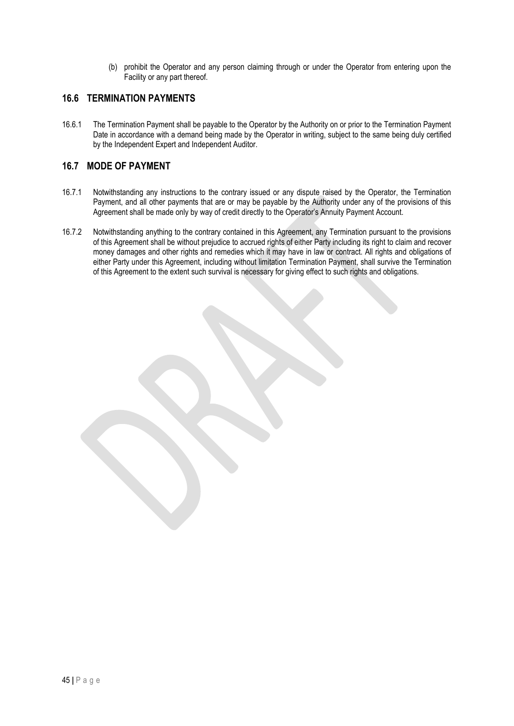(b) prohibit the Operator and any person claiming through or under the Operator from entering upon the Facility or any part thereof.

### **16.6 TERMINATION PAYMENTS**

16.6.1 The Termination Payment shall be payable to the Operator by the Authority on or prior to the Termination Payment Date in accordance with a demand being made by the Operator in writing, subject to the same being duly certified by the Independent Expert and Independent Auditor.

### **16.7 MODE OF PAYMENT**

- 16.7.1 Notwithstanding any instructions to the contrary issued or any dispute raised by the Operator, the Termination Payment, and all other payments that are or may be payable by the Authority under any of the provisions of this Agreement shall be made only by way of credit directly to the Operator's Annuity Payment Account.
- 16.7.2 Notwithstanding anything to the contrary contained in this Agreement, any Termination pursuant to the provisions of this Agreement shall be without prejudice to accrued rights of either Party including its right to claim and recover money damages and other rights and remedies which it may have in law or contract. All rights and obligations of either Party under this Agreement, including without limitation Termination Payment, shall survive the Termination of this Agreement to the extent such survival is necessary for giving effect to such rights and obligations.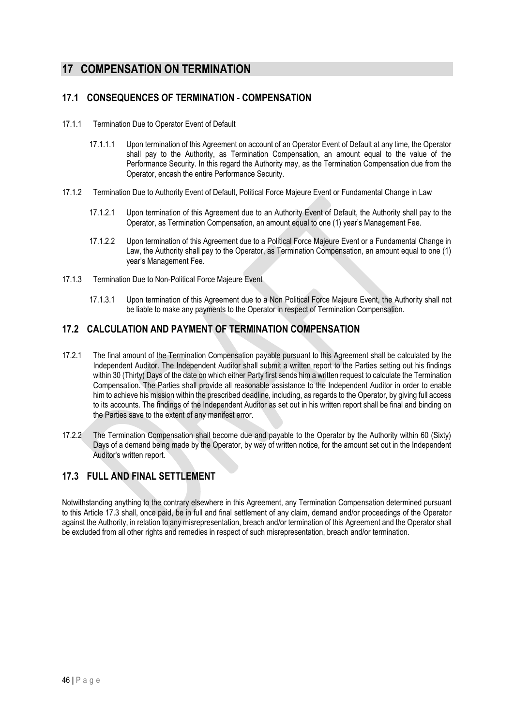# **17 COMPENSATION ON TERMINATION**

# **17.1 CONSEQUENCES OF TERMINATION - COMPENSATION**

- 17.1.1 Termination Due to Operator Event of Default
	- 17.1.1.1 Upon termination of this Agreement on account of an Operator Event of Default at any time, the Operator shall pay to the Authority, as Termination Compensation, an amount equal to the value of the Performance Security. In this regard the Authority may, as the Termination Compensation due from the Operator, encash the entire Performance Security.
- 17.1.2 Termination Due to Authority Event of Default, Political Force Majeure Event or Fundamental Change in Law
	- 17.1.2.1 Upon termination of this Agreement due to an Authority Event of Default, the Authority shall pay to the Operator, as Termination Compensation, an amount equal to one (1) year's Management Fee.
	- 17.1.2.2 Upon termination of this Agreement due to a Political Force Majeure Event or a Fundamental Change in Law, the Authority shall pay to the Operator, as Termination Compensation, an amount equal to one (1) year's Management Fee.
- 17.1.3 Termination Due to Non-Political Force Majeure Event
	- 17.1.3.1 Upon termination of this Agreement due to a Non Political Force Majeure Event, the Authority shall not be liable to make any payments to the Operator in respect of Termination Compensation.

# **17.2 CALCULATION AND PAYMENT OF TERMINATION COMPENSATION**

- 17.2.1 The final amount of the Termination Compensation payable pursuant to this Agreement shall be calculated by the Independent Auditor. The Independent Auditor shall submit a written report to the Parties setting out his findings within 30 (Thirty) Days of the date on which either Party first sends him a written request to calculate the Termination Compensation. The Parties shall provide all reasonable assistance to the Independent Auditor in order to enable him to achieve his mission within the prescribed deadline, including, as regards to the Operator, by giving full access to its accounts. The findings of the Independent Auditor as set out in his written report shall be final and binding on the Parties save to the extent of any manifest error.
- 17.2.2 The Termination Compensation shall become due and payable to the Operator by the Authority within 60 (Sixty) Days of a demand being made by the Operator, by way of written notice, for the amount set out in the Independent Auditor's written report.

# **17.3 FULL AND FINAL SETTLEMENT**

Notwithstanding anything to the contrary elsewhere in this Agreement, any Termination Compensation determined pursuant to this Article 17.3 shall, once paid, be in full and final settlement of any claim, demand and/or proceedings of the Operator against the Authority, in relation to any misrepresentation, breach and/or termination of this Agreement and the Operator shall be excluded from all other rights and remedies in respect of such misrepresentation, breach and/or termination.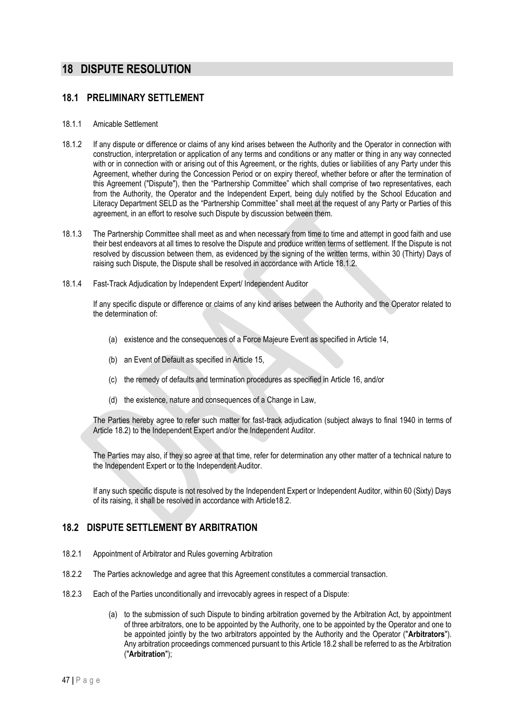# **18 DISPUTE RESOLUTION**

### **18.1 PRELIMINARY SETTLEMENT**

#### 18.1.1 Amicable Settlement

- 18.1.2 If any dispute or difference or claims of any kind arises between the Authority and the Operator in connection with construction, interpretation or application of any terms and conditions or any matter or thing in any way connected with or in connection with or arising out of this Agreement, or the rights, duties or liabilities of any Party under this Agreement, whether during the Concession Period or on expiry thereof, whether before or after the termination of this Agreement ("Dispute"), then the "Partnership Committee" which shall comprise of two representatives, each from the Authority, the Operator and the Independent Expert, being duly notified by the School Education and Literacy Department SELD as the "Partnership Committee" shall meet at the request of any Party or Parties of this agreement, in an effort to resolve such Dispute by discussion between them.
- 18.1.3 The Partnership Committee shall meet as and when necessary from time to time and attempt in good faith and use their best endeavors at all times to resolve the Dispute and produce written terms of settlement. If the Dispute is not resolved by discussion between them, as evidenced by the signing of the written terms, within 30 (Thirty) Days of raising such Dispute, the Dispute shall be resolved in accordance with Article 18.1.2.
- 18.1.4 Fast-Track Adjudication by Independent Expert/ Independent Auditor

If any specific dispute or difference or claims of any kind arises between the Authority and the Operator related to the determination of:

- (a) existence and the consequences of a Force Majeure Event as specified in Article 14,
- (b) an Event of Default as specified in Article 15,
- (c) the remedy of defaults and termination procedures as specified in Article 16, and/or
- (d) the existence, nature and consequences of a Change in Law,

The Parties hereby agree to refer such matter for fast-track adjudication (subject always to final 1940 in terms of Article 18.2) to the Independent Expert and/or the Independent Auditor.

The Parties may also, if they so agree at that time, refer for determination any other matter of a technical nature to the Independent Expert or to the Independent Auditor.

If any such specific dispute is not resolved by the Independent Expert or Independent Auditor, within 60 (Sixty) Days of its raising, it shall be resolved in accordance with Article18.2.

# **18.2 DISPUTE SETTLEMENT BY ARBITRATION**

- 18.2.1 Appointment of Arbitrator and Rules governing Arbitration
- 18.2.2 The Parties acknowledge and agree that this Agreement constitutes a commercial transaction.
- 18.2.3 Each of the Parties unconditionally and irrevocably agrees in respect of a Dispute:
	- (a) to the submission of such Dispute to binding arbitration governed by the Arbitration Act, by appointment of three arbitrators, one to be appointed by the Authority, one to be appointed by the Operator and one to be appointed jointly by the two arbitrators appointed by the Authority and the Operator ("**Arbitrators**"). Any arbitration proceedings commenced pursuant to this Article 18.2 shall be referred to as the Arbitration ("**Arbitration**");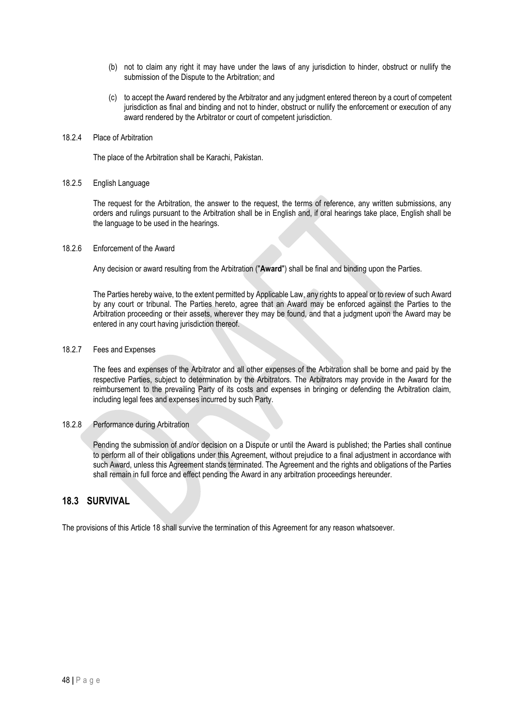- (b) not to claim any right it may have under the laws of any jurisdiction to hinder, obstruct or nullify the submission of the Dispute to the Arbitration; and
- (c) to accept the Award rendered by the Arbitrator and any judgment entered thereon by a court of competent jurisdiction as final and binding and not to hinder, obstruct or nullify the enforcement or execution of any award rendered by the Arbitrator or court of competent jurisdiction.

#### 18.2.4 Place of Arbitration

The place of the Arbitration shall be Karachi, Pakistan.

#### 18.2.5 English Language

The request for the Arbitration, the answer to the request, the terms of reference, any written submissions, any orders and rulings pursuant to the Arbitration shall be in English and, if oral hearings take place, English shall be the language to be used in the hearings.

#### 18.2.6 Enforcement of the Award

Any decision or award resulting from the Arbitration ("**Award**") shall be final and binding upon the Parties.

The Parties hereby waive, to the extent permitted by Applicable Law, any rights to appeal or to review of such Award by any court or tribunal. The Parties hereto, agree that an Award may be enforced against the Parties to the Arbitration proceeding or their assets, wherever they may be found, and that a judgment upon the Award may be entered in any court having jurisdiction thereof.

#### 18.2.7 Fees and Expenses

The fees and expenses of the Arbitrator and all other expenses of the Arbitration shall be borne and paid by the respective Parties, subject to determination by the Arbitrators. The Arbitrators may provide in the Award for the reimbursement to the prevailing Party of its costs and expenses in bringing or defending the Arbitration claim, including legal fees and expenses incurred by such Party.

#### 18.2.8 Performance during Arbitration

Pending the submission of and/or decision on a Dispute or until the Award is published; the Parties shall continue to perform all of their obligations under this Agreement, without prejudice to a final adjustment in accordance with such Award, unless this Agreement stands terminated. The Agreement and the rights and obligations of the Parties shall remain in full force and effect pending the Award in any arbitration proceedings hereunder.

### **18.3 SURVIVAL**

The provisions of this Article 18 shall survive the termination of this Agreement for any reason whatsoever.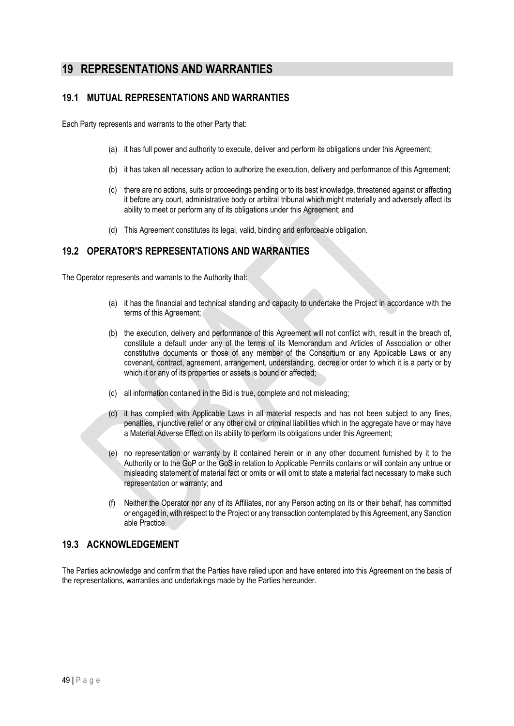# **19 REPRESENTATIONS AND WARRANTIES**

# **19.1 MUTUAL REPRESENTATIONS AND WARRANTIES**

Each Party represents and warrants to the other Party that:

- (a) it has full power and authority to execute, deliver and perform its obligations under this Agreement;
- (b) it has taken all necessary action to authorize the execution, delivery and performance of this Agreement;
- (c) there are no actions, suits or proceedings pending or to its best knowledge, threatened against or affecting it before any court, administrative body or arbitral tribunal which might materially and adversely affect its ability to meet or perform any of its obligations under this Agreement; and
- (d) This Agreement constitutes its legal, valid, binding and enforceable obligation.

# **19.2 OPERATOR'S REPRESENTATIONS AND WARRANTIES**

The Operator represents and warrants to the Authority that:

- (a) it has the financial and technical standing and capacity to undertake the Project in accordance with the terms of this Agreement;
- (b) the execution, delivery and performance of this Agreement will not conflict with, result in the breach of, constitute a default under any of the terms of its Memorandum and Articles of Association or other constitutive documents or those of any member of the Consortium or any Applicable Laws or any covenant, contract, agreement, arrangement, understanding, decree or order to which it is a party or by which it or any of its properties or assets is bound or affected;
- (c) all information contained in the Bid is true, complete and not misleading;
- (d) it has complied with Applicable Laws in all material respects and has not been subject to any fines, penalties, injunctive relief or any other civil or criminal liabilities which in the aggregate have or may have a Material Adverse Effect on its ability to perform its obligations under this Agreement;
- (e) no representation or warranty by it contained herein or in any other document furnished by it to the Authority or to the GoP or the GoS in relation to Applicable Permits contains or will contain any untrue or misleading statement of material fact or omits or will omit to state a material fact necessary to make such representation or warranty; and
- (f) Neither the Operator nor any of its Affiliates, nor any Person acting on its or their behalf, has committed or engaged in, with respect to the Project or any transaction contemplated by this Agreement, any Sanction able Practice.

# **19.3 ACKNOWLEDGEMENT**

The Parties acknowledge and confirm that the Parties have relied upon and have entered into this Agreement on the basis of the representations, warranties and undertakings made by the Parties hereunder.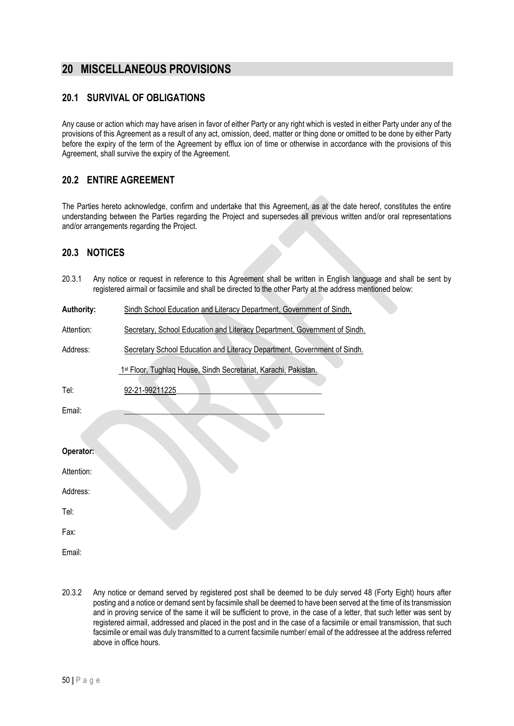# **20 MISCELLANEOUS PROVISIONS**

# **20.1 SURVIVAL OF OBLIGATIONS**

Any cause or action which may have arisen in favor of either Party or any right which is vested in either Party under any of the provisions of this Agreement as a result of any act, omission, deed, matter or thing done or omitted to be done by either Party before the expiry of the term of the Agreement by efflux ion of time or otherwise in accordance with the provisions of this Agreement, shall survive the expiry of the Agreement.

# **20.2 ENTIRE AGREEMENT**

The Parties hereto acknowledge, confirm and undertake that this Agreement, as at the date hereof, constitutes the entire understanding between the Parties regarding the Project and supersedes all previous written and/or oral representations and/or arrangements regarding the Project.

### **20.3 NOTICES**

20.3.1 Any notice or request in reference to this Agreement shall be written in English language and shall be sent by registered airmail or facsimile and shall be directed to the other Party at the address mentioned below: **Authority:** Sindh School Education and Literacy Department, Government of Sindh,

| Attention: | Secretary, School Education and Literacy Department, Government of Sindh. |  |  |  |  |  |
|------------|---------------------------------------------------------------------------|--|--|--|--|--|
|            |                                                                           |  |  |  |  |  |

Address: Secretary School Education and Literacy Department, Government of Sindh.

1<sup>st</sup> Floor, Tughlaq House, Sindh Secretariat, Karachi, Pakistan.

| Tel:       | 92-21-99211225 |
|------------|----------------|
| Email:     |                |
|            |                |
| Operator:  |                |
| Attention: |                |
| Address:   |                |
| Tel:       |                |
| Fax:       |                |

Email:

20.3.2 Any notice or demand served by registered post shall be deemed to be duly served 48 (Forty Eight) hours after posting and a notice or demand sent by facsimile shall be deemed to have been served at the time of its transmission and in proving service of the same it will be sufficient to prove, in the case of a letter, that such letter was sent by registered airmail, addressed and placed in the post and in the case of a facsimile or email transmission, that such facsimile or email was duly transmitted to a current facsimile number/ email of the addressee at the address referred above in office hours.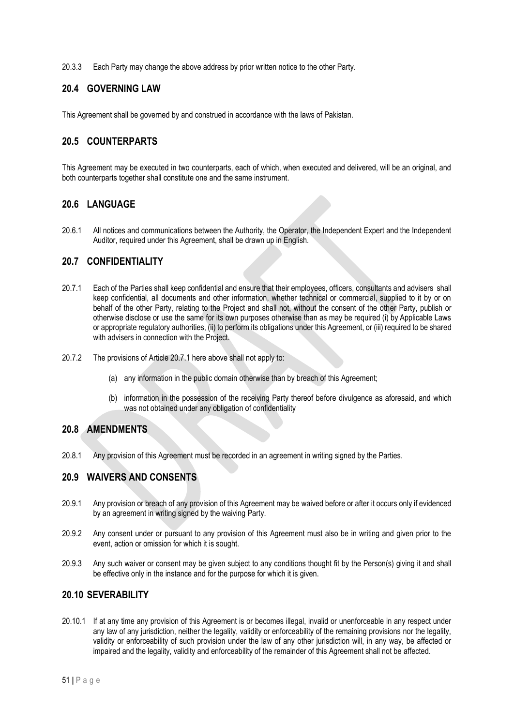20.3.3 Each Party may change the above address by prior written notice to the other Party.

### **20.4 GOVERNING LAW**

This Agreement shall be governed by and construed in accordance with the laws of Pakistan.

### **20.5 COUNTERPARTS**

This Agreement may be executed in two counterparts, each of which, when executed and delivered, will be an original, and both counterparts together shall constitute one and the same instrument.

### **20.6 LANGUAGE**

20.6.1 All notices and communications between the Authority, the Operator, the Independent Expert and the Independent Auditor, required under this Agreement, shall be drawn up in English.

### **20.7 CONFIDENTIALITY**

- 20.7.1 Each of the Parties shall keep confidential and ensure that their employees, officers, consultants and advisers shall keep confidential, all documents and other information, whether technical or commercial, supplied to it by or on behalf of the other Party, relating to the Project and shall not, without the consent of the other Party, publish or otherwise disclose or use the same for its own purposes otherwise than as may be required (i) by Applicable Laws or appropriate regulatory authorities, (ii) to perform its obligations under this Agreement, or (iii) required to be shared with advisers in connection with the Project.
- 20.7.2 The provisions of Article 20.7.1 here above shall not apply to:
	- (a) any information in the public domain otherwise than by breach of this Agreement;
	- (b) information in the possession of the receiving Party thereof before divulgence as aforesaid, and which was not obtained under any obligation of confidentiality

### **20.8 AMENDMENTS**

20.8.1 Any provision of this Agreement must be recorded in an agreement in writing signed by the Parties.

### **20.9 WAIVERS AND CONSENTS**

- 20.9.1 Any provision or breach of any provision of this Agreement may be waived before or after it occurs only if evidenced by an agreement in writing signed by the waiving Party.
- 20.9.2 Any consent under or pursuant to any provision of this Agreement must also be in writing and given prior to the event, action or omission for which it is sought.
- 20.9.3 Any such waiver or consent may be given subject to any conditions thought fit by the Person(s) giving it and shall be effective only in the instance and for the purpose for which it is given.

### **20.10 SEVERABILITY**

20.10.1 If at any time any provision of this Agreement is or becomes illegal, invalid or unenforceable in any respect under any law of any jurisdiction, neither the legality, validity or enforceability of the remaining provisions nor the legality, validity or enforceability of such provision under the law of any other jurisdiction will, in any way, be affected or impaired and the legality, validity and enforceability of the remainder of this Agreement shall not be affected.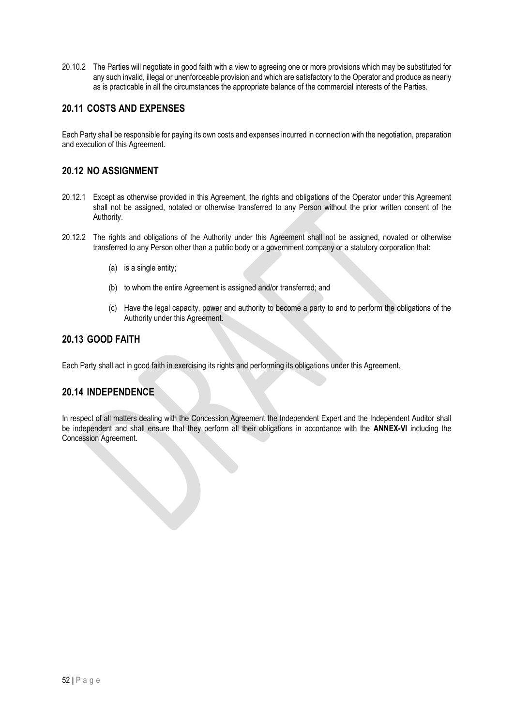20.10.2 The Parties will negotiate in good faith with a view to agreeing one or more provisions which may be substituted for any such invalid, illegal or unenforceable provision and which are satisfactory to the Operator and produce as nearly as is practicable in all the circumstances the appropriate balance of the commercial interests of the Parties.

# **20.11 COSTS AND EXPENSES**

Each Party shall be responsible for paying its own costs and expenses incurred in connection with the negotiation, preparation and execution of this Agreement.

### **20.12 NO ASSIGNMENT**

- 20.12.1 Except as otherwise provided in this Agreement, the rights and obligations of the Operator under this Agreement shall not be assigned, notated or otherwise transferred to any Person without the prior written consent of the Authority.
- 20.12.2 The rights and obligations of the Authority under this Agreement shall not be assigned, novated or otherwise transferred to any Person other than a public body or a government company or a statutory corporation that:
	- (a) is a single entity;
	- (b) to whom the entire Agreement is assigned and/or transferred; and
	- (c) Have the legal capacity, power and authority to become a party to and to perform the obligations of the Authority under this Agreement.

### **20.13 GOOD FAITH**

Each Party shall act in good faith in exercising its rights and performing its obligations under this Agreement.

# **20.14 INDEPENDENCE**

In respect of all matters dealing with the Concession Agreement the Independent Expert and the Independent Auditor shall be independent and shall ensure that they perform all their obligations in accordance with the **ANNEX-VI** including the Concession Agreement.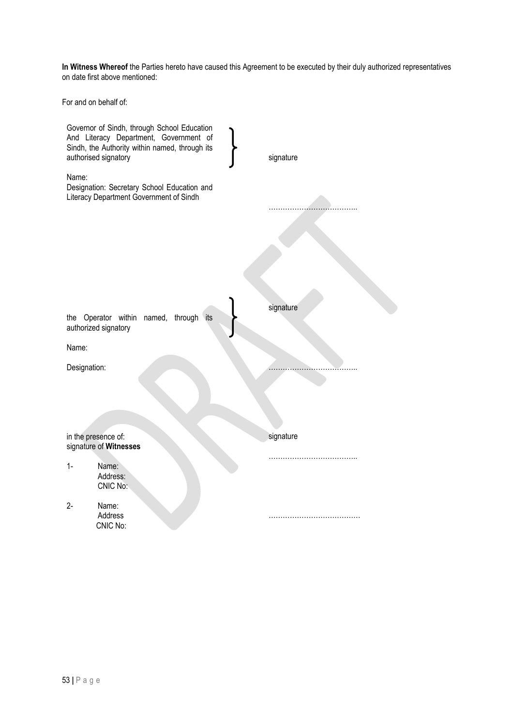**In Witness Whereof** the Parties hereto have caused this Agreement to be executed by their duly authorized representatives on date first above mentioned:

For and on behalf of:

|              | Governor of Sindh, through School Education<br>And Literacy Department, Government of<br>Sindh, the Authority within named, through its<br>authorised signatory | signature |
|--------------|-----------------------------------------------------------------------------------------------------------------------------------------------------------------|-----------|
| Name:        | Designation: Secretary School Education and<br>Literacy Department Government of Sindh                                                                          |           |
|              |                                                                                                                                                                 |           |
|              |                                                                                                                                                                 |           |
|              |                                                                                                                                                                 |           |
|              | the Operator within<br>named, through its<br>authorized signatory                                                                                               | signature |
| Name:        |                                                                                                                                                                 |           |
| Designation: |                                                                                                                                                                 |           |
|              |                                                                                                                                                                 |           |
|              | in the presence of:<br>signature of Witnesses                                                                                                                   | signature |
| $1-$         | Name:<br>Address:<br>CNIC No:                                                                                                                                   |           |
| $2 -$        | Name:<br>Address<br>CNIC No:                                                                                                                                    |           |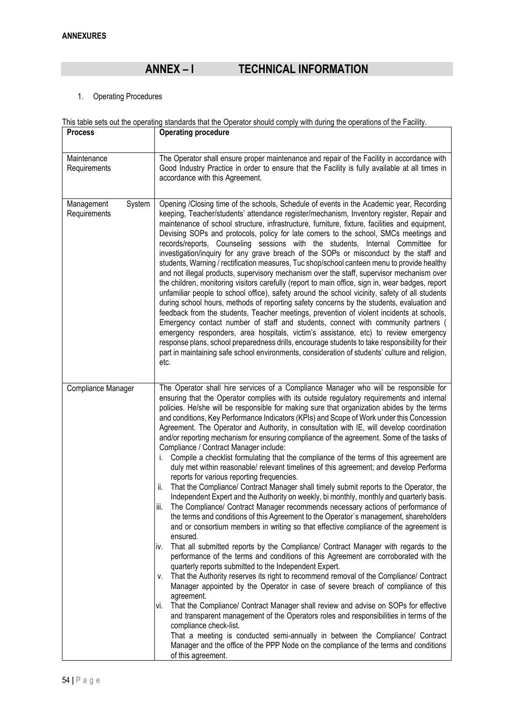# **ANNEX – I TECHNICAL INFORMATION**

1. Operating Procedures

|                      | This table sets out the operating standards that the Operator should comply with during the operations of the Facility.                                                                  |  |  |  |  |
|----------------------|------------------------------------------------------------------------------------------------------------------------------------------------------------------------------------------|--|--|--|--|
| <b>Process</b>       | <b>Operating procedure</b>                                                                                                                                                               |  |  |  |  |
|                      |                                                                                                                                                                                          |  |  |  |  |
| Maintenance          | The Operator shall ensure proper maintenance and repair of the Facility in accordance with                                                                                               |  |  |  |  |
| Requirements         | Good Industry Practice in order to ensure that the Facility is fully available at all times in                                                                                           |  |  |  |  |
|                      | accordance with this Agreement.                                                                                                                                                          |  |  |  |  |
|                      |                                                                                                                                                                                          |  |  |  |  |
| System<br>Management | Opening /Closing time of the schools, Schedule of events in the Academic year, Recording                                                                                                 |  |  |  |  |
| Requirements         | keeping, Teacher/students' attendance register/mechanism, Inventory register, Repair and                                                                                                 |  |  |  |  |
|                      | maintenance of school structure, infrastructure, furniture, fixture, facilities and equipment,                                                                                           |  |  |  |  |
|                      | Devising SOPs and protocols, policy for late comers to the school, SMCs meetings and                                                                                                     |  |  |  |  |
|                      | records/reports, Counseling sessions with the students, Internal Committee for                                                                                                           |  |  |  |  |
|                      | investigation/inquiry for any grave breach of the SOPs or misconduct by the staff and                                                                                                    |  |  |  |  |
|                      | students, Warning / rectification measures, Tuc shop/school canteen menu to provide healthy<br>and not illegal products, supervisory mechanism over the staff, supervisor mechanism over |  |  |  |  |
|                      | the children, monitoring visitors carefully (report to main office, sign in, wear badges, report                                                                                         |  |  |  |  |
|                      | unfamiliar people to school office), safety around the school vicinity, safety of all students                                                                                           |  |  |  |  |
|                      | during school hours, methods of reporting safety concerns by the students, evaluation and                                                                                                |  |  |  |  |
|                      | feedback from the students, Teacher meetings, prevention of violent incidents at schools,                                                                                                |  |  |  |  |
|                      | Emergency contact number of staff and students, connect with community partners (                                                                                                        |  |  |  |  |
|                      | emergency responders, area hospitals, victim's assistance, etc) to review emergency                                                                                                      |  |  |  |  |
|                      | response plans, school preparedness drills, encourage students to take responsibility for their                                                                                          |  |  |  |  |
|                      | part in maintaining safe school environments, consideration of students' culture and religion,                                                                                           |  |  |  |  |
|                      | etc.                                                                                                                                                                                     |  |  |  |  |
|                      |                                                                                                                                                                                          |  |  |  |  |
| Compliance Manager   | The Operator shall hire services of a Compliance Manager who will be responsible for                                                                                                     |  |  |  |  |
|                      | ensuring that the Operator complies with its outside regulatory requirements and internal                                                                                                |  |  |  |  |
|                      | policies. He/she will be responsible for making sure that organization abides by the terms                                                                                               |  |  |  |  |
|                      | and conditions, Key Performance Indicators (KPIs) and Scope of Work under this Concession                                                                                                |  |  |  |  |
|                      | Agreement. The Operator and Authority, in consultation with IE, will develop coordination                                                                                                |  |  |  |  |
|                      | and/or reporting mechanism for ensuring compliance of the agreement. Some of the tasks of                                                                                                |  |  |  |  |
|                      | Compliance / Contract Manager include:                                                                                                                                                   |  |  |  |  |
|                      | Compile a checklist formulating that the compliance of the terms of this agreement are<br>İ.                                                                                             |  |  |  |  |
|                      | duly met within reasonable/ relevant timelines of this agreement; and develop Performa                                                                                                   |  |  |  |  |
|                      | reports for various reporting frequencies.<br>That the Compliance/ Contract Manager shall timely submit reports to the Operator, the<br>ii.                                              |  |  |  |  |
|                      | Independent Expert and the Authority on weekly, bi monthly, monthly and quarterly basis.                                                                                                 |  |  |  |  |
|                      | iii.<br>The Compliance/ Contract Manager recommends necessary actions of performance of                                                                                                  |  |  |  |  |
|                      | the terms and conditions of this Agreement to the Operator's management, shareholders                                                                                                    |  |  |  |  |
|                      | and or consortium members in writing so that effective compliance of the agreement is                                                                                                    |  |  |  |  |
|                      | ensured.                                                                                                                                                                                 |  |  |  |  |
|                      | That all submitted reports by the Compliance/ Contract Manager with regards to the<br>IV.                                                                                                |  |  |  |  |
|                      | performance of the terms and conditions of this Agreement are corroborated with the                                                                                                      |  |  |  |  |
|                      | quarterly reports submitted to the Independent Expert.                                                                                                                                   |  |  |  |  |
|                      | That the Authority reserves its right to recommend removal of the Compliance/ Contract<br>V.                                                                                             |  |  |  |  |
|                      | Manager appointed by the Operator in case of severe breach of compliance of this                                                                                                         |  |  |  |  |
|                      | agreement.                                                                                                                                                                               |  |  |  |  |
|                      | That the Compliance/ Contract Manager shall review and advise on SOPs for effective<br>VI.                                                                                               |  |  |  |  |
|                      | and transparent management of the Operators roles and responsibilities in terms of the                                                                                                   |  |  |  |  |
|                      | compliance check-list.                                                                                                                                                                   |  |  |  |  |
|                      | That a meeting is conducted semi-annually in between the Compliance/ Contract                                                                                                            |  |  |  |  |
|                      | Manager and the office of the PPP Node on the compliance of the terms and conditions<br>of this agreement.                                                                               |  |  |  |  |
|                      |                                                                                                                                                                                          |  |  |  |  |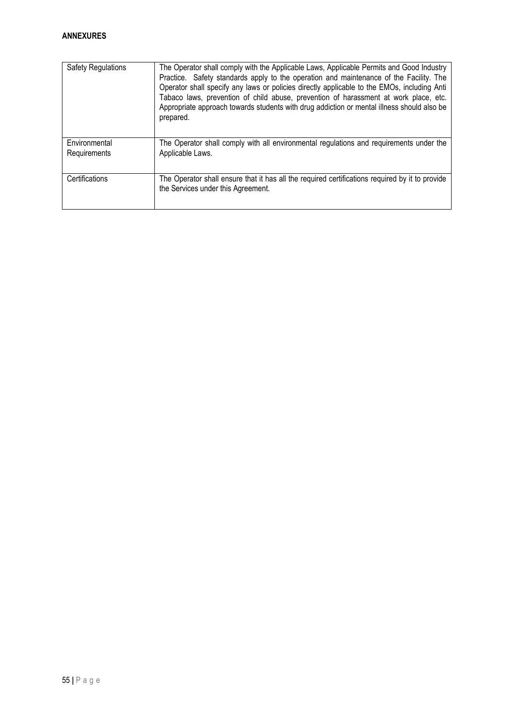| <b>Safety Regulations</b>     | The Operator shall comply with the Applicable Laws, Applicable Permits and Good Industry<br>Practice. Safety standards apply to the operation and maintenance of the Facility. The<br>Operator shall specify any laws or policies directly applicable to the EMOs, including Anti<br>Tabaco laws, prevention of child abuse, prevention of harassment at work place, etc.<br>Appropriate approach towards students with drug addiction or mental illness should also be<br>prepared. |
|-------------------------------|--------------------------------------------------------------------------------------------------------------------------------------------------------------------------------------------------------------------------------------------------------------------------------------------------------------------------------------------------------------------------------------------------------------------------------------------------------------------------------------|
| Environmental<br>Requirements | The Operator shall comply with all environmental regulations and requirements under the<br>Applicable Laws.                                                                                                                                                                                                                                                                                                                                                                          |
| Certifications                | The Operator shall ensure that it has all the required certifications required by it to provide<br>the Services under this Agreement.                                                                                                                                                                                                                                                                                                                                                |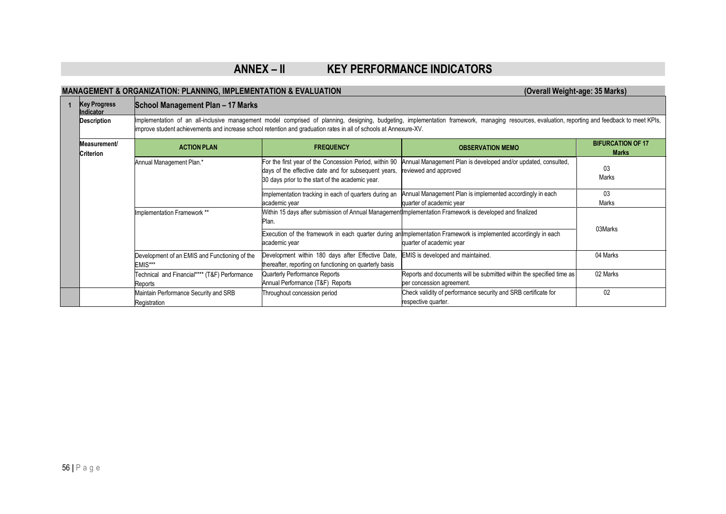# **ANNEX – II KEY PERFORMANCE INDICATORS**

# **MANAGEMENT & ORGANIZATION: PLANNING, IMPLEMENTATION & EVALUATION (Overall Weight-age: 35 Marks)**

|  | <b>Key Progress</b><br>Indicator | School Management Plan - 17 Marks                                                                                                                                                                                                                                                                                    |                                                                                                                                                                    |                                                                                                          |                                          |  |  |  |
|--|----------------------------------|----------------------------------------------------------------------------------------------------------------------------------------------------------------------------------------------------------------------------------------------------------------------------------------------------------------------|--------------------------------------------------------------------------------------------------------------------------------------------------------------------|----------------------------------------------------------------------------------------------------------|------------------------------------------|--|--|--|
|  | <b>Description</b>               | Implementation of an all-inclusive management model comprised of planning, designing, budgeting, implementation framework, managing resources, evaluation, reporting and feedback to meet KPIs,<br>improve student achievements and increase school retention and graduation rates in all of schools at Annexure-XV. |                                                                                                                                                                    |                                                                                                          |                                          |  |  |  |
|  | Measurement/<br>Criterion        | <b>ACTION PLAN</b>                                                                                                                                                                                                                                                                                                   | <b>FREQUENCY</b>                                                                                                                                                   | <b>OBSERVATION MEMO</b>                                                                                  | <b>BIFURCATION OF 17</b><br><b>Marks</b> |  |  |  |
|  |                                  | Annual Management Plan.*                                                                                                                                                                                                                                                                                             | For the first year of the Concession Period, within 90<br>days of the effective date and for subsequent years,<br>30 days prior to the start of the academic year. | Annual Management Plan is developed and/or updated, consulted,<br>reviewed and approved                  | 03<br>Marks                              |  |  |  |
|  |                                  |                                                                                                                                                                                                                                                                                                                      | Implementation tracking in each of quarters during an<br>academic year                                                                                             | Annual Management Plan is implemented accordingly in each<br>quarter of academic year                    | 03<br>Marks                              |  |  |  |
|  |                                  | Implementation Framework **                                                                                                                                                                                                                                                                                          | Plan.                                                                                                                                                              | Within 15 days after submission of Annual Management Implementation Framework is developed and finalized | 03Marks                                  |  |  |  |
|  |                                  |                                                                                                                                                                                                                                                                                                                      | Execution of the framework in each quarter during an Implementation Framework is implemented accordingly in each<br>academic year<br>quarter of academic year      |                                                                                                          |                                          |  |  |  |
|  |                                  | Development of an EMIS and Functioning of the<br>EMIS***                                                                                                                                                                                                                                                             | Development within 180 days after Effective Date,<br>thereafter, reporting on functioning on quarterly basis                                                       | EMIS is developed and maintained.                                                                        | 04 Marks                                 |  |  |  |
|  |                                  | Technical and Financial**** (T&F) Performance<br>Reports                                                                                                                                                                                                                                                             | Quarterly Performance Reports<br>Annual Performance (T&F) Reports                                                                                                  | Reports and documents will be submitted within the specified time as<br>per concession agreement.        | 02 Marks                                 |  |  |  |
|  |                                  | Maintain Performance Security and SRB<br>Registration                                                                                                                                                                                                                                                                | Throughout concession period                                                                                                                                       | Check validity of performance security and SRB certificate for<br>respective quarter.                    | 02                                       |  |  |  |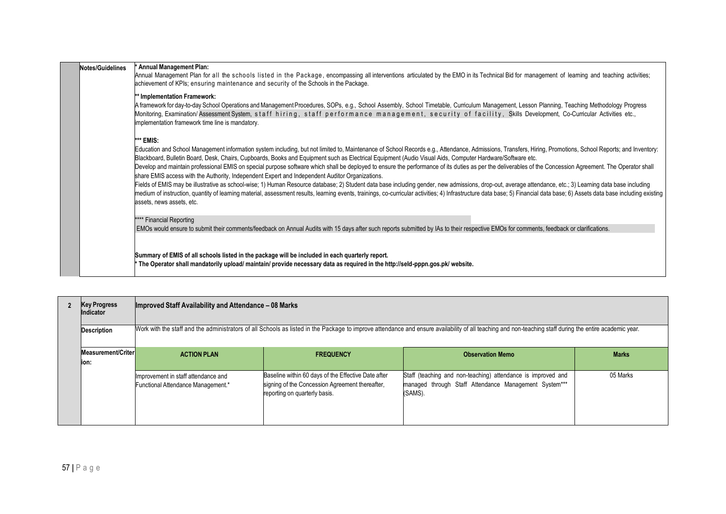| Notes/Guidelines | Annual Management Plan:                                                                                                                                                                                                                                                                                      |
|------------------|--------------------------------------------------------------------------------------------------------------------------------------------------------------------------------------------------------------------------------------------------------------------------------------------------------------|
|                  | Annual Management Plan for all the schools listed in the Package, encompassing all interventions articulated by the EMO in its Technical Bid for management of learning and teaching activities;                                                                                                             |
|                  | achievement of KPIs; ensuring maintenance and security of the Schools in the Package.                                                                                                                                                                                                                        |
|                  | ** Implementation Framework:                                                                                                                                                                                                                                                                                 |
|                  | A framework for day-to-day School Operations and Management Procedures, SOPs, e.g., School Assembly, School Timetable, Curriculum Management, Lesson Planning, Teaching Methodology Progress                                                                                                                 |
|                  | Monitoring, Examination/Assessment System, staff hiring, staff performance management, security of facility, Skills Development, Co-Cumcular Activities etc.,                                                                                                                                                |
|                  | implementation framework time line is mandatory.                                                                                                                                                                                                                                                             |
|                  | *** EMIS:                                                                                                                                                                                                                                                                                                    |
|                  | Education and School Management information system including, but not limited to, Maintenance of School Records e.g., Attendance, Admissions, Transfers, Hiring, Promotions, School Reports; and Inventory:                                                                                                  |
|                  | Blackboard, Bulletin Board, Desk, Chairs, Cupboards, Books and Equipment such as Electrical Equipment (Audio Visual Aids, Computer Hardware/Software etc.                                                                                                                                                    |
|                  | Develop and maintain professional EMIS on special purpose software which shall be deployed to ensure the performance of its duties as per the deliverables of the Concession Agreement. The Operator shall                                                                                                   |
|                  | share EMIS access with the Authority, Independent Expert and Independent Auditor Organizations.<br>Fields of EMIS may be illustrative as school-wise; 1) Human Resource database; 2) Student data base including gender, new admissions, drop-out, average attendance, etc.; 3) Learning data base including |
|                  | medium of instruction, quantity of learning material, assessment results, learning events, trainings, co-curricular activities; 4) Infrastructure data base; 5) Financial data base; 6) Assets data base including existing                                                                                  |
|                  | assets, news assets, etc.                                                                                                                                                                                                                                                                                    |
|                  |                                                                                                                                                                                                                                                                                                              |
|                  | **** Financial Reporting                                                                                                                                                                                                                                                                                     |
|                  | EMOs would ensure to submit their comments/feedback on Annual Audits with 15 days after such reports submitted by IAs to their respective EMOs for comments, feedback or clarifications.                                                                                                                     |
|                  |                                                                                                                                                                                                                                                                                                              |
|                  | Summary of EMIS of all schools listed in the package will be included in each quarterly report.                                                                                                                                                                                                              |
|                  | * The Operator shall mandatorily upload/ maintain/ provide necessary data as required in the http://seld-pppn.gos.pk/ website.                                                                                                                                                                               |
|                  |                                                                                                                                                                                                                                                                                                              |

| <b>Key Progress</b><br>Indicator | Improved Staff Availability and Attendance - 08 Marks<br>Work with the staff and the administrators of all Schools as listed in the Package to improve attendance and ensure availability of all teaching and non-teaching staff during the entire academic year. |                                                                                                                                         |                                                                                                                                  |              |  |  |  |
|----------------------------------|-------------------------------------------------------------------------------------------------------------------------------------------------------------------------------------------------------------------------------------------------------------------|-----------------------------------------------------------------------------------------------------------------------------------------|----------------------------------------------------------------------------------------------------------------------------------|--------------|--|--|--|
| <b>Description</b>               |                                                                                                                                                                                                                                                                   |                                                                                                                                         |                                                                                                                                  |              |  |  |  |
| Measurement/Criter               | <b>ACTION PLAN</b>                                                                                                                                                                                                                                                | <b>FREQUENCY</b>                                                                                                                        | <b>Observation Memo</b>                                                                                                          | <b>Marks</b> |  |  |  |
| lion:                            |                                                                                                                                                                                                                                                                   |                                                                                                                                         |                                                                                                                                  |              |  |  |  |
|                                  | Improvement in staff attendance and<br>Functional Attendance Management.*                                                                                                                                                                                         | Baseline within 60 days of the Effective Date after<br>signing of the Concession Agreement thereafter,<br>reporting on quarterly basis. | Staff (teaching and non-teaching) attendance is improved and<br>managed through Staff Attendance Management System***<br>(SAMS). | 05 Marks     |  |  |  |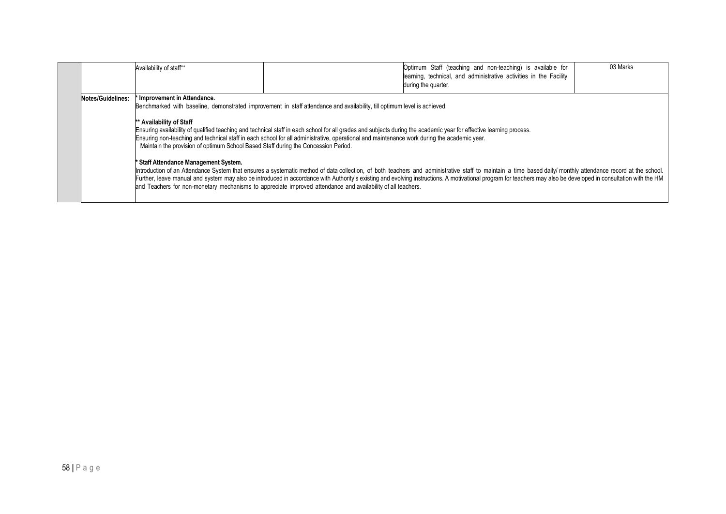|                   | Availability of staff**                                                                                                                                                               |                                                                                                                                                                                                                                                                                                                                                                                                                                                                                                                                                                 | Optimum Staff (teaching and non-teaching) is available for<br>learning, technical, and administrative activities in the Facility<br>during the quarter.                                                                                                                                                                                                                                                                          | 03 Marks |
|-------------------|---------------------------------------------------------------------------------------------------------------------------------------------------------------------------------------|-----------------------------------------------------------------------------------------------------------------------------------------------------------------------------------------------------------------------------------------------------------------------------------------------------------------------------------------------------------------------------------------------------------------------------------------------------------------------------------------------------------------------------------------------------------------|----------------------------------------------------------------------------------------------------------------------------------------------------------------------------------------------------------------------------------------------------------------------------------------------------------------------------------------------------------------------------------------------------------------------------------|----------|
| Notes/Guidelines: | Improvement in Attendance.<br>** Availability of Staff<br>Maintain the provision of optimum School Based Staff during the Concession Period.<br>* Staff Attendance Management System. | Benchmarked with baseline, demonstrated improvement in staff attendance and availability, till optimum level is achieved.<br>Ensuring availability of qualified teaching and technical staff in each school for all grades and subjects during the academic year for effective learning process.<br>Ensuring non-teaching and technical staff in each school for all administrative, operational and maintenance work during the academic year.<br>and Teachers for non-monetary mechanisms to appreciate improved attendance and availability of all teachers. | Introduction of an Attendance System that ensures a systematic method of data collection, of both teachers and administrative staff to maintain a time based daily/ monthly attendance record at the school.<br>Further, leave manual and system may also be introduced in accordance with Authority's existing and evolving instructions. A motivational program for teachers may also be developed in consultation with the HM |          |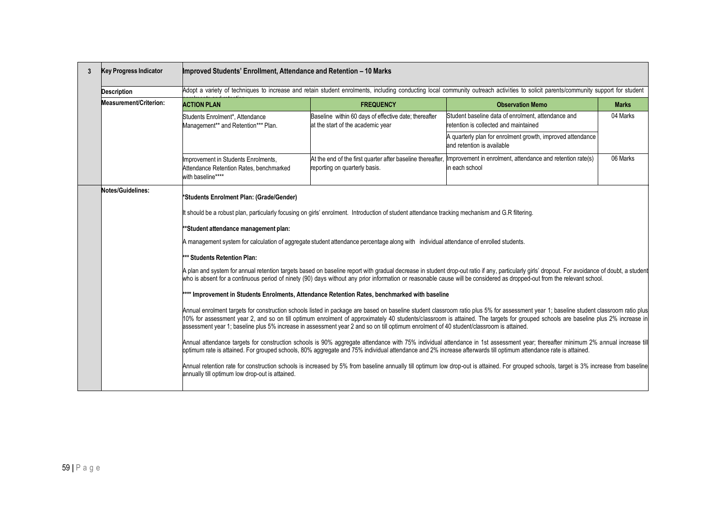| 3 | <b>Key Progress Indicator</b> | Improved Students' Enrollment, Attendance and Retention – 10 Marks                                                                                                   |                                                                                                                                                                                                                                                                                                                                                                                                                                                                                                                                       |                                                                                                                                                                                                                                                                                                                                                                                                                                                                                                                                                                                                                                                                                                                                                                                                                                                                                                                                                                                                                                                                                                                                                                                                                                                                                                            |              |  |  |
|---|-------------------------------|----------------------------------------------------------------------------------------------------------------------------------------------------------------------|---------------------------------------------------------------------------------------------------------------------------------------------------------------------------------------------------------------------------------------------------------------------------------------------------------------------------------------------------------------------------------------------------------------------------------------------------------------------------------------------------------------------------------------|------------------------------------------------------------------------------------------------------------------------------------------------------------------------------------------------------------------------------------------------------------------------------------------------------------------------------------------------------------------------------------------------------------------------------------------------------------------------------------------------------------------------------------------------------------------------------------------------------------------------------------------------------------------------------------------------------------------------------------------------------------------------------------------------------------------------------------------------------------------------------------------------------------------------------------------------------------------------------------------------------------------------------------------------------------------------------------------------------------------------------------------------------------------------------------------------------------------------------------------------------------------------------------------------------------|--------------|--|--|
|   | <b>Description</b>            |                                                                                                                                                                      |                                                                                                                                                                                                                                                                                                                                                                                                                                                                                                                                       | Adopt a variety of techniques to increase and retain student enrolments, including conducting local community outreach activities to solicit parents/community support for student                                                                                                                                                                                                                                                                                                                                                                                                                                                                                                                                                                                                                                                                                                                                                                                                                                                                                                                                                                                                                                                                                                                         |              |  |  |
|   | <b>Measurement/Criterion:</b> | <b>ACTION PLAN</b>                                                                                                                                                   | <b>FREQUENCY</b>                                                                                                                                                                                                                                                                                                                                                                                                                                                                                                                      | <b>Observation Memo</b>                                                                                                                                                                                                                                                                                                                                                                                                                                                                                                                                                                                                                                                                                                                                                                                                                                                                                                                                                                                                                                                                                                                                                                                                                                                                                    | <b>Marks</b> |  |  |
|   |                               | Students Enrolment*, Attendance<br>Management** and Retention*** Plan.                                                                                               | Baseline within 60 days of effective date; thereafter<br>at the start of the academic year                                                                                                                                                                                                                                                                                                                                                                                                                                            | Student baseline data of enrolment, attendance and<br>retention is collected and maintained                                                                                                                                                                                                                                                                                                                                                                                                                                                                                                                                                                                                                                                                                                                                                                                                                                                                                                                                                                                                                                                                                                                                                                                                                | 04 Marks     |  |  |
|   |                               |                                                                                                                                                                      |                                                                                                                                                                                                                                                                                                                                                                                                                                                                                                                                       | A quarterly plan for enrolment growth, improved attendance<br>and retention is available                                                                                                                                                                                                                                                                                                                                                                                                                                                                                                                                                                                                                                                                                                                                                                                                                                                                                                                                                                                                                                                                                                                                                                                                                   |              |  |  |
|   |                               | Improvement in Students Enrolments,<br>Attendance Retention Rates, benchmarked<br>with baseline****                                                                  | reporting on quarterly basis.                                                                                                                                                                                                                                                                                                                                                                                                                                                                                                         | At the end of the first quarter after baseline thereafter, Improvement in enrolment, attendance and retention rate(s)<br>in each school                                                                                                                                                                                                                                                                                                                                                                                                                                                                                                                                                                                                                                                                                                                                                                                                                                                                                                                                                                                                                                                                                                                                                                    | 06 Marks     |  |  |
|   | Notes/Guidelines:             | *Students Enrolment Plan: (Grade/Gender)<br>**Student attendance management plan:<br>*** Students Retention Plan:<br>annually till optimum low drop-out is attained. | It should be a robust plan, particularly focusing on girls' enrolment. Introduction of student attendance tracking mechanism and G.R filtering.<br>A management system for calculation of aggregate student attendance percentage along with individual attendance of enrolled students.<br>**** Improvement in Students Enrolments, Attendance Retention Rates, benchmarked with baseline<br>assessment year 1; baseline plus 5% increase in assessment year 2 and so on till optimum enrolment of 40 student/classroom is attained. | A plan and system for annual retention targets based on baseline report with gradual decrease in student drop-out ratio if any, particularly girls' dropout. For avoidance of doubt, a student<br>who is absent for a continuous period of ninety (90) days without any prior information or reasonable cause will be considered as dropped-out from the relevant school.<br>Annual enrolment targets for construction schools listed in package are based on baseline student classroom ratio plus 5% for assessment year 1; baseline student classroom ratio plus<br>10% for assessment year 2, and so on till optimum enrolment of approximately 40 students/classroom is attained. The targets for grouped schools are baseline plus 2% increase in<br>Annual attendance targets for construction schools is 90% aggregate attendance with 75% individual attendance in 1st assessment year; thereafter minimum 2% annual increase till<br>optimum rate is attained. For grouped schools, 80% aggregate and 75% individual attendance and 2% increase afterwards till optimum attendance rate is attained.<br>Annual retention rate for construction schools is increased by 5% from baseline annually till optimum low drop-out is attained. For grouped schools, target is 3% increase from baseline |              |  |  |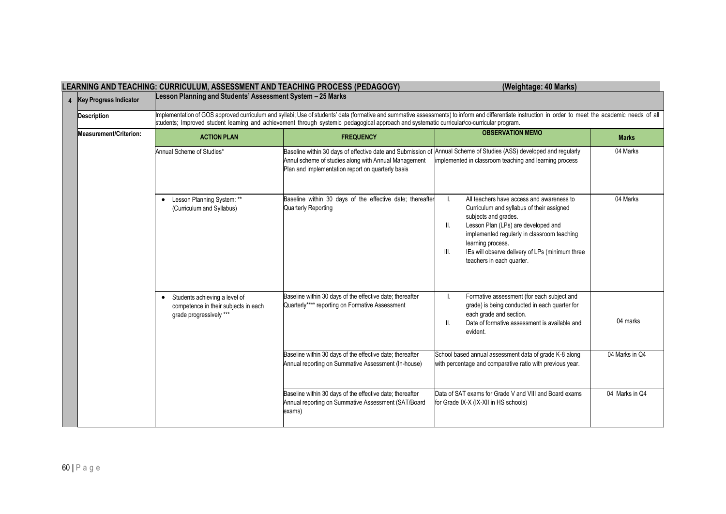|                |                               | LEANNING AND TEACHING. CUNNICULUM, AJJEJJMENT AND TEACHING FNOCEJJ (FEDAGOGT)                                 |                                                                                                                                                                          | (Weighlage. 40 Marks)                                                                                                                                                                                                                                                                                                         |                |
|----------------|-------------------------------|---------------------------------------------------------------------------------------------------------------|--------------------------------------------------------------------------------------------------------------------------------------------------------------------------|-------------------------------------------------------------------------------------------------------------------------------------------------------------------------------------------------------------------------------------------------------------------------------------------------------------------------------|----------------|
| $\overline{4}$ | <b>Key Progress Indicator</b> | Lesson Planning and Students' Assessment System - 25 Marks                                                    |                                                                                                                                                                          |                                                                                                                                                                                                                                                                                                                               |                |
|                | <b>Description</b>            |                                                                                                               | students; Improved student learning and achievement through systemic pedagogical approach and systematic curricular/co-curricular program.                               | Implementation of GOS approved curriculum and syllabi; Use of students' data (formative and summative assessments) to inform and differentiate instruction in order to meet the academic needs of all                                                                                                                         |                |
|                | Measurement/Criterion:        | <b>ACTION PLAN</b>                                                                                            | <b>FREQUENCY</b>                                                                                                                                                         | <b>OBSERVATION MEMO</b>                                                                                                                                                                                                                                                                                                       | <b>Marks</b>   |
|                |                               | Annual Scheme of Studies*                                                                                     | Baseline within 30 days of effective date and Submission of<br>Annul scheme of studies along with Annual Management<br>Plan and implementation report on quarterly basis | Annual Scheme of Studies (ASS) developed and regularly<br>implemented in classroom teaching and learning process                                                                                                                                                                                                              | 04 Marks       |
|                |                               | Lesson Planning System: **<br>(Curriculum and Syllabus)                                                       | Baseline within 30 days of the effective date; thereafter<br>Quarterly Reporting                                                                                         | All teachers have access and awareness to<br>Ι.<br>Curriculum and syllabus of their assigned<br>subjects and grades.<br>Lesson Plan (LPs) are developed and<br>Ш.<br>implemented regularly in classroom teaching<br>learning process.<br>IEs will observe delivery of LPs (minimum three<br>III.<br>teachers in each quarter. | 04 Marks       |
|                |                               | Students achieving a level of<br>$\bullet$<br>competence in their subjects in each<br>grade progressively *** | Baseline within 30 days of the effective date; thereafter<br>Quarterly**** reporting on Formative Assessment                                                             | Formative assessment (for each subject and<br>I.<br>grade) is being conducted in each quarter for<br>each grade and section.<br>Data of formative assessment is available and<br>II.<br>evident.                                                                                                                              | 04 marks       |
|                |                               |                                                                                                               | Baseline within 30 days of the effective date; thereafter<br>Annual reporting on Summative Assessment (In-house)                                                         | School based annual assessment data of grade K-8 along<br>with percentage and comparative ratio with previous year.                                                                                                                                                                                                           | 04 Marks in Q4 |
|                |                               |                                                                                                               | Baseline within 30 days of the effective date; thereafter<br>Annual reporting on Summative Assessment (SAT/Board<br>exams)                                               | Data of SAT exams for Grade V and VIII and Board exams<br>for Grade IX-X (IX-XII in HS schools)                                                                                                                                                                                                                               | 04 Marks in Q4 |

### **LEARNING AND TEACHING: CURRICULUM, ASSESSMENT AND TEACHING PROCESS (PEDAGOGY) (Weightage: 40 Marks)**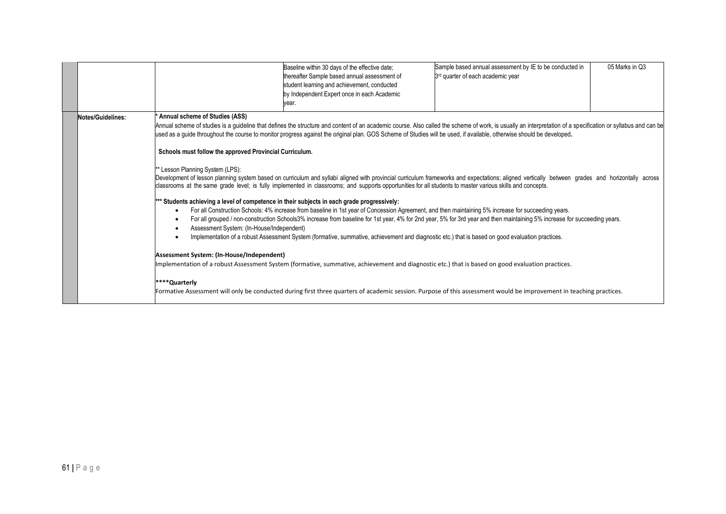|                   |                                                                                                                                                                                                                                                                                                                                        | Baseline within 30 days of the effective date;<br>thereafter Sample based annual assessment of<br>student learning and achievement, conducted<br>by Independent Expert once in each Academic<br>vear.                                                                                                                                                                                                                                                                                                                                                                                                                                                                                                                                                                                              | Sample based annual assessment by IE to be conducted in<br>3 <sup>rd</sup> quarter of each academic year                                                                                                                                                                                                                                                                                                                                                                                                                                                                                                                                                                                                                                                            | 05 Marks in Q3 |
|-------------------|----------------------------------------------------------------------------------------------------------------------------------------------------------------------------------------------------------------------------------------------------------------------------------------------------------------------------------------|----------------------------------------------------------------------------------------------------------------------------------------------------------------------------------------------------------------------------------------------------------------------------------------------------------------------------------------------------------------------------------------------------------------------------------------------------------------------------------------------------------------------------------------------------------------------------------------------------------------------------------------------------------------------------------------------------------------------------------------------------------------------------------------------------|---------------------------------------------------------------------------------------------------------------------------------------------------------------------------------------------------------------------------------------------------------------------------------------------------------------------------------------------------------------------------------------------------------------------------------------------------------------------------------------------------------------------------------------------------------------------------------------------------------------------------------------------------------------------------------------------------------------------------------------------------------------------|----------------|
| Notes/Guidelines: | Annual scheme of Studies (ASS)<br>Schools must follow the approved Provincial Curriculum.<br>* Lesson Planning System (LPS):<br>*** Students achieving a level of competence in their subjects in each grade progressively:<br>Assessment System: (In-House/Independent)<br>Assessment System: (In-House/Independent)<br>****Quarterly | used as a guide throughout the course to monitor progress against the original plan. GOS Scheme of Studies will be used, if available, otherwise should be developed.<br>classrooms at the same grade level; is fully implemented in classrooms; and supports opportunities for all students to master various skills and concepts.<br>For all Construction Schools: 4% increase from baseline in 1st year of Concession Agreement, and then maintaining 5% increase for succeeding years.<br>Implementation of a robust Assessment System (formative, summative, achievement and diagnostic etc.) that is based on good evaluation practices.<br>Implementation of a robust Assessment System (formative, summative, achievement and diagnostic etc.) that is based on good evaluation practices. | Annual scheme of studies is a guideline that defines the structure and content of an academic course. Also called the scheme of work, is usually an interpretation of a specification or syllabus and can be<br>Development of lesson planning system based on curriculum and syllabi aligned with provincial curriculum frameworks and expectations; aligned vertically between grades and horizontally across<br>For all grouped / non-construction Schools3% increase from baseline for 1st year, 4% for 2nd year, 5% for 3rd year and then maintaining 5% increase for succeeding years.<br>Formative Assessment will only be conducted during first three quarters of academic session. Purpose of this assessment would be improvement in teaching practices. |                |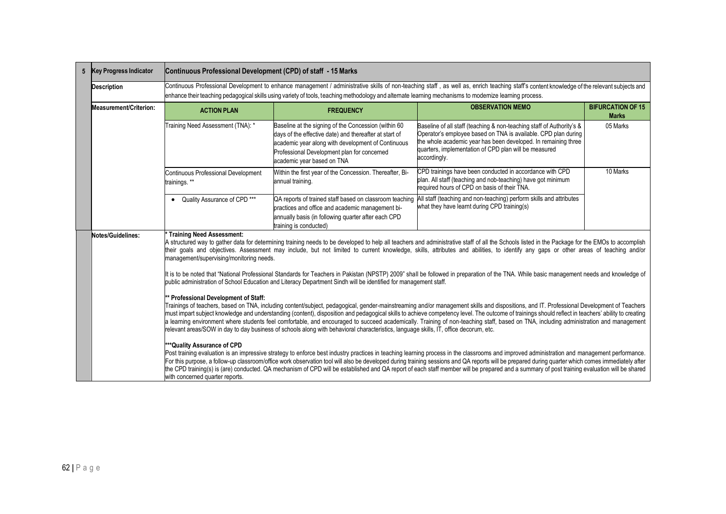| 5 | <b>Key Progress Indicator</b>                                                                                                                                                                                                                                                                                                                                                                                                                                                                                                                                                                                                                                                                                                                                              | Continuous Professional Development (CPD) of staff - 15 Marks                                                                                                                                                                                                                                                                                                                                                                                                                                                                                                                                     |                                                                                                                                                                                                                                                   |                                                                                                                                                                                                                                                                                    |                                          |  |  |
|---|----------------------------------------------------------------------------------------------------------------------------------------------------------------------------------------------------------------------------------------------------------------------------------------------------------------------------------------------------------------------------------------------------------------------------------------------------------------------------------------------------------------------------------------------------------------------------------------------------------------------------------------------------------------------------------------------------------------------------------------------------------------------------|---------------------------------------------------------------------------------------------------------------------------------------------------------------------------------------------------------------------------------------------------------------------------------------------------------------------------------------------------------------------------------------------------------------------------------------------------------------------------------------------------------------------------------------------------------------------------------------------------|---------------------------------------------------------------------------------------------------------------------------------------------------------------------------------------------------------------------------------------------------|------------------------------------------------------------------------------------------------------------------------------------------------------------------------------------------------------------------------------------------------------------------------------------|------------------------------------------|--|--|
|   | <b>Description</b>                                                                                                                                                                                                                                                                                                                                                                                                                                                                                                                                                                                                                                                                                                                                                         | Continuous Professional Development to enhance management / administrative skills of non-teaching staff, as well as, enrich teaching staff's content knowledge of the relevant subjects and<br>enhance their teaching pedagogical skills using variety of tools, teaching methodology and alternate learning mechanisms to modernize learning process.                                                                                                                                                                                                                                            |                                                                                                                                                                                                                                                   |                                                                                                                                                                                                                                                                                    |                                          |  |  |
|   | Measurement/Criterion:                                                                                                                                                                                                                                                                                                                                                                                                                                                                                                                                                                                                                                                                                                                                                     | <b>ACTION PLAN</b>                                                                                                                                                                                                                                                                                                                                                                                                                                                                                                                                                                                | <b>FREQUENCY</b>                                                                                                                                                                                                                                  | <b>OBSERVATION MEMO</b>                                                                                                                                                                                                                                                            | <b>BIFURCATION OF 15</b><br><b>Marks</b> |  |  |
|   |                                                                                                                                                                                                                                                                                                                                                                                                                                                                                                                                                                                                                                                                                                                                                                            | Training Need Assessment (TNA): *                                                                                                                                                                                                                                                                                                                                                                                                                                                                                                                                                                 | Baseline at the signing of the Concession (within 60<br>days of the effective date) and thereafter at start of<br>academic year along with development of Continuous<br>Professional Development plan for concerned<br>academic year based on TNA | Baseline of all staff (teaching & non-teaching staff of Authority's &<br>Operator's employee based on TNA is available. CPD plan during<br>the whole academic year has been developed. In remaining three<br>quarters, implementation of CPD plan will be measured<br>accordingly. | 05 Marks                                 |  |  |
|   |                                                                                                                                                                                                                                                                                                                                                                                                                                                                                                                                                                                                                                                                                                                                                                            | <b>Continuous Professional Development</b><br>trainings. **                                                                                                                                                                                                                                                                                                                                                                                                                                                                                                                                       | Within the first year of the Concession. Thereafter, Bi-<br>annual training.                                                                                                                                                                      | CPD trainings have been conducted in accordance with CPD<br>plan. All staff (teaching and nob-teaching) have got minimum<br>required hours of CPD on basis of their TNA.                                                                                                           | 10 Marks                                 |  |  |
|   |                                                                                                                                                                                                                                                                                                                                                                                                                                                                                                                                                                                                                                                                                                                                                                            | Quality Assurance of CPD ***<br>$\bullet$                                                                                                                                                                                                                                                                                                                                                                                                                                                                                                                                                         | QA reports of trained staff based on classroom teaching<br>practices and office and academic management bi-<br>annually basis (in following quarter after each CPD<br>training is conducted)                                                      | All staff (teaching and non-teaching) perform skills and attributes<br>what they have learnt during CPD training(s)                                                                                                                                                                |                                          |  |  |
|   | <b>Training Need Assessment:</b><br>Notes/Guidelines:<br>A structured way to gather data for determining training needs to be developed to help all teachers and administrative staff of all the Schools listed in the Package for the EMOs to accomplish<br>their goals and objectives. Assessment may include, but not limited to current knowledge, skills, attributes and abilities, to identify any gaps or other areas of teaching and/or<br>management/supervising/monitoring needs.                                                                                                                                                                                                                                                                                |                                                                                                                                                                                                                                                                                                                                                                                                                                                                                                                                                                                                   |                                                                                                                                                                                                                                                   |                                                                                                                                                                                                                                                                                    |                                          |  |  |
|   |                                                                                                                                                                                                                                                                                                                                                                                                                                                                                                                                                                                                                                                                                                                                                                            | It is to be noted that "National Professional Standards for Teachers in Pakistan (NPSTP) 2009" shall be followed in preparation of the TNA. While basic management needs and knowledge of<br>public administration of School Education and Literacy Department Sindh will be identified for management staff.                                                                                                                                                                                                                                                                                     |                                                                                                                                                                                                                                                   |                                                                                                                                                                                                                                                                                    |                                          |  |  |
|   | * Professional Development of Staff:<br>Trainings of teachers, based on TNA, including content/subject, pedagogical, gender-mainstreaming and/or management skills and dispositions, and IT. Professional Development of Teachers<br>must impart subject knowledge and understanding (content), disposition and pedagogical skills to achieve competency level. The outcome of trainings should reflect in teachers' ability to creating<br>a learning environment where students feel comfortable, and encouraged to succeed academically. Training of non-teaching staff, based on TNA, including administration and management<br>relevant areas/SOW in day to day business of schools along with behavioral characteristics, language skills, IT, office decorum, etc. |                                                                                                                                                                                                                                                                                                                                                                                                                                                                                                                                                                                                   |                                                                                                                                                                                                                                                   |                                                                                                                                                                                                                                                                                    |                                          |  |  |
|   |                                                                                                                                                                                                                                                                                                                                                                                                                                                                                                                                                                                                                                                                                                                                                                            | Post training evaluation is an impressive strategy to enforce best industry practices in teaching learning process in the classrooms and improved administration and management performance.<br>For this purpose, a follow-up classroom/office work observation tool will also be developed during training sessions and QA reports will be prepared during quarter which comes immediately after<br>the CPD training(s) is (are) conducted. QA mechanism of CPD will be established and QA report of each staff member will be prepared and a summary of post training evaluation will be shared |                                                                                                                                                                                                                                                   |                                                                                                                                                                                                                                                                                    |                                          |  |  |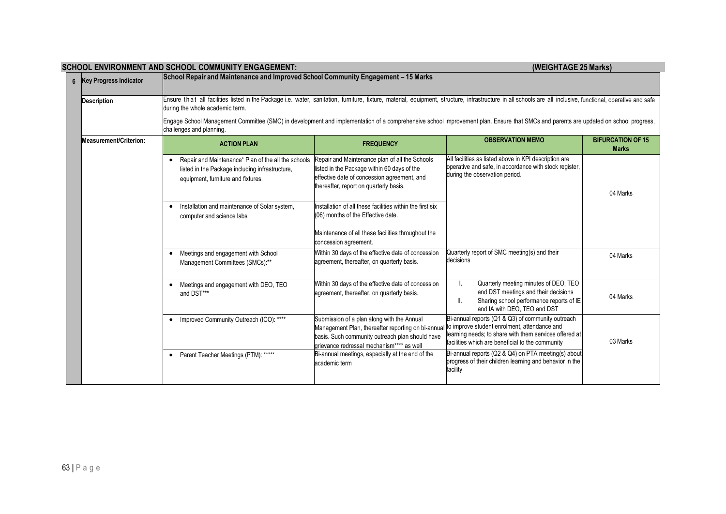| 6 Key Progress Indicator | SCHOOL ENVIRONMENT AND SCHOOL COMMUNITY ENGAGEMENT:<br>(WEIGHTAGE 25 Marks)<br>School Repair and Maintenance and Improved School Community Engagement – 15 Marks                                                                                |                                                                                                                                                                                                                                               |                                                                                                                                                                 |                                          |  |  |
|--------------------------|-------------------------------------------------------------------------------------------------------------------------------------------------------------------------------------------------------------------------------------------------|-----------------------------------------------------------------------------------------------------------------------------------------------------------------------------------------------------------------------------------------------|-----------------------------------------------------------------------------------------------------------------------------------------------------------------|------------------------------------------|--|--|
| <b>Description</b>       | Ensure that all facilities listed in the Package i.e. water, sanitation, furniture, fixture, material, equipment, structure, infrastructure in all schools are all inclusive, functional, operative and safe<br>during the whole academic term. |                                                                                                                                                                                                                                               |                                                                                                                                                                 |                                          |  |  |
|                          | Engage School Management Committee (SMC) in development and implementation of a comprehensive school improvement plan. Ensure that SMCs and parents are updated on school progress,<br>challenges and planning.                                 |                                                                                                                                                                                                                                               |                                                                                                                                                                 |                                          |  |  |
| Measurement/Criterion:   | <b>ACTION PLAN</b>                                                                                                                                                                                                                              | <b>FREQUENCY</b>                                                                                                                                                                                                                              | <b>OBSERVATION MEMO</b>                                                                                                                                         | <b>BIFURCATION OF 15</b><br><b>Marks</b> |  |  |
|                          | Repair and Maintenance* Plan of the all the schools<br>$\bullet$<br>listed in the Package including infrastructure,<br>equipment, furniture and fixtures.                                                                                       | Repair and Maintenance plan of all the Schools<br>listed in the Package within 60 days of the<br>effective date of concession agreement, and<br>thereafter, report on quarterly basis.                                                        | All facilities as listed above in KPI description are<br>operative and safe, in accordance with stock register,<br>during the observation period.               | 04 Marks                                 |  |  |
|                          | Installation and maintenance of Solar system,<br>$\bullet$<br>computer and science labs                                                                                                                                                         | Installation of all these facilities within the first six<br>(06) months of the Effective date.<br>Maintenance of all these facilities throughout the<br>concession agreement.                                                                |                                                                                                                                                                 |                                          |  |  |
|                          | Meetings and engagement with School<br>$\bullet$<br>Management Committees (SMCs):**                                                                                                                                                             | Within 30 days of the effective date of concession<br>agreement, thereafter, on quarterly basis.                                                                                                                                              | Quarterly report of SMC meeting(s) and their<br>decisions                                                                                                       | 04 Marks                                 |  |  |
|                          | Meetings and engagement with DEO, TEO<br>$\bullet$<br>and DST***                                                                                                                                                                                | Within 30 days of the effective date of concession<br>agreement, thereafter, on quarterly basis.                                                                                                                                              | Quarterly meeting minutes of DEO, TEO<br>and DST meetings and their decisions<br>Sharing school performance reports of IE<br>Ш.<br>and IA with DEO, TEO and DST | 04 Marks                                 |  |  |
|                          | Improved Community Outreach (ICO): ****<br>$\bullet$                                                                                                                                                                                            | Submission of a plan along with the Annual<br>Management Plan, thereafter reporting on bi-annual to improve student enrolment, attendance and<br>basis. Such community outreach plan should have<br>grievance redressal mechanism**** as well | Bi-annual reports (Q1 & Q3) of community outreach<br>learning needs; to share with them services offered at<br>facilities which are beneficial to the community | 03 Marks                                 |  |  |
|                          | Parent Teacher Meetings (PTM): *****<br>$\bullet$                                                                                                                                                                                               | Bi-annual meetings, especially at the end of the<br>academic term                                                                                                                                                                             | Bi-annual reports (Q2 & Q4) on PTA meeting(s) about<br>progress of their children learning and behavior in the<br>facility                                      |                                          |  |  |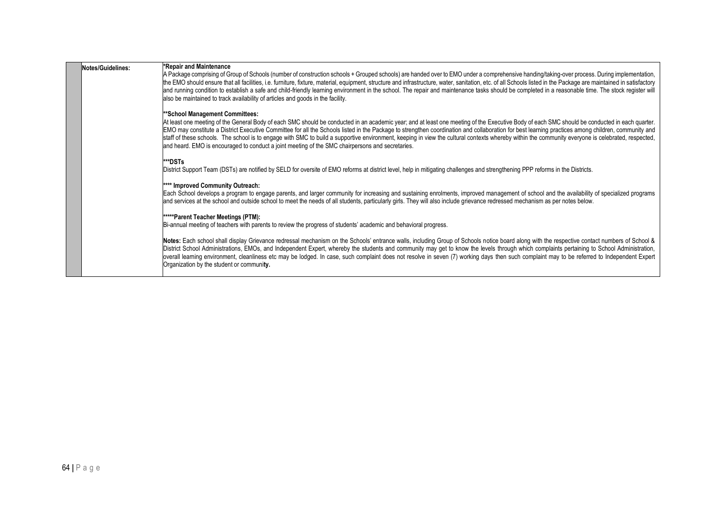| Notes/Guidelines: | *Repair and Maintenance<br>A Package comprising of Group of Schools (number of construction schools + Grouped schools) are handed over to EMO under a comprehensive handing/taking-over process. During implementation,<br>the EMO should ensure that all facilities, i.e. furniture, fixture, material, equipment, structure and infrastructure, water, sanitation, etc. of all Schools listed in the Package are maintained in satisfactory<br>and running condition to establish a safe and child-friendly learning environment in the school. The repair and maintenance tasks should be completed in a reasonable time. The stock register will<br>also be maintained to track availability of articles and goods in the facility.         |  |  |
|-------------------|-------------------------------------------------------------------------------------------------------------------------------------------------------------------------------------------------------------------------------------------------------------------------------------------------------------------------------------------------------------------------------------------------------------------------------------------------------------------------------------------------------------------------------------------------------------------------------------------------------------------------------------------------------------------------------------------------------------------------------------------------|--|--|
|                   | **School Management Committees:<br>At least one meeting of the General Body of each SMC should be conducted in an academic year; and at least one meeting of the Executive Body of each SMC should be conducted in each quarter.<br>EMO may constitute a District Executive Committee for all the Schools listed in the Package to strengthen coordination and collaboration for best learning practices among children, community and<br>staff of these schools. The school is to engage with SMC to build a supportive environment, keeping in view the cultural contexts whereby within the community everyone is celebrated, respected,<br>and heard. EMO is encouraged to conduct a joint meeting of the SMC chairpersons and secretaries. |  |  |
|                   | ***DSTs<br>District Support Team (DSTs) are notified by SELD for oversite of EMO reforms at district level, help in mitigating challenges and strengthening PPP reforms in the Districts.                                                                                                                                                                                                                                                                                                                                                                                                                                                                                                                                                       |  |  |
|                   | **** Improved Community Outreach:<br>Each School develops a program to engage parents, and larger community for increasing and sustaining enrolments, improved management of school and the availability of specialized programs<br>and services at the school and outside school to meet the needs of all students, particularly girls. They will also include grievance redressed mechanism as per notes below.                                                                                                                                                                                                                                                                                                                               |  |  |
|                   | *****Parent Teacher Meetings (PTM):<br>Bi-annual meeting of teachers with parents to review the progress of students' academic and behavioral progress.                                                                                                                                                                                                                                                                                                                                                                                                                                                                                                                                                                                         |  |  |
|                   | Notes: Each school shall display Grievance redressal mechanism on the Schools' entrance walls, including Group of Schools notice board along with the respective contact numbers of School &<br>District School Administrations, EMOs, and Independent Expert, whereby the students and community may get to know the levels through which complaints pertaining to School Administration,<br>overall learning environment, cleanliness etc may be lodged. In case, such complaint does not resolve in seven (7) working days then such complaint may to be referred to Independent Expert<br>Organization by the student or community.                                                                                                         |  |  |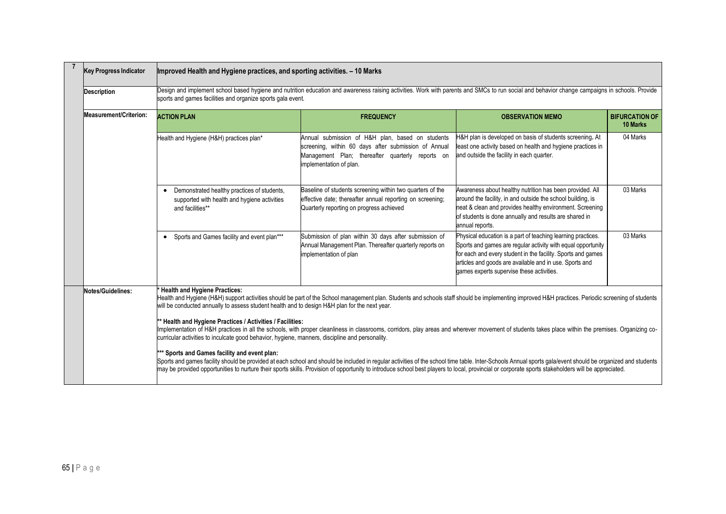| <b>Key Progress Indicator</b><br>Improved Health and Hygiene practices, and sporting activities. - 10 Marks                                                                                                                                                                                                                                                      |                        |                                                                                                                                                                                                                                                                                                                                                                                                                                                                  |                                                                                                                                                                                         |                                                                                                                                                                                                                                                                                                      |                                   |  |  |
|------------------------------------------------------------------------------------------------------------------------------------------------------------------------------------------------------------------------------------------------------------------------------------------------------------------------------------------------------------------|------------------------|------------------------------------------------------------------------------------------------------------------------------------------------------------------------------------------------------------------------------------------------------------------------------------------------------------------------------------------------------------------------------------------------------------------------------------------------------------------|-----------------------------------------------------------------------------------------------------------------------------------------------------------------------------------------|------------------------------------------------------------------------------------------------------------------------------------------------------------------------------------------------------------------------------------------------------------------------------------------------------|-----------------------------------|--|--|
|                                                                                                                                                                                                                                                                                                                                                                  | <b>Description</b>     | Design and implement school based hygiene and nutrition education and awareness raising activities. Work with parents and SMCs to run social and behavior change campaigns in schools. Provide<br>sports and games facilities and organize sports gala event.                                                                                                                                                                                                    |                                                                                                                                                                                         |                                                                                                                                                                                                                                                                                                      |                                   |  |  |
|                                                                                                                                                                                                                                                                                                                                                                  | Measurement/Criterion: | <b>ACTION PLAN</b>                                                                                                                                                                                                                                                                                                                                                                                                                                               | <b>FREQUENCY</b>                                                                                                                                                                        | <b>OBSERVATION MEMO</b>                                                                                                                                                                                                                                                                              | <b>BIFURCATION OF</b><br>10 Marks |  |  |
|                                                                                                                                                                                                                                                                                                                                                                  |                        | Health and Hygiene (H&H) practices plan*                                                                                                                                                                                                                                                                                                                                                                                                                         | Annual submission of H&H plan, based on students<br>screening, within 60 days after submission of Annual<br>Management Plan; thereafter quarterly reports on<br>implementation of plan. | H&H plan is developed on basis of students screening. At<br>least one activity based on health and hygiene practices in<br>and outside the facility in each quarter.                                                                                                                                 | 04 Marks                          |  |  |
|                                                                                                                                                                                                                                                                                                                                                                  |                        | Demonstrated healthy practices of students,<br>supported with health and hygiene activities<br>and facilities**                                                                                                                                                                                                                                                                                                                                                  | Baseline of students screening within two quarters of the<br>effective date; thereafter annual reporting on screening;<br>Quarterly reporting on progress achieved                      | Awareness about healthy nutrition has been provided. All<br>around the facility, in and outside the school building, is<br>neat & clean and provides healthy environment. Screening<br>of students is done annually and results are shared in<br>annual reports.                                     | 03 Marks                          |  |  |
|                                                                                                                                                                                                                                                                                                                                                                  |                        | • Sports and Games facility and event plan***                                                                                                                                                                                                                                                                                                                                                                                                                    | Submission of plan within 30 days after submission of<br>Annual Management Plan. Thereafter quarterly reports on<br>implementation of plan                                              | Physical education is a part of teaching learning practices.<br>Sports and games are regular activity with equal opportunity<br>for each and every student in the facility. Sports and games<br>articles and goods are available and in use. Sports and<br>games experts supervise these activities. | 03 Marks                          |  |  |
| <b>Health and Hygiene Practices:</b><br>Notes/Guidelines:<br>Health and Hygiene (H&H) support activities should be part of the School management plan. Students and schools staff should be implementing improved H&H practices. Periodic screening of students<br>will be conducted annually to assess student health and to design H&H plan for the next year. |                        |                                                                                                                                                                                                                                                                                                                                                                                                                                                                  |                                                                                                                                                                                         |                                                                                                                                                                                                                                                                                                      |                                   |  |  |
|                                                                                                                                                                                                                                                                                                                                                                  |                        | * Health and Hygiene Practices / Activities / Facilities:<br>Implementation of H&H practices in all the schools, with proper cleanliness in classrooms, corridors, play areas and wherever movement of students takes place within the premises. Organizing co-<br>curricular activities to inculcate good behavior, hygiene, manners, discipline and personality.                                                                                               |                                                                                                                                                                                         |                                                                                                                                                                                                                                                                                                      |                                   |  |  |
|                                                                                                                                                                                                                                                                                                                                                                  |                        | ** Sports and Games facility and event plan:<br>Sports and games facility should be provided at each school and should be included in regular activities of the school time table. Inter-Schools Annual sports gala/event should be organized and students<br>may be provided opportunities to nurture their sports skills. Provision of opportunity to introduce school best players to local, provincial or corporate sports stakeholders will be appreciated. |                                                                                                                                                                                         |                                                                                                                                                                                                                                                                                                      |                                   |  |  |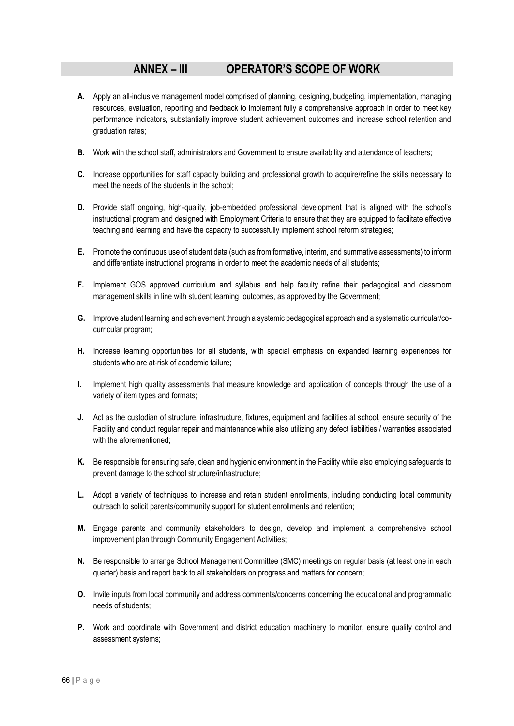# **ANNEX – III OPERATOR'S SCOPE OF WORK**

- **A.** Apply an all-inclusive management model comprised of planning, designing, budgeting, implementation, managing resources, evaluation, reporting and feedback to implement fully a comprehensive approach in order to meet key performance indicators, substantially improve student achievement outcomes and increase school retention and graduation rates;
- **B.** Work with the school staff, administrators and Government to ensure availability and attendance of teachers;
- **C.** Increase opportunities for staff capacity building and professional growth to acquire/refine the skills necessary to meet the needs of the students in the school;
- **D.** Provide staff ongoing, high-quality, job-embedded professional development that is aligned with the school's instructional program and designed with Employment Criteria to ensure that they are equipped to facilitate effective teaching and learning and have the capacity to successfully implement school reform strategies;
- **E.** Promote the continuous use of student data (such as from formative, interim, and summative assessments) to inform and differentiate instructional programs in order to meet the academic needs of all students;
- **F.** Implement GOS approved curriculum and syllabus and help faculty refine their pedagogical and classroom management skills in line with student learning outcomes, as approved by the Government;
- **G.** Improve student learning and achievement through a systemic pedagogical approach and a systematic curricular/cocurricular program;
- **H.** Increase learning opportunities for all students, with special emphasis on expanded learning experiences for students who are at-risk of academic failure;
- **I.** Implement high quality assessments that measure knowledge and application of concepts through the use of a variety of item types and formats;
- **J.** Act as the custodian of structure, infrastructure, fixtures, equipment and facilities at school, ensure security of the Facility and conduct regular repair and maintenance while also utilizing any defect liabilities / warranties associated with the aforementioned:
- **K.** Be responsible for ensuring safe, clean and hygienic environment in the Facility while also employing safeguards to prevent damage to the school structure/infrastructure;
- **L.** Adopt a variety of techniques to increase and retain student enrollments, including conducting local community outreach to solicit parents/community support for student enrollments and retention;
- **M.** Engage parents and community stakeholders to design, develop and implement a comprehensive school improvement plan through Community Engagement Activities;
- **N.** Be responsible to arrange School Management Committee (SMC) meetings on regular basis (at least one in each quarter) basis and report back to all stakeholders on progress and matters for concern;
- **O.** Invite inputs from local community and address comments/concerns concerning the educational and programmatic needs of students;
- **P.** Work and coordinate with Government and district education machinery to monitor, ensure quality control and assessment systems;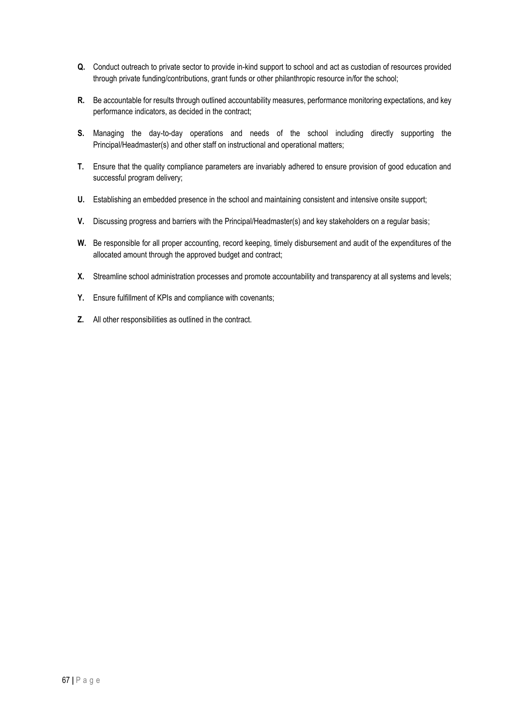- **Q.** Conduct outreach to private sector to provide in-kind support to school and act as custodian of resources provided through private funding/contributions, grant funds or other philanthropic resource in/for the school;
- **R.** Be accountable for results through outlined accountability measures, performance monitoring expectations, and key performance indicators, as decided in the contract;
- **S.** Managing the day-to-day operations and needs of the school including directly supporting the Principal/Headmaster(s) and other staff on instructional and operational matters;
- **T.** Ensure that the quality compliance parameters are invariably adhered to ensure provision of good education and successful program delivery;
- **U.** Establishing an embedded presence in the school and maintaining consistent and intensive onsite support;
- **V.** Discussing progress and barriers with the Principal/Headmaster(s) and key stakeholders on a regular basis;
- **W.** Be responsible for all proper accounting, record keeping, timely disbursement and audit of the expenditures of the allocated amount through the approved budget and contract;
- **X.** Streamline school administration processes and promote accountability and transparency at all systems and levels;
- **Y.** Ensure fulfillment of KPIs and compliance with covenants;
- **Z.** All other responsibilities as outlined in the contract.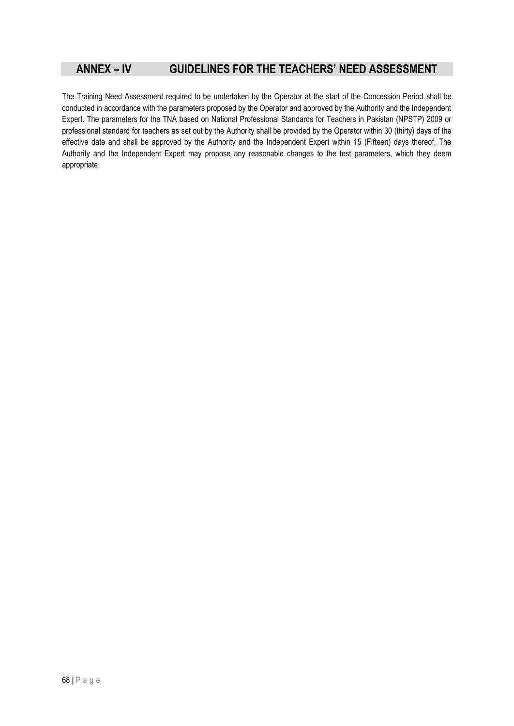# **ANNEX – IV GUIDELINES FOR THE TEACHERS' NEED ASSESSMENT**

The Training Need Assessment required to be undertaken by the Operator at the start of the Concession Period shall be conducted in accordance with the parameters proposed by the Operator and approved by the Authority and the Independent Expert. The parameters for the TNA based on National Professional Standards for Teachers in Pakistan (NPSTP) 2009 or professional standard for teachers as set out by the Authority shall be provided by the Operator within 30 (thirty) days of the effective date and shall be approved by the Authority and the Independent Expert within 15 (Fifteen) days thereof. The Authority and the Independent Expert may propose any reasonable changes to the test parameters, which they deem appropriate.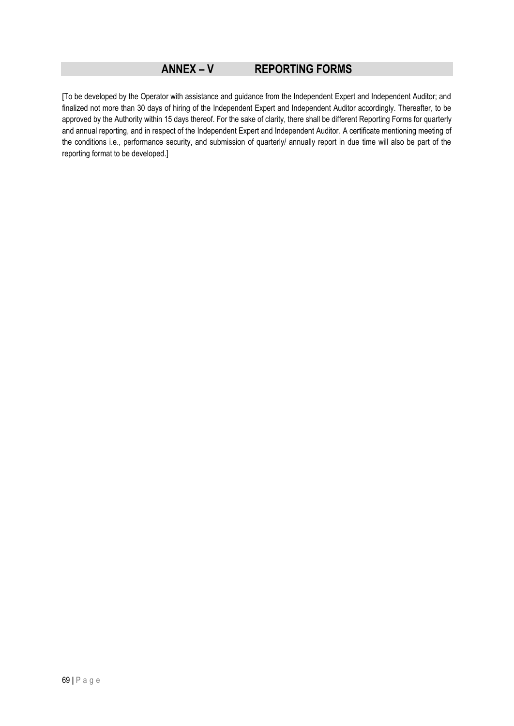### **ANNEX – V REPORTING FORMS**

[To be developed by the Operator with assistance and guidance from the Independent Expert and Independent Auditor; and finalized not more than 30 days of hiring of the Independent Expert and Independent Auditor accordingly. Thereafter, to be approved by the Authority within 15 days thereof. For the sake of clarity, there shall be different Reporting Forms for quarterly and annual reporting, and in respect of the Independent Expert and Independent Auditor. A certificate mentioning meeting of the conditions i.e., performance security, and submission of quarterly/ annually report in due time will also be part of the reporting format to be developed.]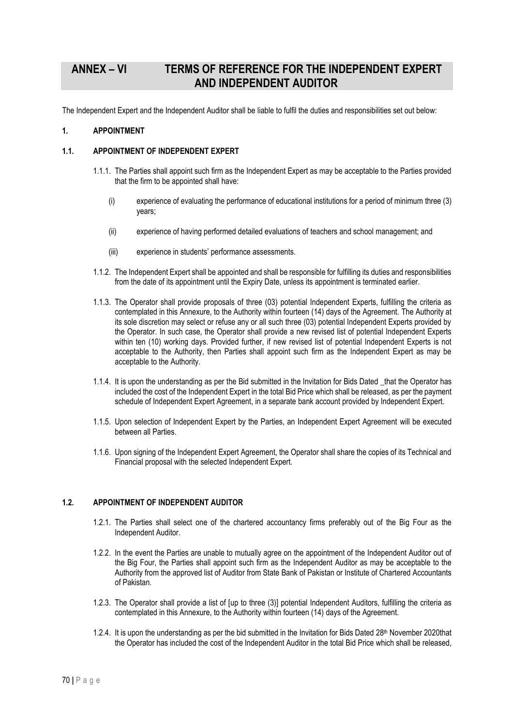### **ANNEX – VI TERMS OF REFERENCE FOR THE INDEPENDENT EXPERT AND INDEPENDENT AUDITOR**

The Independent Expert and the Independent Auditor shall be liable to fulfil the duties and responsibilities set out below:

#### **1. APPOINTMENT**

### **1.1. APPOINTMENT OF INDEPENDENT EXPERT**

- 1.1.1. The Parties shall appoint such firm as the Independent Expert as may be acceptable to the Parties provided that the firm to be appointed shall have:
	- (i) experience of evaluating the performance of educational institutions for a period of minimum three (3) years;
	- (ii) experience of having performed detailed evaluations of teachers and school management; and
	- (iii) experience in students' performance assessments.
- 1.1.2. The Independent Expert shall be appointed and shall be responsible for fulfilling its duties and responsibilities from the date of its appointment until the Expiry Date, unless its appointment is terminated earlier.
- 1.1.3. The Operator shall provide proposals of three (03) potential Independent Experts, fulfilling the criteria as contemplated in this Annexure, to the Authority within fourteen (14) days of the Agreement. The Authority at its sole discretion may select or refuse any or all such three (03) potential Independent Experts provided by the Operator. In such case, the Operator shall provide a new revised list of potential Independent Experts within ten (10) working days. Provided further, if new revised list of potential Independent Experts is not acceptable to the Authority, then Parties shall appoint such firm as the Independent Expert as may be acceptable to the Authority.
- 1.1.4. It is upon the understanding as per the Bid submitted in the Invitation for Bids Dated \_that the Operator has included the cost of the Independent Expert in the total Bid Price which shall be released, as per the payment schedule of Independent Expert Agreement, in a separate bank account provided by Independent Expert.
- 1.1.5. Upon selection of Independent Expert by the Parties, an Independent Expert Agreement will be executed between all Parties.
- 1.1.6. Upon signing of the Independent Expert Agreement, the Operator shall share the copies of its Technical and Financial proposal with the selected Independent Expert.

#### **1.2. APPOINTMENT OF INDEPENDENT AUDITOR**

- 1.2.1. The Parties shall select one of the chartered accountancy firms preferably out of the Big Four as the Independent Auditor.
- 1.2.2. In the event the Parties are unable to mutually agree on the appointment of the Independent Auditor out of the Big Four, the Parties shall appoint such firm as the Independent Auditor as may be acceptable to the Authority from the approved list of Auditor from State Bank of Pakistan or Institute of Chartered Accountants of Pakistan.
- 1.2.3. The Operator shall provide a list of [up to three (3)] potential Independent Auditors, fulfilling the criteria as contemplated in this Annexure, to the Authority within fourteen (14) days of the Agreement.
- 1.2.4. It is upon the understanding as per the bid submitted in the Invitation for Bids Dated 28<sup>th</sup> November 2020that the Operator has included the cost of the Independent Auditor in the total Bid Price which shall be released,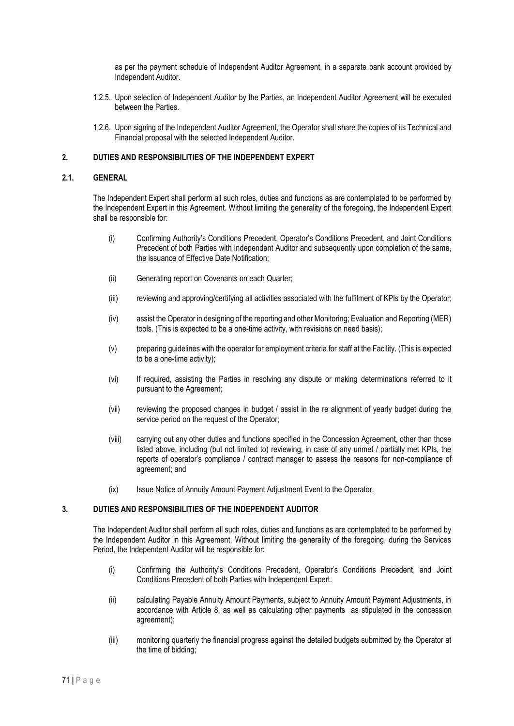as per the payment schedule of Independent Auditor Agreement, in a separate bank account provided by Independent Auditor.

- 1.2.5. Upon selection of Independent Auditor by the Parties, an Independent Auditor Agreement will be executed between the Parties.
- 1.2.6. Upon signing of the Independent Auditor Agreement, the Operator shall share the copies of its Technical and Financial proposal with the selected Independent Auditor.

#### **2. DUTIES AND RESPONSIBILITIES OF THE INDEPENDENT EXPERT**

#### **2.1. GENERAL**

The Independent Expert shall perform all such roles, duties and functions as are contemplated to be performed by the Independent Expert in this Agreement. Without limiting the generality of the foregoing, the Independent Expert shall be responsible for:

- (i) Confirming Authority's Conditions Precedent, Operator's Conditions Precedent, and Joint Conditions Precedent of both Parties with Independent Auditor and subsequently upon completion of the same, the issuance of Effective Date Notification;
- (ii) Generating report on Covenants on each Quarter;
- (iii) reviewing and approving/certifying all activities associated with the fulfilment of KPIs by the Operator;
- (iv) assist the Operator in designing of the reporting and other Monitoring; Evaluation and Reporting (MER) tools. (This is expected to be a one-time activity, with revisions on need basis);
- (v) preparing guidelines with the operator for employment criteria for staff at the Facility. (This is expected to be a one-time activity);
- (vi) If required, assisting the Parties in resolving any dispute or making determinations referred to it pursuant to the Agreement;
- (vii) reviewing the proposed changes in budget / assist in the re alignment of yearly budget during the service period on the request of the Operator;
- (viii) carrying out any other duties and functions specified in the Concession Agreement, other than those listed above, including (but not limited to) reviewing, in case of any unmet / partially met KPIs, the reports of operator's compliance / contract manager to assess the reasons for non-compliance of agreement; and
- (ix) Issue Notice of Annuity Amount Payment Adjustment Event to the Operator.

#### **3. DUTIES AND RESPONSIBILITIES OF THE INDEPENDENT AUDITOR**

The Independent Auditor shall perform all such roles, duties and functions as are contemplated to be performed by the Independent Auditor in this Agreement. Without limiting the generality of the foregoing, during the Services Period, the Independent Auditor will be responsible for:

- (i) Confirming the Authority's Conditions Precedent, Operator's Conditions Precedent, and Joint Conditions Precedent of both Parties with Independent Expert.
- (ii) calculating Payable Annuity Amount Payments, subject to Annuity Amount Payment Adjustments, in accordance with Article 8, as well as calculating other payments as stipulated in the concession agreement);
- (iii) monitoring quarterly the financial progress against the detailed budgets submitted by the Operator at the time of bidding;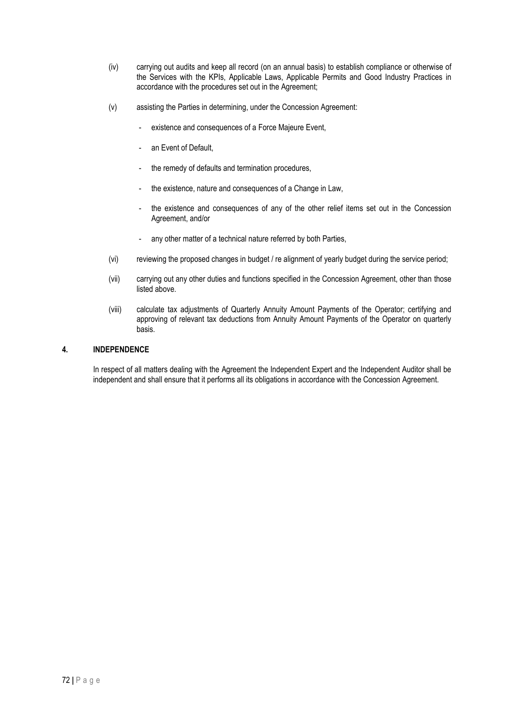- (iv) carrying out audits and keep all record (on an annual basis) to establish compliance or otherwise of the Services with the KPIs, Applicable Laws, Applicable Permits and Good Industry Practices in accordance with the procedures set out in the Agreement;
- (v) assisting the Parties in determining, under the Concession Agreement:
	- existence and consequences of a Force Majeure Event,
	- an Event of Default,
	- the remedy of defaults and termination procedures,
	- the existence, nature and consequences of a Change in Law,
	- the existence and consequences of any of the other relief items set out in the Concession Agreement, and/or
	- any other matter of a technical nature referred by both Parties,
- (vi) reviewing the proposed changes in budget / re alignment of yearly budget during the service period;
- (vii) carrying out any other duties and functions specified in the Concession Agreement, other than those listed above.
- (viii) calculate tax adjustments of Quarterly Annuity Amount Payments of the Operator; certifying and approving of relevant tax deductions from Annuity Amount Payments of the Operator on quarterly basis.

### **4. INDEPENDENCE**

In respect of all matters dealing with the Agreement the Independent Expert and the Independent Auditor shall be independent and shall ensure that it performs all its obligations in accordance with the Concession Agreement.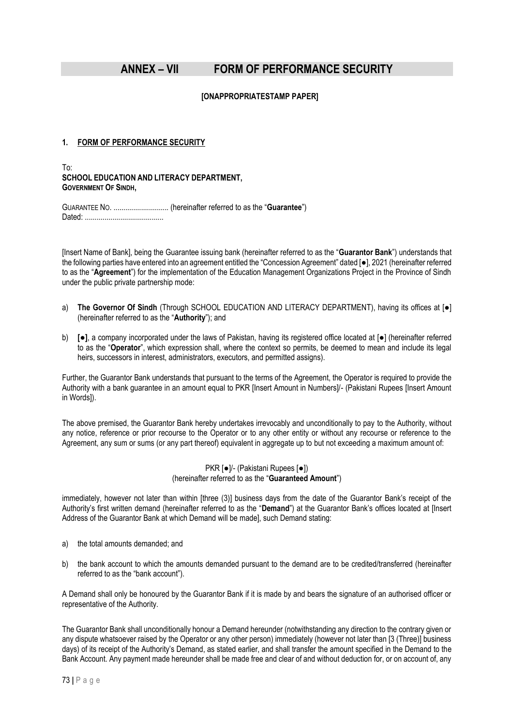### **ANNEX – VII FORM OF PERFORMANCE SECURITY**

#### **[ONAPPROPRIATESTAMP PAPER]**

### **1. FORM OF PERFORMANCE SECURITY**

To:

### **SCHOOL EDUCATION AND LITERACY DEPARTMENT, GOVERNMENT OF SINDH,**

GUARANTEE NO. ............................ (hereinafter referred to as the "**Guarantee**") Dated: ........................................

[Insert Name of Bank], being the Guarantee issuing bank (hereinafter referred to as the "**Guarantor Bank**") understands that the following parties have entered into an agreement entitled the "Concession Agreement" dated [●], 2021 (hereinafter referred to as the "**Agreement**") for the implementation of the Education Management Organizations Project in the Province of Sindh under the public private partnership mode:

- a) **The Governor Of Sindh** (Through SCHOOL EDUCATION AND LITERACY DEPARTMENT), having its offices at [●] (hereinafter referred to as the "**Authority**"); and
- b) **[●]**, a company incorporated under the laws of Pakistan, having its registered office located at [●] (hereinafter referred to as the "**Operator**", which expression shall, where the context so permits, be deemed to mean and include its legal heirs, successors in interest, administrators, executors, and permitted assigns).

Further, the Guarantor Bank understands that pursuant to the terms of the Agreement, the Operator is required to provide the Authority with a bank guarantee in an amount equal to PKR [Insert Amount in Numbers]/- (Pakistani Rupees [Insert Amount in Words]).

The above premised, the Guarantor Bank hereby undertakes irrevocably and unconditionally to pay to the Authority, without any notice, reference or prior recourse to the Operator or to any other entity or without any recourse or reference to the Agreement, any sum or sums (or any part thereof) equivalent in aggregate up to but not exceeding a maximum amount of:

#### PKR [●]/- (Pakistani Rupees [●]) (hereinafter referred to as the "**Guaranteed Amount**")

immediately, however not later than within [three (3)] business days from the date of the Guarantor Bank's receipt of the Authority's first written demand (hereinafter referred to as the "**Demand**") at the Guarantor Bank's offices located at [Insert Address of the Guarantor Bank at which Demand will be made], such Demand stating:

- a) the total amounts demanded; and
- b) the bank account to which the amounts demanded pursuant to the demand are to be credited/transferred (hereinafter referred to as the "bank account").

A Demand shall only be honoured by the Guarantor Bank if it is made by and bears the signature of an authorised officer or representative of the Authority.

The Guarantor Bank shall unconditionally honour a Demand hereunder (notwithstanding any direction to the contrary given or any dispute whatsoever raised by the Operator or any other person) immediately (however not later than [3 (Three)] business days) of its receipt of the Authority's Demand, as stated earlier, and shall transfer the amount specified in the Demand to the Bank Account. Any payment made hereunder shall be made free and clear of and without deduction for, or on account of, any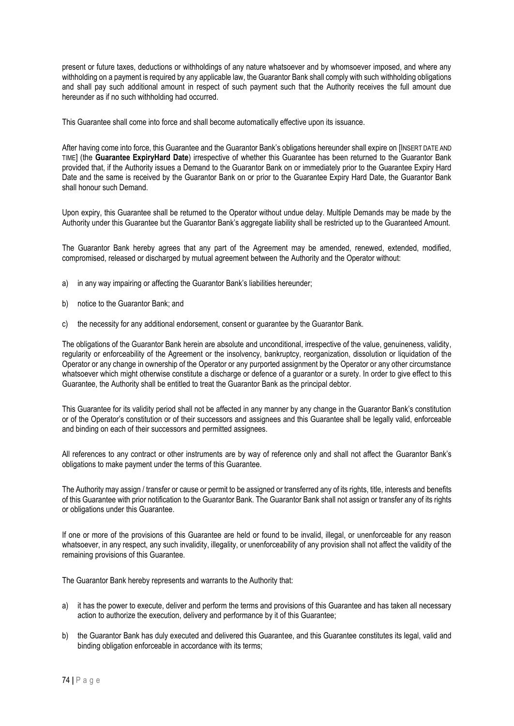present or future taxes, deductions or withholdings of any nature whatsoever and by whomsoever imposed, and where any withholding on a payment is required by any applicable law, the Guarantor Bank shall comply with such withholding obligations and shall pay such additional amount in respect of such payment such that the Authority receives the full amount due hereunder as if no such withholding had occurred.

This Guarantee shall come into force and shall become automatically effective upon its issuance.

After having come into force, this Guarantee and the Guarantor Bank's obligations hereunder shall expire on [INSERT DATE AND TIME] (the **Guarantee ExpiryHard Date**) irrespective of whether this Guarantee has been returned to the Guarantor Bank provided that, if the Authority issues a Demand to the Guarantor Bank on or immediately prior to the Guarantee Expiry Hard Date and the same is received by the Guarantor Bank on or prior to the Guarantee Expiry Hard Date, the Guarantor Bank shall honour such Demand.

Upon expiry, this Guarantee shall be returned to the Operator without undue delay. Multiple Demands may be made by the Authority under this Guarantee but the Guarantor Bank's aggregate liability shall be restricted up to the Guaranteed Amount.

The Guarantor Bank hereby agrees that any part of the Agreement may be amended, renewed, extended, modified, compromised, released or discharged by mutual agreement between the Authority and the Operator without:

- a) in any way impairing or affecting the Guarantor Bank's liabilities hereunder;
- b) notice to the Guarantor Bank; and
- c) the necessity for any additional endorsement, consent or guarantee by the Guarantor Bank.

The obligations of the Guarantor Bank herein are absolute and unconditional, irrespective of the value, genuineness, validity, regularity or enforceability of the Agreement or the insolvency, bankruptcy, reorganization, dissolution or liquidation of the Operator or any change in ownership of the Operator or any purported assignment by the Operator or any other circumstance whatsoever which might otherwise constitute a discharge or defence of a guarantor or a surety. In order to give effect to this Guarantee, the Authority shall be entitled to treat the Guarantor Bank as the principal debtor.

This Guarantee for its validity period shall not be affected in any manner by any change in the Guarantor Bank's constitution or of the Operator's constitution or of their successors and assignees and this Guarantee shall be legally valid, enforceable and binding on each of their successors and permitted assignees.

All references to any contract or other instruments are by way of reference only and shall not affect the Guarantor Bank's obligations to make payment under the terms of this Guarantee.

The Authority may assign / transfer or cause or permit to be assigned or transferred any of its rights, title, interests and benefits of this Guarantee with prior notification to the Guarantor Bank. The Guarantor Bank shall not assign or transfer any of its rights or obligations under this Guarantee.

If one or more of the provisions of this Guarantee are held or found to be invalid, illegal, or unenforceable for any reason whatsoever, in any respect, any such invalidity, illegality, or unenforceability of any provision shall not affect the validity of the remaining provisions of this Guarantee.

The Guarantor Bank hereby represents and warrants to the Authority that:

- a) it has the power to execute, deliver and perform the terms and provisions of this Guarantee and has taken all necessary action to authorize the execution, delivery and performance by it of this Guarantee;
- b) the Guarantor Bank has duly executed and delivered this Guarantee, and this Guarantee constitutes its legal, valid and binding obligation enforceable in accordance with its terms;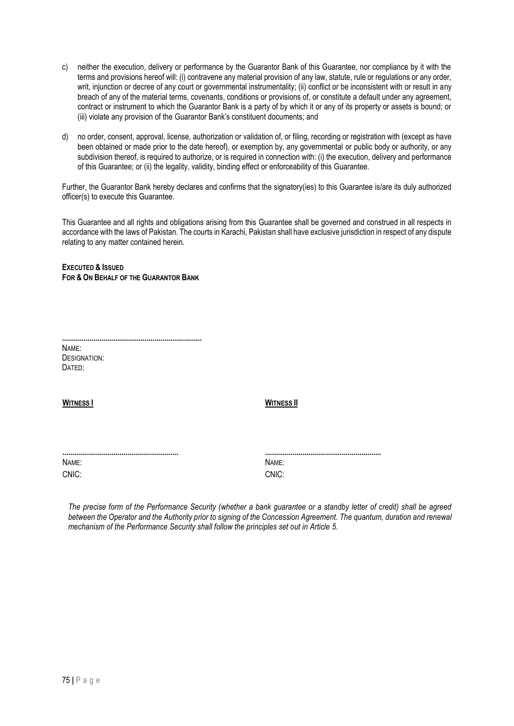- c) neither the execution, delivery or performance by the Guarantor Bank of this Guarantee, nor compliance by it with the terms and provisions hereof will: (i) contravene any material provision of any law, statute, rule or regulations or any order, writ, injunction or decree of any court or governmental instrumentality; (ii) conflict or be inconsistent with or result in any breach of any of the material terms, covenants, conditions or provisions of, or constitute a default under any agreement, contract or instrument to which the Guarantor Bank is a party of by which it or any of its property or assets is bound; or (iii) violate any provision of the Guarantor Bank's constituent documents; and
- d) no order, consent, approval, license, authorization or validation of, or filing, recording or registration with (except as have been obtained or made prior to the date hereof), or exemption by, any governmental or public body or authority, or any subdivision thereof, is required to authorize, or is required in connection with: (i) the execution, delivery and performance of this Guarantee; or (ii) the legality, validity, binding effect or enforceability of this Guarantee.

Further, the Guarantor Bank hereby declares and confirms that the signatory(ies) to this Guarantee is/are its duly authorized officer(s) to execute this Guarantee.

This Guarantee and all rights and obligations arising from this Guarantee shall be governed and construed in all respects in accordance with the laws of Pakistan. The courts in Karachi, Pakistan shall have exclusive jurisdiction in respect of any dispute relating to any matter contained herein.

**EXECUTED & ISSUED FOR & ON BEHALF OF THE GUARANTOR BANK**

**.......................................................................** NAME: DESIGNATION: DATED:

**WITNESS I WITNESS II**

| NAME: |       |
|-------|-------|
| CNIC: | CNIC: |

**........................................................... ...........................................................**

*The precise form of the Performance Security (whether a bank guarantee or a standby letter of credit) shall be agreed between the Operator and the Authority prior to signing of the Concession Agreement. The quantum, duration and renewal mechanism of the Performance Security shall follow the principles set out in Article 5.*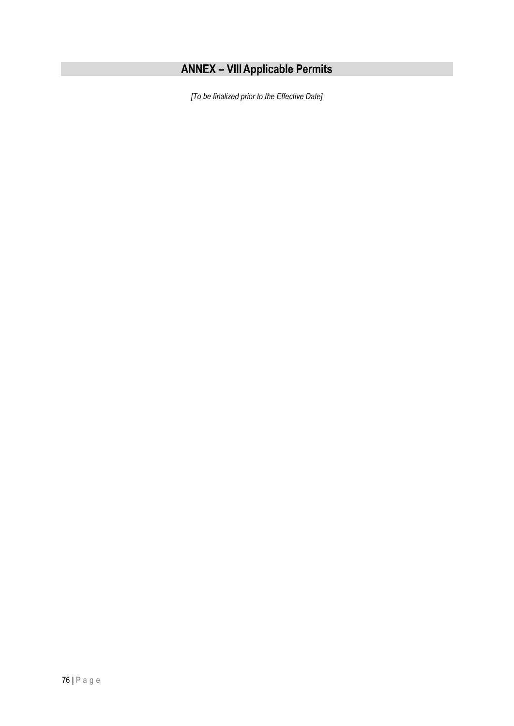# **ANNEX – VIIIApplicable Permits**

*[To be finalized prior to the Effective Date]*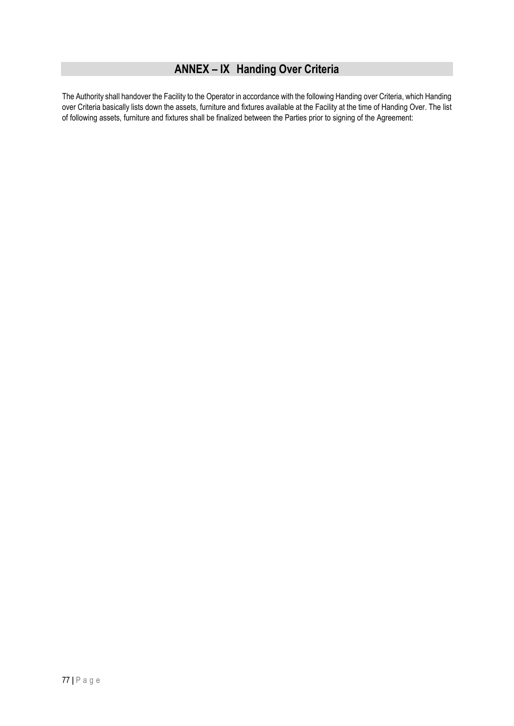### **ANNEX – IX Handing Over Criteria**

The Authority shall handover the Facility to the Operator in accordance with the following Handing over Criteria, which Handing over Criteria basically lists down the assets, furniture and fixtures available at the Facility at the time of Handing Over. The list of following assets, furniture and fixtures shall be finalized between the Parties prior to signing of the Agreement: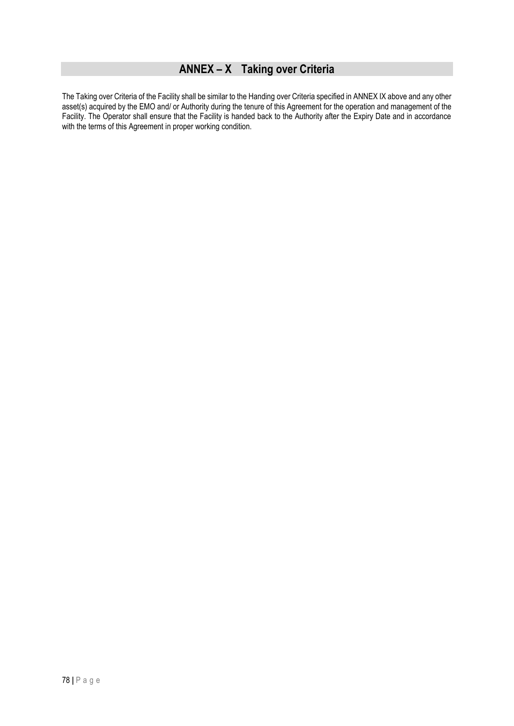### **ANNEX – X Taking over Criteria**

The Taking over Criteria of the Facility shall be similar to the Handing over Criteria specified in ANNEX IX above and any other asset(s) acquired by the EMO and/ or Authority during the tenure of this Agreement for the operation and management of the Facility. The Operator shall ensure that the Facility is handed back to the Authority after the Expiry Date and in accordance with the terms of this Agreement in proper working condition.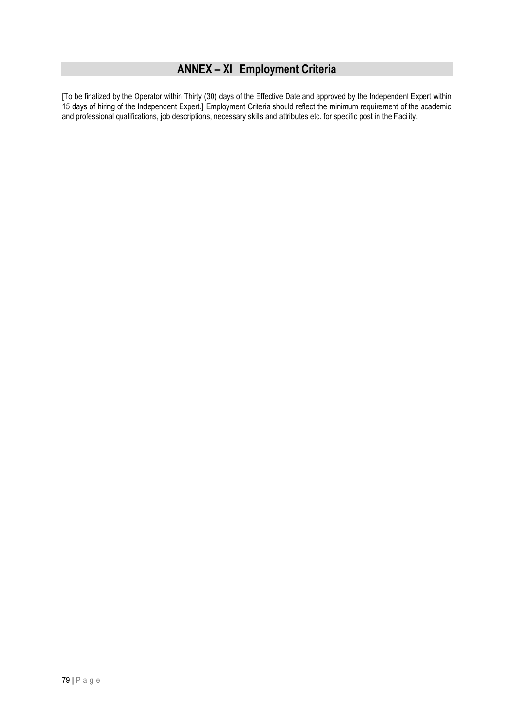### **ANNEX – XI Employment Criteria**

[To be finalized by the Operator within Thirty (30) days of the Effective Date and approved by the Independent Expert within 15 days of hiring of the Independent Expert.] Employment Criteria should reflect the minimum requirement of the academic and professional qualifications, job descriptions, necessary skills and attributes etc. for specific post in the Facility.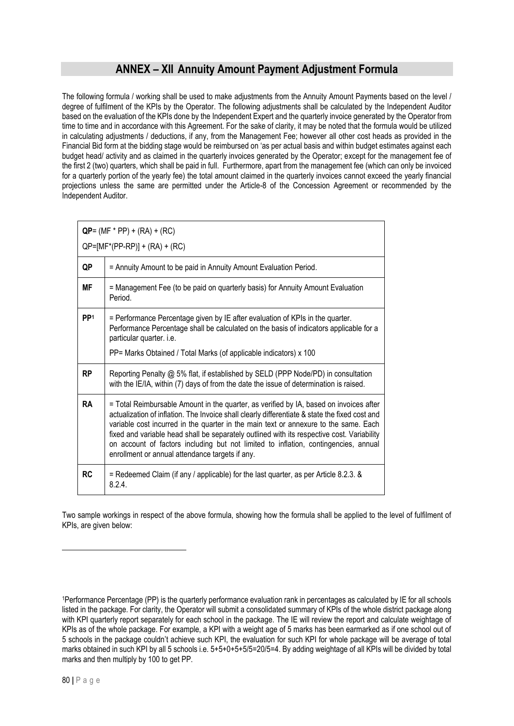### **ANNEX – XII Annuity Amount Payment Adjustment Formula**

The following formula / working shall be used to make adjustments from the Annuity Amount Payments based on the level / degree of fulfilment of the KPIs by the Operator. The following adjustments shall be calculated by the Independent Auditor based on the evaluation of the KPIs done by the Independent Expert and the quarterly invoice generated by the Operator from time to time and in accordance with this Agreement. For the sake of clarity, it may be noted that the formula would be utilized in calculating adjustments / deductions, if any, from the Management Fee; however all other cost heads as provided in the Financial Bid form at the bidding stage would be reimbursed on 'as per actual basis and within budget estimates against each budget head/ activity and as claimed in the quarterly invoices generated by the Operator; except for the management fee of the first 2 (two) quarters, which shall be paid in full. Furthermore, apart from the management fee (which can only be invoiced for a quarterly portion of the yearly fee) the total amount claimed in the quarterly invoices cannot exceed the yearly financial projections unless the same are permitted under the Article-8 of the Concession Agreement or recommended by the Independent Auditor.

|                 | $QP = (MF * PP) + (RA) + (RC)$                                                                                                                                                                                                                                                                                                                                                                                                                                                                                           |  |  |  |
|-----------------|--------------------------------------------------------------------------------------------------------------------------------------------------------------------------------------------------------------------------------------------------------------------------------------------------------------------------------------------------------------------------------------------------------------------------------------------------------------------------------------------------------------------------|--|--|--|
|                 | $QP=[MF*(PP-RP)] + (RA) + (RC)$                                                                                                                                                                                                                                                                                                                                                                                                                                                                                          |  |  |  |
| QP              | = Annuity Amount to be paid in Annuity Amount Evaluation Period.                                                                                                                                                                                                                                                                                                                                                                                                                                                         |  |  |  |
| <b>MF</b>       | = Management Fee (to be paid on quarterly basis) for Annuity Amount Evaluation<br>Period.                                                                                                                                                                                                                                                                                                                                                                                                                                |  |  |  |
| PP <sup>1</sup> | = Performance Percentage given by IE after evaluation of KPIs in the quarter.<br>Performance Percentage shall be calculated on the basis of indicators applicable for a<br>particular quarter. i.e.                                                                                                                                                                                                                                                                                                                      |  |  |  |
|                 | PP= Marks Obtained / Total Marks (of applicable indicators) x 100                                                                                                                                                                                                                                                                                                                                                                                                                                                        |  |  |  |
| RP              | Reporting Penalty @ 5% flat, if established by SELD (PPP Node/PD) in consultation<br>with the IE/IA, within (7) days of from the date the issue of determination is raised.                                                                                                                                                                                                                                                                                                                                              |  |  |  |
| <b>RA</b>       | = Total Reimbursable Amount in the quarter, as verified by IA, based on invoices after<br>actualization of inflation. The Invoice shall clearly differentiate & state the fixed cost and<br>variable cost incurred in the quarter in the main text or annexure to the same. Each<br>fixed and variable head shall be separately outlined with its respective cost. Variability<br>on account of factors including but not limited to inflation, contingencies, annual<br>enrollment or annual attendance targets if any. |  |  |  |
| <b>RC</b>       | = Redeemed Claim (if any / applicable) for the last quarter, as per Article 8.2.3. &<br>8.2.4                                                                                                                                                                                                                                                                                                                                                                                                                            |  |  |  |

Two sample workings in respect of the above formula, showing how the formula shall be applied to the level of fulfilment of KPIs, are given below:

<sup>1</sup>Performance Percentage (PP) is the quarterly performance evaluation rank in percentages as calculated by IE for all schools listed in the package. For clarity, the Operator will submit a consolidated summary of KPIs of the whole district package along with KPI quarterly report separately for each school in the package. The IE will review the report and calculate weightage of KPIs as of the whole package. For example, a KPI with a weight age of 5 marks has been earmarked as if one school out of 5 schools in the package couldn't achieve such KPI, the evaluation for such KPI for whole package will be average of total marks obtained in such KPI by all 5 schools i.e. 5+5+0+5+5/5=20/5=4. By adding weightage of all KPIs will be divided by total marks and then multiply by 100 to get PP.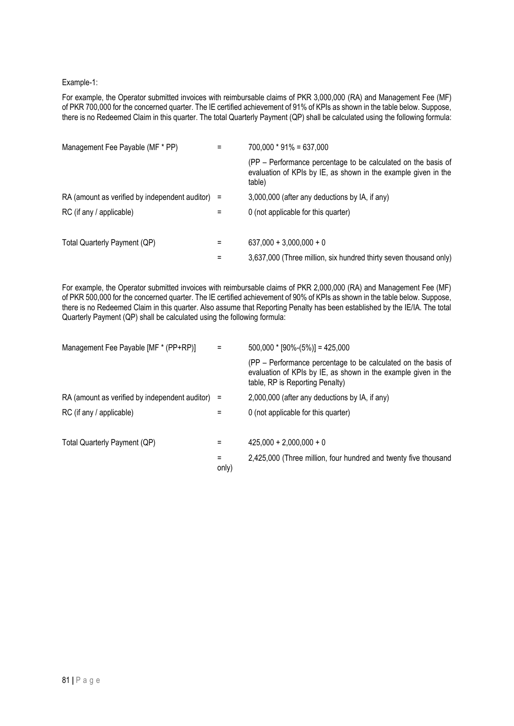#### Example-1:

For example, the Operator submitted invoices with reimbursable claims of PKR 3,000,000 (RA) and Management Fee (MF) of PKR 700,000 for the concerned quarter. The IE certified achievement of 91% of KPIs as shown in the table below. Suppose, there is no Redeemed Claim in this quarter. The total Quarterly Payment (QP) shall be calculated using the following formula:

| Management Fee Payable (MF * PP)                   |   | $700,000 * 91\% = 637,000$                                                                                                                |
|----------------------------------------------------|---|-------------------------------------------------------------------------------------------------------------------------------------------|
|                                                    |   | (PP – Performance percentage to be calculated on the basis of<br>evaluation of KPIs by IE, as shown in the example given in the<br>table) |
| RA (amount as verified by independent auditor) $=$ |   | 3,000,000 (after any deductions by IA, if any)                                                                                            |
| RC (if any / applicable)                           | = | 0 (not applicable for this quarter)                                                                                                       |
|                                                    |   |                                                                                                                                           |
| Total Quarterly Payment (QP)                       |   | $637,000 + 3,000,000 + 0$                                                                                                                 |
|                                                    | = | 3,637,000 (Three million, six hundred thirty seven thousand only)                                                                         |

For example, the Operator submitted invoices with reimbursable claims of PKR 2,000,000 (RA) and Management Fee (MF) of PKR 500,000 for the concerned quarter. The IE certified achievement of 90% of KPIs as shown in the table below. Suppose, there is no Redeemed Claim in this quarter. Also assume that Reporting Penalty has been established by the IE/IA. The total Quarterly Payment (QP) shall be calculated using the following formula:

| Management Fee Payable [MF * (PP+RP)]          | Ξ          | $500,000 * [90\%-(5\%)] = 425,000$                                                                                                                                 |
|------------------------------------------------|------------|--------------------------------------------------------------------------------------------------------------------------------------------------------------------|
|                                                |            | (PP - Performance percentage to be calculated on the basis of<br>evaluation of KPIs by IE, as shown in the example given in the<br>table, RP is Reporting Penalty) |
| RA (amount as verified by independent auditor) | Ξ          | 2,000,000 (after any deductions by IA, if any)                                                                                                                     |
| RC (if any / applicable)                       |            | 0 (not applicable for this quarter)                                                                                                                                |
|                                                |            |                                                                                                                                                                    |
| Total Quarterly Payment (QP)                   | =          | $425,000 + 2,000,000 + 0$                                                                                                                                          |
|                                                | =<br>only) | 2,425,000 (Three million, four hundred and twenty five thousand                                                                                                    |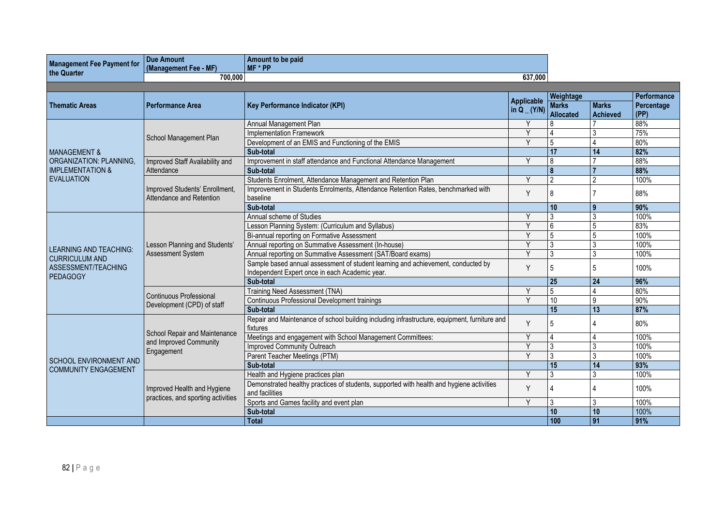| <b>Management Fee Payment for</b><br>the Quarter | <b>Due Amount</b><br>(Management Fee - MF)                                               | Amount to be paid<br>MF * PP                                                                                                       |                                    |                                               |                                 |                                   |
|--------------------------------------------------|------------------------------------------------------------------------------------------|------------------------------------------------------------------------------------------------------------------------------------|------------------------------------|-----------------------------------------------|---------------------------------|-----------------------------------|
|                                                  | 700,000<br>637.000                                                                       |                                                                                                                                    |                                    |                                               |                                 |                                   |
|                                                  |                                                                                          |                                                                                                                                    |                                    |                                               |                                 |                                   |
| <b>Thematic Areas</b>                            | <b>Performance Area</b>                                                                  | <b>Key Performance Indicator (KPI)</b>                                                                                             | <b>Applicable</b><br>in $Q_$ (Y/N) | Weightage<br><b>Marks</b><br><b>Allocated</b> | <b>Marks</b><br><b>Achieved</b> | Performance<br>Percentage<br>(PP) |
|                                                  |                                                                                          | Annual Management Plan                                                                                                             |                                    |                                               |                                 | 88%                               |
|                                                  |                                                                                          | <b>Implementation Framework</b>                                                                                                    | $\checkmark$                       |                                               | 3                               | 75%                               |
|                                                  | School Management Plan                                                                   | Development of an EMIS and Functioning of the EMIS                                                                                 | $\vee$                             | 5                                             |                                 | 80%                               |
| <b>MANAGEMENT &amp;</b>                          |                                                                                          | Sub-total                                                                                                                          |                                    | 17                                            | 14                              | 82%                               |
| ORGANIZATION: PLANNING,                          | Improved Staff Availability and                                                          | Improvement in staff attendance and Functional Attendance Management                                                               | Y                                  | 8                                             |                                 | 88%                               |
| <b>IMPLEMENTATION &amp;</b>                      | Attendance                                                                               | Sub-total                                                                                                                          |                                    | 8                                             |                                 | 88%                               |
| <b>EVALUATION</b>                                |                                                                                          | Students Enrolment, Attendance Management and Retention Plan                                                                       | $\vee$                             | $\overline{2}$                                | $\mathcal{P}$                   | 100%                              |
|                                                  | Improved Students' Enrollment,<br>Attendance and Retention                               | Improvement in Students Enrolments, Attendance Retention Rates, benchmarked with<br>baseline                                       | Y                                  | 8                                             |                                 | 88%                               |
|                                                  |                                                                                          | Sub-total                                                                                                                          |                                    | 10                                            | 9                               | 90%                               |
|                                                  |                                                                                          | Annual scheme of Studies                                                                                                           | v                                  | 3                                             | 3                               | 100%                              |
|                                                  | Lesson Planning and Students'<br>Assessment System                                       | Lesson Planning System: (Curriculum and Syllabus)                                                                                  | $\vee$                             | 6                                             | 5                               | 83%                               |
|                                                  |                                                                                          | Bi-annual reporting on Formative Assessment                                                                                        | v                                  | 5                                             | 5                               | 100%                              |
|                                                  |                                                                                          | Annual reporting on Summative Assessment (In-house)                                                                                | Y                                  | 3                                             | 3                               | 100%                              |
| <b>LEARNING AND TEACHING:</b>                    |                                                                                          | Annual reporting on Summative Assessment (SAT/Board exams)                                                                         | V                                  | 3                                             | 3                               | 100%                              |
| <b>CURRICULUM AND</b><br>ASSESSMENT/TEACHING     |                                                                                          | Sample based annual assessment of student learning and achievement, conducted by<br>Independent Expert once in each Academic year. | Y                                  | 5                                             | .5                              | 100%                              |
| <b>PEDAGOGY</b>                                  |                                                                                          | Sub-total                                                                                                                          |                                    | $\overline{25}$                               | $\overline{24}$                 | 96%                               |
|                                                  | Continuous Professional                                                                  | Training Need Assessment (TNA)                                                                                                     | Y                                  | 5                                             | $\Delta$                        | 80%                               |
|                                                  |                                                                                          |                                                                                                                                    | Y                                  | 10                                            | 9                               | 90%                               |
|                                                  | Continuous Professional Development trainings<br>Development (CPD) of staff<br>Sub-total |                                                                                                                                    | 15                                 | 13                                            | 87%                             |                                   |
|                                                  |                                                                                          | Repair and Maintenance of school building including infrastructure, equipment, furniture and<br>fixtures                           | Y                                  | 5                                             |                                 | 80%                               |
|                                                  | School Repair and Maintenance<br>and Improved Community                                  | Meetings and engagement with School Management Committees:                                                                         | Y                                  | $\overline{4}$                                | $\overline{4}$                  | 100%                              |
|                                                  |                                                                                          | <b>Improved Community Outreach</b>                                                                                                 | v                                  | 3                                             | 3                               | 100%                              |
| <b>SCHOOL ENVIRONMENT AND</b>                    | Engagement                                                                               | Parent Teacher Meetings (PTM)                                                                                                      | $\vee$                             | 3                                             | 3                               | 100%                              |
| <b>COMMUNITY ENGAGEMENT</b>                      |                                                                                          | Sub-total                                                                                                                          |                                    | 15                                            | 14                              | 93%                               |
|                                                  |                                                                                          | Health and Hygiene practices plan                                                                                                  | Y                                  | $\overline{3}$                                | 3                               | 100%                              |
|                                                  | Improved Health and Hygiene<br>practices, and sporting activities                        | Demonstrated healthy practices of students, supported with health and hygiene activities<br>and facilities                         | Y                                  | $\Lambda$                                     | $\Lambda$                       | 100%                              |
|                                                  |                                                                                          | Sports and Games facility and event plan                                                                                           | Y                                  | 3                                             | 3                               | 100%                              |
|                                                  |                                                                                          | Sub-total                                                                                                                          |                                    | 10                                            | 10                              | 100%                              |
|                                                  |                                                                                          | <b>Total</b>                                                                                                                       |                                    | 100                                           | 91                              | 91%                               |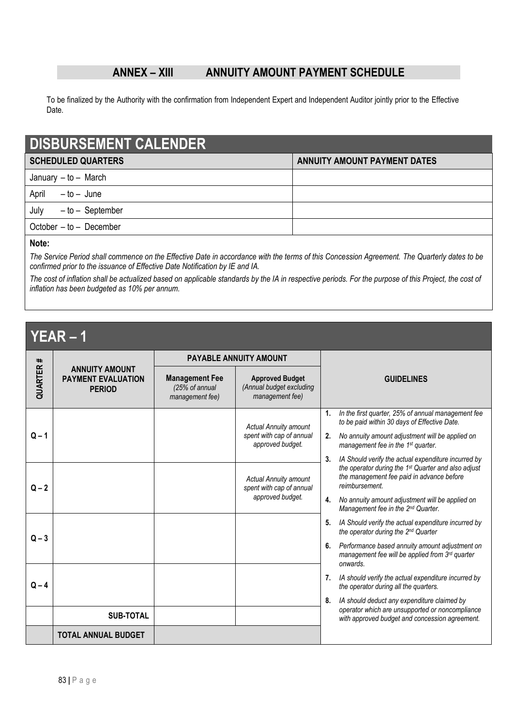### **ANNEX – XIII ANNUITY AMOUNT PAYMENT SCHEDULE**

To be finalized by the Authority with the confirmation from Independent Expert and Independent Auditor jointly prior to the Effective Date.

| <b>DISBURSEMENT CALENDER</b> |                                     |  |
|------------------------------|-------------------------------------|--|
| <b>SCHEDULED QUARTERS</b>    | <b>ANNUITY AMOUNT PAYMENT DATES</b> |  |
| January $-$ to $-$ March     |                                     |  |
| April<br>-to-June            |                                     |  |
| July<br>-to-September        |                                     |  |
| October $-$ to $-$ December  |                                     |  |
|                              |                                     |  |

### **Note:**

*The Service Period shall commence on the Effective Date in accordance with the terms of this Concession Agreement. The Quarterly dates to be confirmed prior to the issuance of Effective Date Notification by IE and IA.*

*The cost of inflation shall be actualized based on applicable standards by the IA in respective periods. For the purpose of this Project, the cost of inflation has been budgeted as 10% per annum.* 

# **YEAR – 1**

| #       |                                                                     | <b>PAYABLE ANNUITY AMOUNT</b>                              |                                                                       |                                                                                                                              |  |
|---------|---------------------------------------------------------------------|------------------------------------------------------------|-----------------------------------------------------------------------|------------------------------------------------------------------------------------------------------------------------------|--|
| QUARTER | <b>ANNUITY AMOUNT</b><br><b>PAYMENT EVALUATION</b><br><b>PERIOD</b> | <b>Management Fee</b><br>(25% of annual<br>management fee) | <b>Approved Budget</b><br>(Annual budget excluding<br>management fee) | <b>GUIDELINES</b>                                                                                                            |  |
|         |                                                                     |                                                            | <b>Actual Annuity amount</b>                                          | In the first quarter, 25% of annual management fee<br>1.<br>to be paid within 30 days of Effective Date.                     |  |
| $Q - 1$ |                                                                     |                                                            | spent with cap of annual<br>approved budget.                          | No annuity amount adjustment will be applied on<br>2.<br>management fee in the 1 <sup>st</sup> quarter.                      |  |
|         |                                                                     |                                                            |                                                                       | IA Should verify the actual expenditure incurred by<br>3.<br>the operator during the 1 <sup>st</sup> Quarter and also adjust |  |
| $Q - 2$ |                                                                     |                                                            | <b>Actual Annuity amount</b><br>spent with cap of annual              | the management fee paid in advance before<br>reimbursement                                                                   |  |
|         |                                                                     |                                                            | approved budget.                                                      | No annuity amount adjustment will be applied on<br>4.<br>Management fee in the 2 <sup>nd</sup> Quarter.                      |  |
| $Q - 3$ |                                                                     |                                                            |                                                                       | IA Should verify the actual expenditure incurred by<br>5.<br>the operator during the 2 <sup>nd</sup> Quarter                 |  |
|         |                                                                     |                                                            |                                                                       | Performance based annuity amount adjustment on<br>6.<br>management fee will be applied from 3rd quarter<br>onwards.          |  |
|         |                                                                     |                                                            |                                                                       | IA should verify the actual expenditure incurred by<br>7.                                                                    |  |
|         | $Q - 4$                                                             |                                                            | the operator during all the quarters.                                 |                                                                                                                              |  |
|         |                                                                     |                                                            |                                                                       | IA should deduct any expenditure claimed by<br>8.<br>operator which are unsupported or noncompliance                         |  |
|         | <b>SUB-TOTAL</b>                                                    |                                                            |                                                                       | with approved budget and concession agreement.                                                                               |  |
|         | TOTAL ANNUAL BUDGET                                                 |                                                            |                                                                       |                                                                                                                              |  |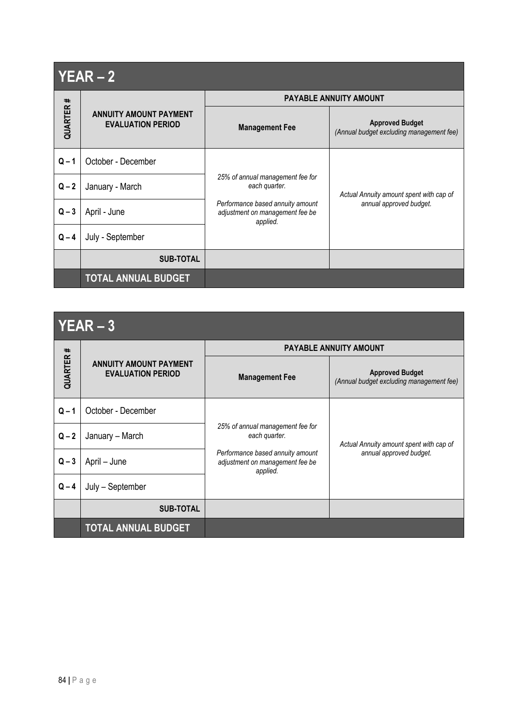|          | $YEAR - 2$                                                |                                                                                                                                      |                                                                    |
|----------|-----------------------------------------------------------|--------------------------------------------------------------------------------------------------------------------------------------|--------------------------------------------------------------------|
|          |                                                           | <b>PAYABLE ANNUITY AMOUNT</b>                                                                                                        |                                                                    |
| QUARTER# | <b>ANNUITY AMOUNT PAYMENT</b><br><b>EVALUATION PERIOD</b> | <b>Management Fee</b>                                                                                                                | <b>Approved Budget</b><br>(Annual budget excluding management fee) |
| $Q - 1$  | October - December                                        |                                                                                                                                      |                                                                    |
| $Q - 2$  | January - March                                           | 25% of annual management fee for<br>each quarter.<br>Performance based annuity amount<br>adjustment on management fee be<br>applied. | Actual Annuity amount spent with cap of<br>annual approved budget. |
| $Q - 3$  | April - June                                              |                                                                                                                                      |                                                                    |
| $Q - 4$  | July - September                                          |                                                                                                                                      |                                                                    |
|          | <b>SUB-TOTAL</b>                                          |                                                                                                                                      |                                                                    |
|          | <b>TOTAL ANNUAL BUDGET</b>                                |                                                                                                                                      |                                                                    |

# **YEAR – 3**

| I LAN – J       |                                                           |                                                                                                                                      |                                                                    |  |
|-----------------|-----------------------------------------------------------|--------------------------------------------------------------------------------------------------------------------------------------|--------------------------------------------------------------------|--|
|                 |                                                           | <b>PAYABLE ANNUITY AMOUNT</b>                                                                                                        |                                                                    |  |
| <b>QUARTER#</b> | <b>ANNUITY AMOUNT PAYMENT</b><br><b>EVALUATION PERIOD</b> | <b>Management Fee</b>                                                                                                                | <b>Approved Budget</b><br>(Annual budget excluding management fee) |  |
| $Q - 1$         | October - December                                        |                                                                                                                                      |                                                                    |  |
| $Q - 2$         | January - March                                           | 25% of annual management fee for<br>each quarter.<br>Performance based annuity amount<br>adjustment on management fee be<br>applied. | Actual Annuity amount spent with cap of<br>annual approved budget. |  |
| $Q - 3$         | April - June                                              |                                                                                                                                      |                                                                    |  |
| $Q - 4$         | July - September                                          |                                                                                                                                      |                                                                    |  |
|                 | <b>SUB-TOTAL</b>                                          |                                                                                                                                      |                                                                    |  |
|                 | <b>TOTAL ANNUAL BUDGET</b>                                |                                                                                                                                      |                                                                    |  |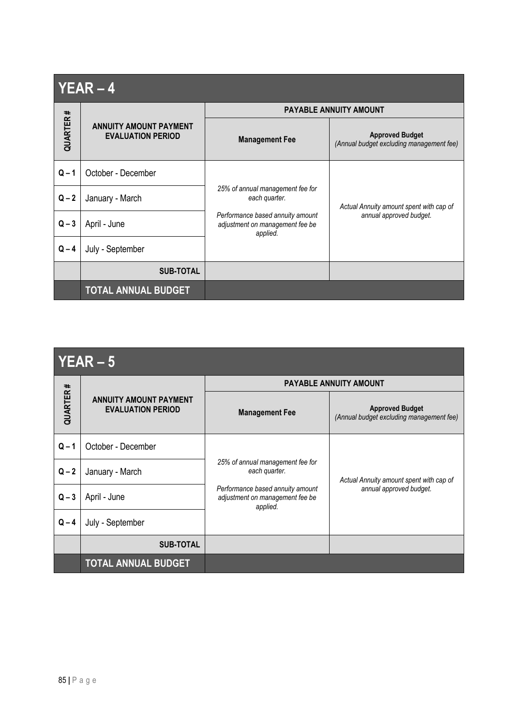# **YEAR – 4**

|          |                                                           | <b>PAYABLE ANNUITY AMOUNT</b>                                                                                                        |                                                                    |  |
|----------|-----------------------------------------------------------|--------------------------------------------------------------------------------------------------------------------------------------|--------------------------------------------------------------------|--|
| QUARTER# | <b>ANNUITY AMOUNT PAYMENT</b><br><b>EVALUATION PERIOD</b> | <b>Management Fee</b>                                                                                                                | <b>Approved Budget</b><br>(Annual budget excluding management fee) |  |
| $Q - 1$  | October - December                                        | 25% of annual management fee for<br>each quarter.<br>Performance based annuity amount<br>adjustment on management fee be<br>applied. | Actual Annuity amount spent with cap of<br>annual approved budget. |  |
| $Q - 2$  | January - March                                           |                                                                                                                                      |                                                                    |  |
| $Q - 3$  | April - June                                              |                                                                                                                                      |                                                                    |  |
| $Q - 4$  | July - September                                          |                                                                                                                                      |                                                                    |  |
|          | <b>SUB-TOTAL</b>                                          |                                                                                                                                      |                                                                    |  |
|          | <b>TOTAL ANNUAL BUDGET</b>                                |                                                                                                                                      |                                                                    |  |

|           | $YEAR - 5$                                                |                                                                                 |                                                                    |
|-----------|-----------------------------------------------------------|---------------------------------------------------------------------------------|--------------------------------------------------------------------|
|           |                                                           |                                                                                 | <b>PAYABLE ANNUITY AMOUNT</b>                                      |
| QUARTER # | <b>ANNUITY AMOUNT PAYMENT</b><br><b>EVALUATION PERIOD</b> | <b>Management Fee</b>                                                           | <b>Approved Budget</b><br>(Annual budget excluding management fee) |
| $Q - 1$   | October - December                                        |                                                                                 |                                                                    |
| $Q - 2$   | January - March                                           | 25% of annual management fee for<br>each quarter.                               | Actual Annuity amount spent with cap of                            |
| $Q - 3$   | April - June                                              | Performance based annuity amount<br>adjustment on management fee be<br>applied. | annual approved budget.                                            |
| $Q - 4$   | July - September                                          |                                                                                 |                                                                    |
|           | <b>SUB-TOTAL</b>                                          |                                                                                 |                                                                    |
|           | <b>TOTAL ANNUAL BUDGET</b>                                |                                                                                 |                                                                    |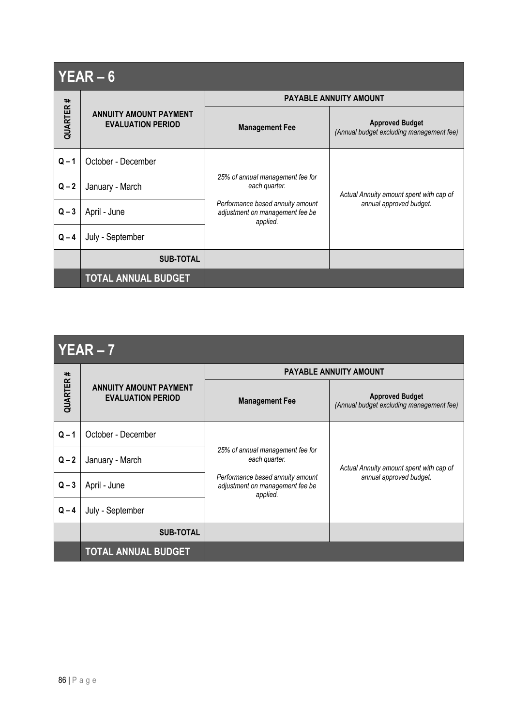|          | $YEAR - 6$                                                |                                                                                 |                                                                    |
|----------|-----------------------------------------------------------|---------------------------------------------------------------------------------|--------------------------------------------------------------------|
|          |                                                           |                                                                                 | <b>PAYABLE ANNUITY AMOUNT</b>                                      |
| QUARTER# | <b>ANNUITY AMOUNT PAYMENT</b><br><b>EVALUATION PERIOD</b> | <b>Management Fee</b>                                                           | <b>Approved Budget</b><br>(Annual budget excluding management fee) |
| $Q - 1$  | October - December                                        |                                                                                 |                                                                    |
| $Q - 2$  | January - March                                           | 25% of annual management fee for<br>each quarter.                               | Actual Annuity amount spent with cap of<br>annual approved budget. |
| $Q - 3$  | April - June                                              | Performance based annuity amount<br>adjustment on management fee be<br>applied. |                                                                    |
| $Q - 4$  | July - September                                          |                                                                                 |                                                                    |
|          | <b>SUB-TOTAL</b>                                          |                                                                                 |                                                                    |
|          | <b>TOTAL ANNUAL BUDGET</b>                                |                                                                                 |                                                                    |

|--|--|--|--|--|--|

|          | <b>ANNUITY AMOUNT PAYMENT</b><br><b>EVALUATION PERIOD</b> | <b>PAYABLE ANNUITY AMOUNT</b>                                                   |                                                                    |  |  |
|----------|-----------------------------------------------------------|---------------------------------------------------------------------------------|--------------------------------------------------------------------|--|--|
| QUARTER# |                                                           | <b>Management Fee</b>                                                           | <b>Approved Budget</b><br>(Annual budget excluding management fee) |  |  |
| $Q - 1$  | October - December                                        |                                                                                 |                                                                    |  |  |
| $Q - 2$  | January - March                                           | 25% of annual management fee for<br>each quarter.                               | Actual Annuity amount spent with cap of<br>annual approved budget. |  |  |
| $Q - 3$  | April - June                                              | Performance based annuity amount<br>adjustment on management fee be<br>applied. |                                                                    |  |  |
| $Q - 4$  | July - September                                          |                                                                                 |                                                                    |  |  |
|          | <b>SUB-TOTAL</b>                                          |                                                                                 |                                                                    |  |  |
|          | <b>TOTAL ANNUAL BUDGET</b>                                |                                                                                 |                                                                    |  |  |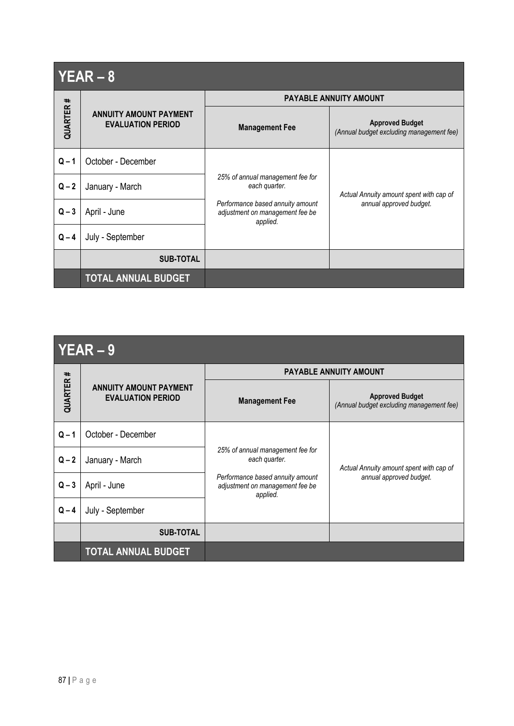| $YEAR - 8$ |                                                           |                                                                                 |                                                                    |  |  |
|------------|-----------------------------------------------------------|---------------------------------------------------------------------------------|--------------------------------------------------------------------|--|--|
|            |                                                           | <b>PAYABLE ANNUITY AMOUNT</b>                                                   |                                                                    |  |  |
| QUARTER#   | <b>ANNUITY AMOUNT PAYMENT</b><br><b>EVALUATION PERIOD</b> | <b>Management Fee</b>                                                           | <b>Approved Budget</b><br>(Annual budget excluding management fee) |  |  |
| $Q - 1$    | October - December                                        |                                                                                 |                                                                    |  |  |
| $Q - 2$    | January - March                                           | 25% of annual management fee for<br>each quarter.                               | Actual Annuity amount spent with cap of<br>annual approved budget. |  |  |
| $Q - 3$    | April - June                                              | Performance based annuity amount<br>adjustment on management fee be<br>applied. |                                                                    |  |  |
| $Q - 4$    | July - September                                          |                                                                                 |                                                                    |  |  |
|            | <b>SUB-TOTAL</b>                                          |                                                                                 |                                                                    |  |  |
|            | <b>TOTAL ANNUAL BUDGET</b>                                |                                                                                 |                                                                    |  |  |

| $\Lambda$ $\blacksquare$<br>- 1<br>$-$ 1 D |  |
|--------------------------------------------|--|
|--------------------------------------------|--|

|          | <b>ANNUITY AMOUNT PAYMENT</b><br><b>EVALUATION PERIOD</b> | <b>PAYABLE ANNUITY AMOUNT</b>                                                   |                                                                    |  |
|----------|-----------------------------------------------------------|---------------------------------------------------------------------------------|--------------------------------------------------------------------|--|
| QUARTER# |                                                           | <b>Management Fee</b>                                                           | <b>Approved Budget</b><br>(Annual budget excluding management fee) |  |
| $Q - 1$  | October - December                                        |                                                                                 |                                                                    |  |
| $Q - 2$  | January - March                                           | 25% of annual management fee for<br>each quarter.                               | Actual Annuity amount spent with cap of<br>annual approved budget. |  |
| $Q - 3$  | April - June                                              | Performance based annuity amount<br>adjustment on management fee be<br>applied. |                                                                    |  |
| $Q - 4$  | July - September                                          |                                                                                 |                                                                    |  |
|          | <b>SUB-TOTAL</b>                                          |                                                                                 |                                                                    |  |
|          | <b>TOTAL ANNUAL BUDGET</b>                                |                                                                                 |                                                                    |  |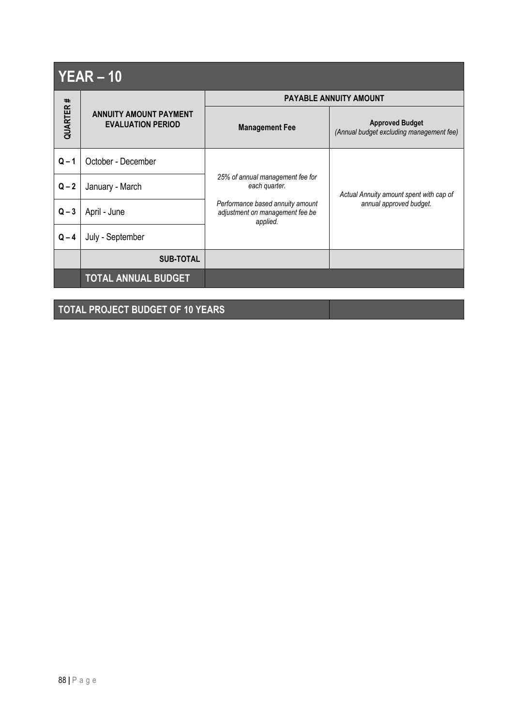| $YEAR - 10$ |                                                           |                                                                                 |                                                                    |  |  |
|-------------|-----------------------------------------------------------|---------------------------------------------------------------------------------|--------------------------------------------------------------------|--|--|
|             |                                                           | <b>PAYABLE ANNUITY AMOUNT</b>                                                   |                                                                    |  |  |
| QUARTER#    | <b>ANNUITY AMOUNT PAYMENT</b><br><b>EVALUATION PERIOD</b> | <b>Management Fee</b>                                                           | <b>Approved Budget</b><br>(Annual budget excluding management fee) |  |  |
| $Q - 1$     | October - December                                        |                                                                                 |                                                                    |  |  |
| $Q - 2$     | January - March                                           | 25% of annual management fee for<br>each quarter.                               | Actual Annuity amount spent with cap of<br>annual approved budget. |  |  |
| $Q - 3$     | April - June                                              | Performance based annuity amount<br>adjustment on management fee be<br>applied. |                                                                    |  |  |
| $Q - 4$     | July - September                                          |                                                                                 |                                                                    |  |  |
|             | <b>SUB-TOTAL</b>                                          |                                                                                 |                                                                    |  |  |
|             | <b>TOTAL ANNUAL BUDGET</b>                                |                                                                                 |                                                                    |  |  |

**TOTAL PROJECT BUDGET OF 10 YEARS**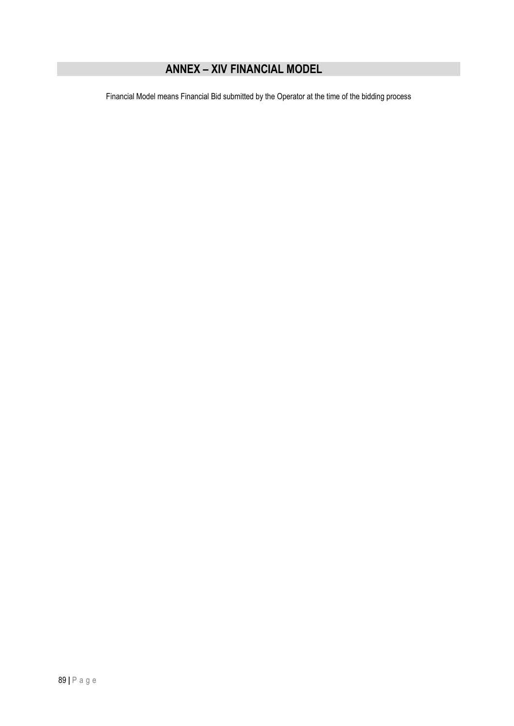## **ANNEX – XIV FINANCIAL MODEL**

Financial Model means Financial Bid submitted by the Operator at the time of the bidding process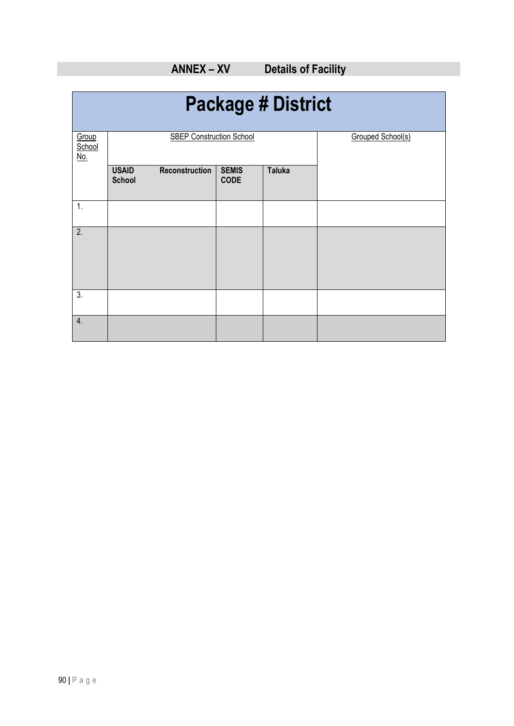| <b>Package # District</b>     |                               |                                 |                             |               |                   |
|-------------------------------|-------------------------------|---------------------------------|-----------------------------|---------------|-------------------|
| Group<br>School<br><u>No.</u> |                               | <b>SBEP Construction School</b> |                             |               | Grouped School(s) |
|                               | <b>USAID</b><br><b>School</b> | Reconstruction                  | <b>SEMIS</b><br><b>CODE</b> | <b>Taluka</b> |                   |
| 1.                            |                               |                                 |                             |               |                   |
| $\overline{2}$ .              |                               |                                 |                             |               |                   |
| $\overline{3}$ .              |                               |                                 |                             |               |                   |
| 4.                            |                               |                                 |                             |               |                   |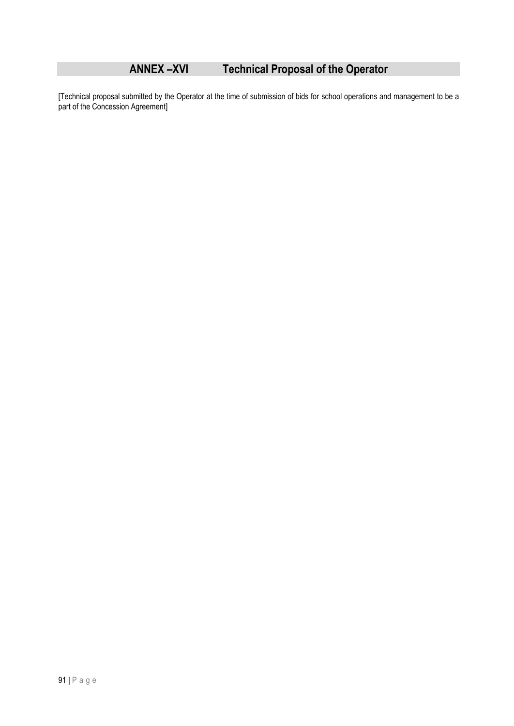# **ANNEX –XVI Technical Proposal of the Operator**

[Technical proposal submitted by the Operator at the time of submission of bids for school operations and management to be a part of the Concession Agreement]